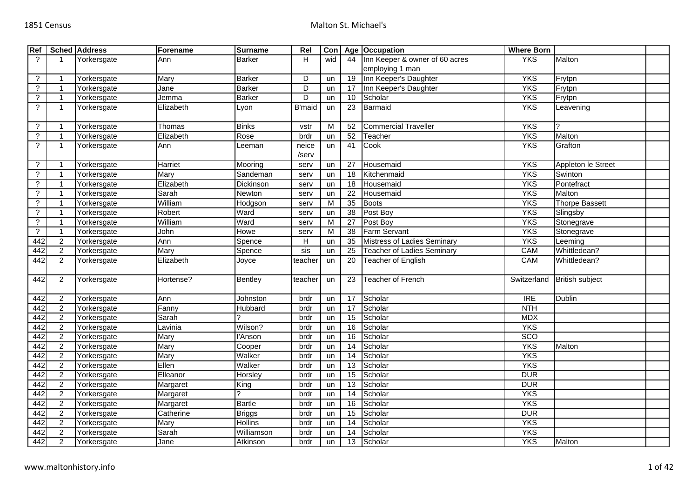| Ref                  |                | <b>Sched Address</b> | Forename  | <b>Surname</b> | Rel           | Con |                 | Age Occupation                    | <b>Where Born</b> |                        |  |
|----------------------|----------------|----------------------|-----------|----------------|---------------|-----|-----------------|-----------------------------------|-------------------|------------------------|--|
| $\overline{?}$       | 1              | Yorkersgate          | Ann       | <b>Barker</b>  | H             | wid | 44              | Inn Keeper & owner of 60 acres    | <b>YKS</b>        | Malton                 |  |
|                      |                |                      |           |                |               |     |                 | employing 1 man                   |                   |                        |  |
| $\ddot{?}$           | $\overline{1}$ | Yorkersgate          | Mary      | <b>Barker</b>  | D             | un  | 19              | Inn Keeper's Daughter             | <b>YKS</b>        | Frytpn                 |  |
| $\overline{?}$       | $\overline{1}$ | Yorkersgate          | Jane      | <b>Barker</b>  | D             | un  | 17              | Inn Keeper's Daughter             | <b>YKS</b>        | Frytpn                 |  |
| $\ddot{?}$           | $\mathbf{1}$   | Yorkersgate          | Jemma     | <b>Barker</b>  | D             | un  | 10              | Scholar                           | <b>YKS</b>        | Frytpn                 |  |
| $\gamma$             | $\overline{1}$ | Yorkersgate          | Elizabeth | Lyon           | <b>B'maid</b> | un  | 23              | Barmaid                           | <b>YKS</b>        | Leavening              |  |
|                      |                |                      |           |                |               |     |                 |                                   |                   |                        |  |
| $\ddot{\phantom{0}}$ | -1             | Yorkersgate          | Thomas    | <b>Binks</b>   | vstr          | M   | 52              | <b>Commercial Traveller</b>       | <b>YKS</b>        |                        |  |
| $\gamma$             | $\mathbf{1}$   | Yorkersgate          | Elizabeth | Rose           | brdr          | un  | 52              | Teacher                           | <b>YKS</b>        | Malton                 |  |
| $\gamma$             | $\mathbf{1}$   | Yorkersgate          | Ann       | Leeman         | neice         | un  | 41              | Cook                              | <b>YKS</b>        | Grafton                |  |
|                      |                |                      |           |                | /serv         |     |                 |                                   |                   |                        |  |
| $\cdot$              | -1             | Yorkersgate          | Harriet   | Mooring        | serv          | un  | 27              | Housemaid                         | <b>YKS</b>        | Appleton le Street     |  |
| $\overline{\cdot}$   | $\overline{1}$ | Yorkersgate          | Mary      | Sandeman       | serv          | un  | 18              | Kitchenmaid                       | <b>YKS</b>        | Swinton                |  |
| $\ddot{\phantom{0}}$ | $\overline{1}$ | Yorkersgate          | Elizabeth | Dickinson      | serv          | un  | 18              | Housemaid                         | <b>YKS</b>        | Pontefract             |  |
| $\ddot{?}$           | $\mathbf{1}$   | Yorkersgate          | Sarah     | Newton         | serv          | un  | 22              | Housemaid                         | <b>YKS</b>        | Malton                 |  |
| $\overline{?}$       | $\overline{1}$ | Yorkersgate          | William   | Hodgson        | serv          | M   | 35              | <b>Boots</b>                      | <b>YKS</b>        | Thorpe Bassett         |  |
| $\ddot{?}$           | $\overline{1}$ | Yorkersgate          | Robert    | Ward           | serv          | un  | $\overline{38}$ | Post Boy                          | <b>YKS</b>        | Slingsby               |  |
| $\overline{\cdot}$   | $\overline{1}$ | Yorkersgate          | William   | Ward           | serv          | M   | $\overline{27}$ | Post Boy                          | <b>YKS</b>        | Stonegrave             |  |
| $\ddot{\phantom{0}}$ | $\mathbf{1}$   | Yorkersgate          | John      | Howe           | serv          | M   | 38              | <b>Farm Servant</b>               | <b>YKS</b>        | Stonegrave             |  |
| 442                  | $\overline{2}$ | Yorkersgate          | Ann       | Spence         | H             | un  | 35              | Mistress of Ladies Seminary       | <b>YKS</b>        | Leeming                |  |
| 442                  | $\overline{2}$ | Yorkersgate          | Mary      | Spence         | sis           | un  | $\overline{25}$ | <b>Teacher of Ladies Seminary</b> | <b>CAM</b>        | Whittledean?           |  |
| 442                  | $\overline{2}$ | Yorkersgate          | Elizabeth | Joyce          | teacher       | un  | 20              | Teacher of English                | <b>CAM</b>        | Whittledean?           |  |
|                      |                |                      |           |                |               |     |                 |                                   |                   |                        |  |
| 442                  | $\overline{2}$ | Yorkersgate          | Hortense? | <b>Bentley</b> | teacher       | un  | 23              | <b>Teacher of French</b>          | Switzerland       | <b>British subject</b> |  |
|                      |                |                      |           |                |               |     |                 |                                   |                   |                        |  |
| 442                  | $\overline{2}$ | Yorkersgate          | Ann       | Johnston       | brdr          | un  | 17              | Scholar                           | IRE               | Dublin                 |  |
| 442                  | $\overline{2}$ | Yorkersgate          | Fanny     | Hubbard        | brdr          | un  | 17              | Scholar                           | <b>NTH</b>        |                        |  |
| 442                  | $\overline{2}$ | Yorkersgate          | Sarah     |                | brdr          | un  | $\overline{15}$ | Scholar                           | <b>MDX</b>        |                        |  |
| 442                  | $\overline{2}$ | Yorkersgate          | Lavinia   | Wilson?        | brdr          | un  | 16              | Scholar                           | <b>YKS</b>        |                        |  |
| 442                  | $\overline{2}$ | Yorkersgate          | Mary      | l'Anson        | brdr          | un  | 16              | Scholar                           | <b>SCO</b>        |                        |  |
| 442                  | $\overline{2}$ | Yorkersgate          | Mary      | Cooper         | brdr          | un  | 14              | Scholar                           | <b>YKS</b>        | Malton                 |  |
| 442                  | $\overline{2}$ | Yorkersgate          | Mary      | Walker         | brdr          | un  | 14              | Scholar                           | <b>YKS</b>        |                        |  |
| 442                  | $\overline{2}$ | Yorkersgate          | Ellen     | Walker         | brdr          | un  | $\overline{13}$ | Scholar                           | <b>YKS</b>        |                        |  |
| 442                  | $\overline{2}$ | Yorkersgate          | Elleanor  | Horsley        | brdr          | un  | 15              | Scholar                           | <b>DUR</b>        |                        |  |
| 442                  | $\overline{2}$ | Yorkersgate          | Margaret  | King           | brdr          | un  | $\overline{13}$ | Scholar                           | <b>DUR</b>        |                        |  |
| 442                  | $\overline{2}$ | Yorkersgate          | Margaret  |                | brdr          | un  | 14              | Scholar                           | <b>YKS</b>        |                        |  |
| 442                  | $\overline{2}$ | Yorkersgate          | Margaret  | <b>Bartle</b>  | brdr          | un  | $\overline{16}$ | Scholar                           | <b>YKS</b>        |                        |  |
| 442                  | $\overline{2}$ | Yorkersgate          | Catherine | <b>Briggs</b>  | brdr          | un  | 15              | Scholar                           | <b>DUR</b>        |                        |  |
| 442                  | $\overline{2}$ | Yorkersgate          | Mary      | <b>Hollins</b> | brdr          | un  | 14              | Scholar                           | <b>YKS</b>        |                        |  |
| 442                  | $\overline{2}$ | Yorkersgate          | Sarah     | Williamson     | brdr          | un  | 14              | Scholar                           | <b>YKS</b>        |                        |  |
| 442                  | $\overline{2}$ | Yorkersgate          | Jane      | Atkinson       | brdr          | un  | 13              | Scholar                           | <b>YKS</b>        | Malton                 |  |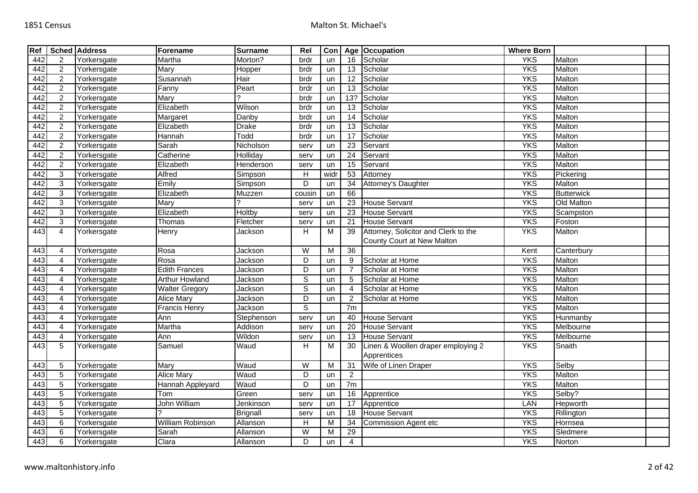| Ref |                | <b>Sched Address</b> | Forename              | <b>Surname</b>  | Rel                     | Con            |                 | Age Occupation                       | <b>Where Born</b> |                   |  |
|-----|----------------|----------------------|-----------------------|-----------------|-------------------------|----------------|-----------------|--------------------------------------|-------------------|-------------------|--|
| 442 | 2              | Yorkersgate          | Martha                | Morton?         | brdr                    | un             | 16              | Scholar                              | <b>YKS</b>        | Malton            |  |
| 442 | $\overline{2}$ | Yorkersgate          | Mary                  | Hopper          | brdr                    | un             | 13              | Scholar                              | <b>YKS</b>        | Malton            |  |
| 442 | $\overline{2}$ | Yorkersgate          | Susannah              | Hair            | brdr                    | un             | $\overline{12}$ | Scholar                              | <b>YKS</b>        | Malton            |  |
| 442 | $\overline{2}$ | Yorkersgate          | Fanny                 | Peart           | brdr                    | un             | $\overline{13}$ | Scholar                              | <b>YKS</b>        | Malton            |  |
| 442 | $\overline{2}$ | Yorkersgate          | Mary                  | 2               | brdr                    | un             | 13?             | Scholar                              | <b>YKS</b>        | Malton            |  |
| 442 | $\overline{2}$ | Yorkersgate          | Elizabeth             | Wilson          | brdr                    | un             | 13              | Scholar                              | <b>YKS</b>        | Malton            |  |
| 442 | $\overline{a}$ | Yorkersgate          | Margaret              | Danby           | brdr                    | un             | 14              | Scholar                              | <b>YKS</b>        | Malton            |  |
| 442 | $\overline{2}$ | Yorkersgate          | Elizabeth             | <b>Drake</b>    | brdr                    | un             | $\overline{13}$ | Scholar                              | <b>YKS</b>        | Malton            |  |
| 442 | $\overline{2}$ | Yorkersgate          | Hannah                | Todd            | brdr                    | un             | 17              | Scholar                              | <b>YKS</b>        | Malton            |  |
| 442 | $\overline{2}$ | Yorkersgate          | Sarah                 | Nicholson       | serv                    | un             | $\overline{23}$ | Servant                              | <b>YKS</b>        | Malton            |  |
| 442 | $\overline{a}$ | Yorkersgate          | Catherine             | Holliday        | serv                    | un             | $\overline{24}$ | Servant                              | <b>YKS</b>        | Malton            |  |
| 442 | $\overline{2}$ | Yorkersgate          | Elizabeth             | Henderson       | serv                    | un             | $\overline{15}$ | Servant                              | <b>YKS</b>        | Malton            |  |
| 442 | $\overline{3}$ | Yorkersgate          | Alfred                | Simpson         | H                       | widr           | 53              | Attorney                             | <b>YKS</b>        | Pickering         |  |
| 442 | $\overline{3}$ | Yorkersgate          | Emily                 | Simpson         | D                       | un             | 34              | Attorney's Daughter                  | <b>YKS</b>        | Malton            |  |
| 442 | 3              | Yorkersgate          | Elizabeth             | Muzzen          | cousin                  | un             | 66              |                                      | <b>YKS</b>        | <b>Butterwick</b> |  |
| 442 | 3              | Yorkersgate          | Marv                  |                 | serv                    | un             | 23              | <b>House Servant</b>                 | <b>YKS</b>        | Old Malton        |  |
| 442 | 3              | Yorkersgate          | Elizabeth             | <b>Holtby</b>   | serv                    | un             | $\overline{23}$ | <b>House Servant</b>                 | <b>YKS</b>        | Scampston         |  |
| 442 | 3              | Yorkersgate          | Thomas                | Fletcher        | serv                    | un             | 21              | <b>House Servant</b>                 | <b>YKS</b>        | Foston            |  |
| 443 | $\overline{4}$ | Yorkersgate          | Henry                 | Jackson         | H                       | $\overline{M}$ | 39              | Attorney, Solicitor and Clerk to the | <b>YKS</b>        | Malton            |  |
|     |                |                      |                       |                 |                         |                |                 | County Court at New Malton           |                   |                   |  |
| 443 | 4              | Yorkersgate          | Rosa                  | Jackson         | W                       | M              | $\overline{36}$ |                                      | Kent              | Canterbury        |  |
| 443 | $\overline{4}$ | Yorkersgate          | Rosa                  | Jackson         | D                       | un             | 9               | Scholar at Home                      | <b>YKS</b>        | Malton            |  |
| 443 | $\overline{4}$ | Yorkersgate          | <b>Edith Frances</b>  | Jackson         | D                       | un             | $\overline{7}$  | Scholar at Home                      | <b>YKS</b>        | Malton            |  |
| 443 | 4              | Yorkersgate          | <b>Arthur Howland</b> | Jackson         | $\overline{s}$          | un             | 5               | Scholar at Home                      | <b>YKS</b>        | Malton            |  |
| 443 | 4              | Yorkersgate          | <b>Walter Gregory</b> | Jackson         | $\overline{s}$          | un             | 4               | Scholar at Home                      | <b>YKS</b>        | Malton            |  |
| 443 | 4              | Yorkersgate          | <b>Alice Mary</b>     | Jackson         | D                       | un             | $\overline{2}$  | Scholar at Home                      | <b>YKS</b>        | Malton            |  |
| 443 | $\overline{4}$ | Yorkersgate          | <b>Francis Henry</b>  | Jackson         | $\overline{s}$          |                | 7m              |                                      | <b>YKS</b>        | Malton            |  |
| 443 | $\overline{4}$ | Yorkersgate          | Ann                   | Stephenson      | serv                    | un             | 40              | <b>House Servant</b>                 | <b>YKS</b>        | Hunmanby          |  |
| 443 | $\overline{4}$ | Yorkersgate          | Martha                | Addison         | serv                    | un             | $\overline{20}$ | <b>House Servant</b>                 | <b>YKS</b>        | Melbourne         |  |
| 443 | $\overline{4}$ | Yorkersgate          | Ann                   | Wildon          | serv                    | un             | 13              | <b>House Servant</b>                 | <b>YKS</b>        | Melbourne         |  |
| 443 | 5              | Yorkersgate          | Samuel                | Waud            | H                       | M              | 30              | Linen & Woollen draper employing 2   | <b>YKS</b>        | Snaith            |  |
|     |                |                      |                       |                 |                         |                |                 | Apprentices                          |                   |                   |  |
| 443 | 5              | Yorkersgate          | Mary                  | Waud            | $\overline{\mathsf{W}}$ | M              | 31              | Wife of Linen Draper                 | <b>YKS</b>        | Selby             |  |
| 443 | $\sqrt{5}$     | Yorkersgate          | <b>Alice Mary</b>     | Waud            | D                       | un             | $\overline{2}$  |                                      | <b>YKS</b>        | Malton            |  |
| 443 | $\overline{5}$ | Yorkersgate          | Hannah Appleyard      | Waud            | $\overline{D}$          | un             | 7m              |                                      | <b>YKS</b>        | Malton            |  |
| 443 | $\overline{5}$ | Yorkersgate          | Tom                   | Green           | serv                    | un             | 16              | Apprentice                           | <b>YKS</b>        | Selby?            |  |
| 443 | 5              | Yorkersgate          | <b>John William</b>   | Jenkinson       | serv                    | un             | 17              | Apprentice                           | LAN               | Hepworth          |  |
| 443 | $5\,$          | Yorkersgate          | $\mathcal{P}$         | <b>Brignall</b> | serv                    | un             | 18              | <b>House Servant</b>                 | <b>YKS</b>        | Rillington        |  |
| 443 | $\overline{6}$ | Yorkersgate          | William Robinson      | Allanson        | H                       | м              | 34              | Commission Agent etc                 | <b>YKS</b>        | Hornsea           |  |
| 443 | 6              | Yorkersgate          | Sarah                 | Allanson        | W                       | М              | 29              |                                      | <b>YKS</b>        | Sledmere          |  |
| 443 | 6              | Yorkersgate          | Clara                 | Allanson        | D                       | un             | $\overline{4}$  |                                      | <b>YKS</b>        | Norton            |  |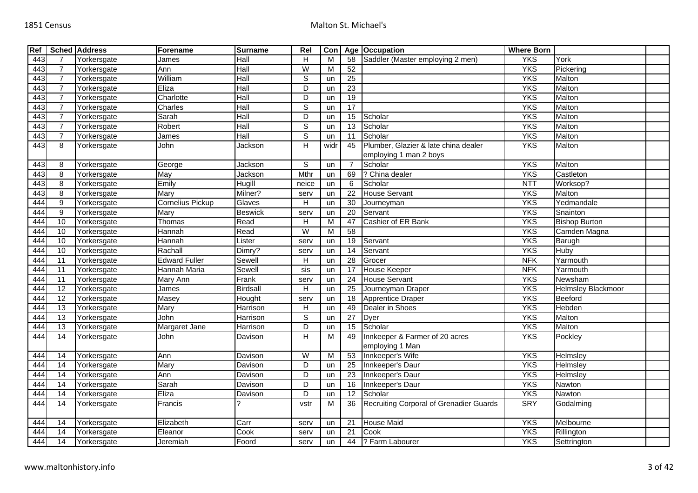| Ref |                 | <b>Sched Address</b> | Forename                | <b>Surname</b>  | Rel                     | Con                     |                 | Age Occupation                          | <b>Where Born</b> |                           |  |
|-----|-----------------|----------------------|-------------------------|-----------------|-------------------------|-------------------------|-----------------|-----------------------------------------|-------------------|---------------------------|--|
| 443 | $\overline{7}$  | Yorkersgate          | James                   | Hall            | H                       | M                       | 58              | Saddler (Master employing 2 men)        | <b>YKS</b>        | York                      |  |
| 443 | $\overline{7}$  | Yorkersgate          | Ann                     | Hall            | W                       | $\overline{\mathsf{M}}$ | 52              |                                         | <b>YKS</b>        | Pickering                 |  |
| 443 | $\overline{7}$  | Yorkersgate          | William                 | Hall            | $\overline{s}$          | un                      | 25              |                                         | <b>YKS</b>        | Malton                    |  |
| 443 | $\overline{7}$  | Yorkersgate          | Eliza                   | Hall            | D                       | un                      | $\overline{23}$ |                                         | <b>YKS</b>        | Malton                    |  |
| 443 | $\overline{7}$  | Yorkersgate          | Charlotte               | Hall            | D                       | un                      | 19              |                                         | <b>YKS</b>        | Malton                    |  |
| 443 | $\overline{7}$  | Yorkersgate          | Charles                 | Hall            | $\overline{s}$          | un                      | $\overline{17}$ |                                         | <b>YKS</b>        | Malton                    |  |
| 443 | $\overline{7}$  | Yorkersgate          | Sarah                   | Hall            | D                       | un                      | 15              | Scholar                                 | <b>YKS</b>        | Malton                    |  |
| 443 | $\overline{7}$  | Yorkersgate          | Robert                  | Hall            | $\overline{s}$          | un                      | 13              | Scholar                                 | <b>YKS</b>        | Malton                    |  |
| 443 | $\overline{7}$  | Yorkersgate          | James                   | Hall            | $\overline{s}$          | un                      | 11              | Scholar                                 | <b>YKS</b>        | Malton                    |  |
| 443 | 8               | Yorkersgate          | John                    | Jackson         | H                       | widr                    | 45              | Plumber, Glazier & late china dealer    | <b>YKS</b>        | Malton                    |  |
|     |                 |                      |                         |                 |                         |                         |                 | employing 1 man 2 boys                  |                   |                           |  |
| 443 | 8               | Yorkersgate          | George                  | Jackson         | $\mathbb S$             | un                      |                 | Scholar                                 | <b>YKS</b>        | Malton                    |  |
| 443 | 8               | Yorkersgate          | May                     | Jackson         | Mthr                    | un                      | 69              | ? China dealer                          | <b>YKS</b>        | Castleton                 |  |
| 443 | 8               | Yorkersgate          | Emily                   | Hugill          | neice                   | un                      | 6               | Scholar                                 | <b>NTT</b>        | Worksop?                  |  |
| 443 | 8               | Yorkersgate          | Mary                    | Milner?         | serv                    | un                      | 22              | <b>House Servant</b>                    | <b>YKS</b>        | Malton                    |  |
| 444 | 9               | Yorkersgate          | <b>Cornelius Pickup</b> | Glaves          | H                       | un                      | 30              | Journeyman                              | <b>YKS</b>        | Yedmandale                |  |
| 444 | 9               | Yorkersgate          | <b>Mary</b>             | <b>Beswick</b>  | serv                    | un                      | 20              | Servant                                 | <b>YKS</b>        | Snainton                  |  |
| 444 | 10              | Yorkersgate          | Thomas                  | Read            | $\overline{H}$          | M                       | 47              | Cashier of ER Bank                      | <b>YKS</b>        | <b>Bishop Burton</b>      |  |
| 444 | 10              | Yorkersgate          | Hannah                  | Read            | $\overline{W}$          | $\overline{M}$          | 58              |                                         | <b>YKS</b>        | Camden Magna              |  |
| 444 | 10              | Yorkersgate          | Hannah                  | Lister          | serv                    | un                      | 19              | Servant                                 | <b>YKS</b>        | Barugh                    |  |
| 444 | 10              | Yorkersgate          | Rachall                 | Dimry?          | serv                    | un                      | 14              | Servant                                 | <b>YKS</b>        | Huby                      |  |
| 444 | $\overline{11}$ | Yorkersgate          | <b>Edward Fuller</b>    | Sewell          | H                       | un                      | 28              | Grocer                                  | <b>NFK</b>        | Yarmouth                  |  |
| 444 | $\overline{11}$ | Yorkersgate          | Hannah Maria            | Sewell          | sis                     | un                      | 17              | House Keeper                            | <b>NFK</b>        | Yarmouth                  |  |
| 444 | $\overline{11}$ | Yorkersgate          | Mary Ann                | Frank           | serv                    | un                      | 24              | <b>House Servant</b>                    | <b>YKS</b>        | Newsham                   |  |
| 444 | $\overline{12}$ | Yorkersgate          | James                   | <b>Birdsall</b> | $\overline{H}$          | un                      | 25              | Journeyman Draper                       | <b>YKS</b>        | <b>Helmsley Blackmoor</b> |  |
| 444 | $\overline{12}$ | Yorkersgate          | Masey                   | Hought          | serv                    | un                      | 18              | Apprentice Draper                       | <b>YKS</b>        | Beeford                   |  |
| 444 | 13              | Yorkersgate          | Mary                    | Harrison        | H                       | un                      | 49              | Dealer in Shoes                         | <b>YKS</b>        | Hebden                    |  |
| 444 | $\overline{13}$ | Yorkersgate          | John                    | Harrison        | $\mathbb S$             | un                      | $\overline{27}$ | Dyer                                    | <b>YKS</b>        | <b>Malton</b>             |  |
| 444 | 13              | Yorkersgate          | Margaret Jane           | Harrison        | D                       | un                      | 15              | Scholar                                 | <b>YKS</b>        | Malton                    |  |
| 444 | $\overline{14}$ | Yorkersgate          | John                    | Davison         | H                       | M                       | 49              | Innkeeper & Farmer of 20 acres          | <b>YKS</b>        | Pockley                   |  |
|     |                 |                      |                         |                 |                         |                         |                 | employing 1 Man                         |                   |                           |  |
| 444 | 14              | Yorkersgate          | Ann                     | Davison         | $\overline{\mathsf{W}}$ | M                       | 53              | Innkeeper's Wife                        | <b>YKS</b>        | Helmsley                  |  |
| 444 | 14              | Yorkersgate          | Mary                    | Davison         | D                       | un                      | 25              | Innkeeper's Daur                        | <b>YKS</b>        | Helmsley                  |  |
| 444 | $\overline{14}$ | Yorkersgate          | Ann                     | Davison         | D                       | un                      | $\overline{23}$ | Innkeeper's Daur                        | <b>YKS</b>        | Helmsley                  |  |
| 444 | $\overline{14}$ | Yorkersgate          | Sarah                   | Davison         | D                       | un                      | 16              | Innkeeper's Daur                        | <b>YKS</b>        | Nawton                    |  |
| 444 | 14              | Yorkersgate          | Eliza                   | Davison         | $\overline{D}$          | un                      | 12              | Scholar                                 | <b>YKS</b>        | <b>Nawton</b>             |  |
| 444 | 14              | Yorkersgate          | Francis                 |                 | vstr                    | M                       | 36              | Recruiting Corporal of Grenadier Guards | <b>SRY</b>        | Godalming                 |  |
| 444 | 14              | Yorkersgate          | Elizabeth               | Carr            | serv                    | un                      | 21              | <b>House Maid</b>                       | <b>YKS</b>        | Melbourne                 |  |
| 444 | 14              | Yorkersgate          | Eleanor                 | Cook            | serv                    | un                      | 21              | Cook                                    | <b>YKS</b>        | Rillington                |  |
| 444 | 14              | Yorkersgate          | Jeremiah                | Foord           | serv                    | un                      | 44              | ? Farm Labourer                         | <b>YKS</b>        | Settrington               |  |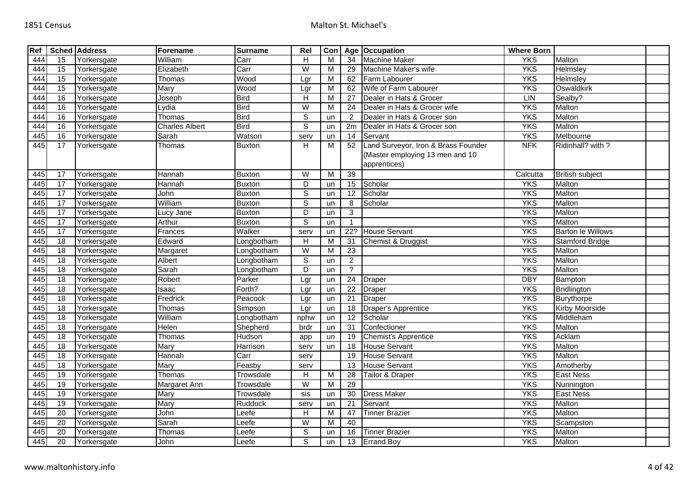| Ref |                 | <b>Sched Address</b> | Forename              | <b>Surname</b> | Rel            | Con |                  | Age Occupation                                                                         | <b>Where Born</b> |                          |  |
|-----|-----------------|----------------------|-----------------------|----------------|----------------|-----|------------------|----------------------------------------------------------------------------------------|-------------------|--------------------------|--|
| 444 | 15              | Yorkersgate          | William               | Carr           | H              | M   | 34               | <b>Machine Maker</b>                                                                   | <b>YKS</b>        | Malton                   |  |
| 444 | 15              | Yorkersgate          | Elizabeth             | Carr           | $\overline{W}$ | м   | 29               | Machine Maker's wife                                                                   | <b>YKS</b>        | Helmsley                 |  |
| 444 | 15              | Yorkersgate          | Thomas                | Wood           | Lgr            | M   | 62               | Farm Labourer                                                                          | <b>YKS</b>        | Helmsley                 |  |
| 444 | $\overline{15}$ | Yorkersgate          | Mary                  | Wood           | Lgr            | м   | 62               | Wife of Farm Labourer                                                                  | <b>YKS</b>        | Oswaldkirk               |  |
| 444 | 16              | Yorkersgate          | Joseph                | <b>Bird</b>    | H              | M   | 27               | Dealer in Hats & Grocer                                                                | <b>LIN</b>        | Sealby?                  |  |
| 444 | $\overline{16}$ | Yorkersgate          | Lydia                 | <b>Bird</b>    | $\overline{W}$ | м   | 24               | Dealer in Hats & Grocer wife                                                           | <b>YKS</b>        | Malton                   |  |
| 444 | 16              | Yorkersgate          | Thomas                | <b>Bird</b>    | $\mathbb S$    | un  | $\overline{2}$   | Dealer in Hats & Grocer son                                                            | <b>YKS</b>        | Malton                   |  |
| 444 | 16              | Yorkersgate          | <b>Charles Albert</b> | <b>Bird</b>    | $\overline{s}$ | un  | 2m               | Dealer in Hats & Grocer son                                                            | <b>YKS</b>        | Malton                   |  |
| 445 | 16              | Yorkersgate          | Sarah                 | Watson         | serv           | un  | $\overline{14}$  | Servant                                                                                | <b>YKS</b>        | Melbourne                |  |
| 445 | 17              | Yorkersgate          | Thomas                | <b>Buxton</b>  | H              | м   | 52               | Land Surveyor, Iron & Brass Founder<br>(Master employing 13 men and 10<br>apprentices) | <b>NFK</b>        | Ridinhall? with ?        |  |
| 445 | 17              | Yorkersgate          | Hannah                | <b>Buxton</b>  | W              | M   | $\overline{39}$  |                                                                                        | Calcutta          | <b>British subject</b>   |  |
| 445 | 17              | Yorkersgate          | Hannah                | <b>Buxton</b>  | D              | un  | 15               | Scholar                                                                                | <b>YKS</b>        | Malton                   |  |
| 445 | 17              | Yorkersgate          | John                  | <b>Buxton</b>  | $\overline{s}$ | un  | $\overline{12}$  | Scholar                                                                                | <b>YKS</b>        | Malton                   |  |
| 445 | 17              | Yorkersgate          | William               | <b>Buxton</b>  | $\mathsf S$    | un  | 8                | Scholar                                                                                | <b>YKS</b>        | Malton                   |  |
| 445 | 17              | Yorkersgate          | Lucy Jane             | <b>Buxton</b>  | D              | un  | $\mathbf{3}$     |                                                                                        | <b>YKS</b>        | Malton                   |  |
| 445 | 17              | Yorkersgate          | Arthur                | <b>Buxton</b>  | $\overline{s}$ | un  | $\mathbf{1}$     |                                                                                        | <b>YKS</b>        | Malton                   |  |
| 445 | 17              | Yorkersgate          | Frances               | Walker         | serv           | un  | $\overline{22?}$ | <b>House Servant</b>                                                                   | <b>YKS</b>        | <b>Barton le Willows</b> |  |
| 445 | 18              | Yorkersgate          | Edward                | Longbotham     | H              | M   | 31               | Chemist & Druggist                                                                     | <b>YKS</b>        | <b>Stamford Bridge</b>   |  |
| 445 | 18              | Yorkersgate          | Margaret              | _ongbotham     | $\overline{W}$ | М   | 23               |                                                                                        | <b>YKS</b>        | Malton                   |  |
| 445 | 18              | Yorkersgate          | Albert                | Longbotham     | $\mathsf S$    | un  | $\overline{2}$   |                                                                                        | <b>YKS</b>        | Malton                   |  |
| 445 | 18              | Yorkersgate          | Sarah                 | _ongbotham     | $\overline{D}$ | un  | $\overline{?}$   |                                                                                        | <b>YKS</b>        | Malton                   |  |
| 445 | 18              | Yorkersgate          | Robert                | Parker         | Lgr            | un  | 24               | Draper                                                                                 | <b>DBY</b>        | Bampton                  |  |
| 445 | $\overline{18}$ | Yorkersgate          | Isaac                 | Forth?         | Lgr            | un  | $\overline{22}$  | <b>Draper</b>                                                                          | <b>YKS</b>        | Bridlington              |  |
| 445 | 18              | Yorkersgate          | Fredrick              | Peacock        | Lgr            | un  | $\overline{21}$  | <b>Draper</b>                                                                          | <b>YKS</b>        | Burythorpe               |  |
| 445 | $\overline{18}$ | Yorkersgate          | Thomas                | Simpson        | Lgr            | un  | 18               | Draper's Apprentice                                                                    | <b>YKS</b>        | <b>Kirby Moorside</b>    |  |
| 445 | 18              | Yorkersgate          | William               | Longbotham     | nphw           | un  | $\overline{12}$  | Scholar                                                                                | <b>YKS</b>        | Middleham                |  |
| 445 | $\overline{18}$ | Yorkersgate          | Helen                 | Shepherd       | brdr           | un  | 31               | Confectioner                                                                           | <b>YKS</b>        | Malton                   |  |
| 445 | $\overline{18}$ | Yorkersgate          | Thomas                | Hudson         | app            | un  | 19               | <b>Chemist's Apprentice</b>                                                            | <b>YKS</b>        | Acklam                   |  |
| 445 | $\overline{18}$ | Yorkersgate          | Mary                  | Harrison       | serv           | un  | $\overline{18}$  | <b>House Servant</b>                                                                   | <b>YKS</b>        | Malton                   |  |
| 445 | 18              | Yorkersgate          | Hannah                | Carr           | serv           |     | 19               | <b>House Servant</b>                                                                   | <b>YKS</b>        | Malton                   |  |
| 445 | $\overline{18}$ | Yorkersgate          | Mary                  | Feasby         | serv           |     | 13               | <b>House Servant</b>                                                                   | <b>YKS</b>        | Amotherby                |  |
| 445 | 19              | Yorkersgate          | Thomas                | Trowsdale      | H              | M   | 28               | Tailor & Draper                                                                        | <b>YKS</b>        | East Ness                |  |
| 445 | 19              | Yorkersgate          | Margaret Ann          | Trowsdale      | W              | м   | 29               |                                                                                        | <b>YKS</b>        | Nunnington               |  |
| 445 | 19              | Yorkersgate          | Mary                  | Trowsdale      | sis            | un  | 30               | <b>Dress Maker</b>                                                                     | <b>YKS</b>        | East Ness                |  |
| 445 | 19              | Yorkersgate          | Mary                  | <b>Ruddock</b> | serv           | un  | 21               | Servant                                                                                | <b>YKS</b>        | Malton                   |  |
| 445 | 20              | Yorkersgate          | John                  | Leefe          | H              | M   | 47               | <b>Tinner Brazier</b>                                                                  | <b>YKS</b>        | Malton                   |  |
| 445 | 20              | Yorkersgate          | Sarah                 | _eefe          | W              | м   | 40               |                                                                                        | <b>YKS</b>        | Scampston                |  |
| 445 | 20              | Yorkersgate          | Thomas                | _eefe          | $\overline{s}$ | un  | 16               | <b>Tinner Brazier</b>                                                                  | <b>YKS</b>        | Malton                   |  |
| 445 | $\overline{20}$ | Yorkersgate          | John                  | Leefe          | $\overline{s}$ | un  |                  | 13 Errand Boy                                                                          | <b>YKS</b>        | Malton                   |  |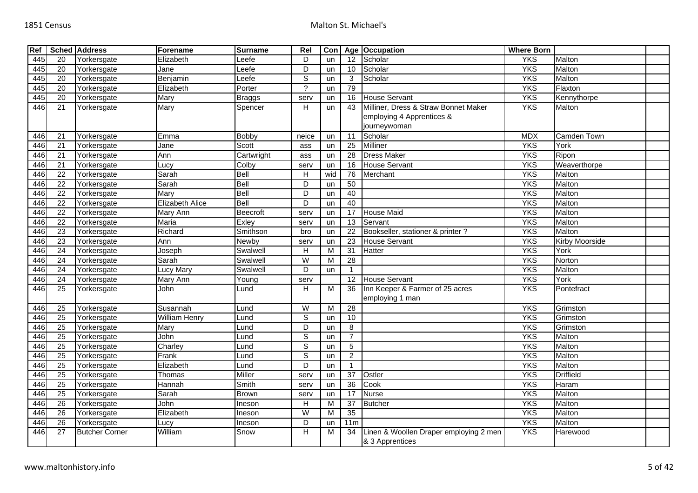| Ref |                 | <b>Sched Address</b>  | Forename               | <b>Surname</b> | Rel            | Con |                 | Age Occupation                         | <b>Where Born</b> |                    |  |
|-----|-----------------|-----------------------|------------------------|----------------|----------------|-----|-----------------|----------------------------------------|-------------------|--------------------|--|
| 445 | 20              | Yorkersgate           | Elizabeth              | _eefe          | D              | un  | 12              | Scholar                                | <b>YKS</b>        | Malton             |  |
| 445 | 20              | Yorkersgate           | Jane                   | Leefe          | $\overline{D}$ | un  | 10              | Scholar                                | <b>YKS</b>        | Malton             |  |
| 445 | $\overline{20}$ | Yorkersgate           | Benjamin               | Leefe          | $\overline{s}$ | un  | 3               | Scholar                                | <b>YKS</b>        | Malton             |  |
| 445 | 20              | Yorkersgate           | Elizabeth              | Porter         | $\gamma$       | un  | 79              |                                        | <b>YKS</b>        | Flaxton            |  |
| 445 | $\overline{20}$ | Yorkersgate           | Mary                   | <b>Braggs</b>  | serv           | un  | 16              | <b>House Servant</b>                   | <b>YKS</b>        | Kennythorpe        |  |
| 446 | 21              | Yorkersgate           | Mary                   | Spencer        | H              | un  | 43              | Milliner, Dress & Straw Bonnet Maker   | <b>YKS</b>        | Malton             |  |
|     |                 |                       |                        |                |                |     |                 | employing 4 Apprentices &              |                   |                    |  |
|     |                 |                       |                        |                |                |     |                 | journeywoman                           |                   |                    |  |
| 446 | 21              | Yorkersgate           | Emma                   | <b>Bobby</b>   | neice          | un  | 11              | Scholar                                | <b>MDX</b>        | <b>Camden Town</b> |  |
| 446 | $\overline{21}$ | Yorkersgate           | Jane                   | Scott          | ass            | un  | $\overline{25}$ | <b>Milliner</b>                        | <b>YKS</b>        | York               |  |
| 446 | 21              | Yorkersgate           | Ann                    | Cartwright     | ass            | un  | 28              | <b>Dress Maker</b>                     | <b>YKS</b>        | Ripon              |  |
| 446 | $\overline{21}$ | Yorkersgate           | Lucy                   | Colby          | serv           | un  | 16              | <b>House Servant</b>                   | <b>YKS</b>        | Weaverthorpe       |  |
| 446 | $\overline{22}$ | Yorkersgate           | Sarah                  | Bell           | H              | wid | 76              | Merchant                               | <b>YKS</b>        | Malton             |  |
| 446 | $\overline{22}$ | Yorkersgate           | Sarah                  | <b>Bell</b>    | D              | un  | 50              |                                        | <b>YKS</b>        | Malton             |  |
| 446 | $\overline{22}$ | Yorkersgate           | Mary                   | Bell           | $\overline{D}$ | un  | 40              |                                        | <b>YKS</b>        | Malton             |  |
| 446 | $\overline{22}$ | Yorkersgate           | <b>Elizabeth Alice</b> | <b>Bell</b>    | $\overline{D}$ | un  | 40              |                                        | <b>YKS</b>        | Malton             |  |
| 446 | $\overline{22}$ | Yorkersgate           | Mary Ann               | Beecroft       | serv           | un  | 17              | <b>House Maid</b>                      | <b>YKS</b>        | Malton             |  |
| 446 | $\overline{22}$ | Yorkersgate           | Maria                  | Exley          | serv           | un  | $\overline{13}$ | Servant                                | <b>YKS</b>        | Malton             |  |
| 446 | $\overline{23}$ | Yorkersgate           | Richard                | Smithson       | bro            | un  | 22              | Bookseller, stationer & printer ?      | <b>YKS</b>        | Malton             |  |
| 446 | $\overline{23}$ | Yorkersgate           | Ann                    | Newby          | serv           | un  | 23              | <b>House Servant</b>                   | <b>YKS</b>        | Kirby Moorside     |  |
| 446 | $\overline{24}$ | Yorkersgate           | Joseph                 | Swalwell       | H              | M   | $\overline{31}$ | Hatter                                 | <b>YKS</b>        | York               |  |
| 446 | $\overline{24}$ | Yorkersgate           | Sarah                  | Swalwell       | W              | м   | $\overline{28}$ |                                        | <b>YKS</b>        | Norton             |  |
| 446 | $\overline{24}$ | Yorkersgate           | <b>Lucy Mary</b>       | Swalwell       | D              | un  | $\overline{1}$  |                                        | <b>YKS</b>        | Malton             |  |
| 446 | 24              | Yorkersgate           | Mary Ann               | Young          | serv           |     | 12              | <b>House Servant</b>                   | <b>YKS</b>        | York               |  |
| 446 | 25              | Yorkersgate           | John                   | Lund           | H              | м   | 36              | Inn Keeper & Farmer of 25 acres        | <b>YKS</b>        | Pontefract         |  |
|     |                 |                       |                        |                |                |     |                 | employing 1 man                        |                   |                    |  |
| 446 | 25              | Yorkersgate           | Susannah               | Lund           | $\overline{W}$ | M   | 28              |                                        | <b>YKS</b>        | Grimston           |  |
| 446 | $\overline{25}$ | Yorkersgate           | William Henry          | Lund           | $\overline{s}$ | un  | 10              |                                        | <b>YKS</b>        | Grimston           |  |
| 446 | 25              | Yorkersgate           | Mary                   | Lund           | D              | un  | 8               |                                        | <b>YKS</b>        | Grimston           |  |
| 446 | $\overline{25}$ | Yorkersgate           | John                   | $L$ und        | $\overline{s}$ | un  | $\overline{7}$  |                                        | <b>YKS</b>        | Malton             |  |
| 446 | 25              | Yorkersgate           | Charley                | _und           | $\overline{s}$ | un  | 5               |                                        | <b>YKS</b>        | Malton             |  |
| 446 | $\overline{25}$ | Yorkersgate           | Frank                  | Lund           | $\overline{s}$ | un  | $\overline{2}$  |                                        | <b>YKS</b>        | Malton             |  |
| 446 | $\overline{25}$ | Yorkersgate           | Elizabeth              | Lund           | $\overline{D}$ | un  | $\overline{1}$  |                                        | <b>YKS</b>        | Malton             |  |
| 446 | 25              | Yorkersgate           | Thomas                 | Miller         | serv           | un  | $\overline{37}$ | Ostler                                 | <b>YKS</b>        | <b>Driffield</b>   |  |
| 446 | 25              | Yorkersgate           | Hannah                 | Smith          | serv           | un  | 36              | Cook                                   | <b>YKS</b>        | Haram              |  |
| 446 | $\overline{25}$ | Yorkersgate           | Sarah                  | <b>Brown</b>   | serv           | un  | 17              | <b>Nurse</b>                           | <b>YKS</b>        | Malton             |  |
| 446 | 26              | Yorkersgate           | John                   | Ineson         | Н              | м   | $\overline{37}$ | Butcher                                | <b>YKS</b>        | Malton             |  |
| 446 | $\overline{26}$ | Yorkersgate           | Elizabeth              | Ineson         | W              | м   | 35              |                                        | <b>YKS</b>        | Malton             |  |
| 446 | $\overline{26}$ | Yorkersgate           | Lucy                   | Ineson         | D              | un  | 11m             |                                        | <b>YKS</b>        | Malton             |  |
| 446 | $\overline{27}$ | <b>Butcher Corner</b> | William                | Snow           | н              | M   | 34              | Linen & Woollen Draper employing 2 men | <b>YKS</b>        | Harewood           |  |
|     |                 |                       |                        |                |                |     |                 | & 3 Apprentices                        |                   |                    |  |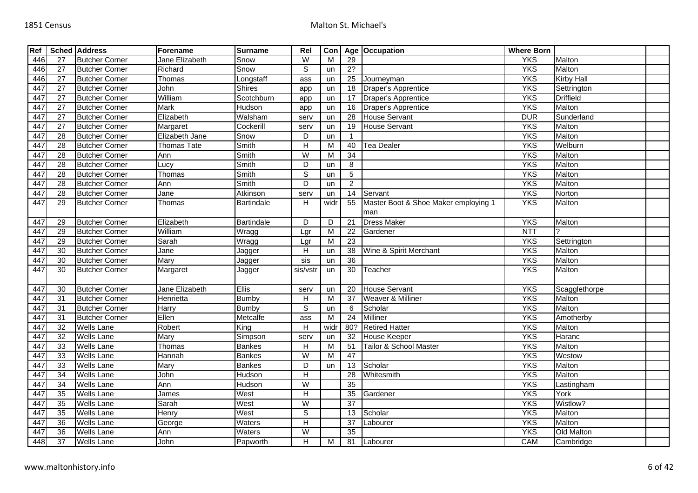| 27<br>446<br>$\overline{27}$<br>446<br>27<br>446<br>447<br>$\overline{27}$<br>447<br>27<br>447<br>$\overline{27}$<br>447<br>27 | <b>Butcher Corner</b><br><b>Butcher Corner</b><br><b>Butcher Corner</b><br><b>Butcher Corner</b><br><b>Butcher Corner</b><br><b>Butcher Corner</b><br><b>Butcher Corner</b><br><b>Butcher Corner</b> | Jane Elizabeth<br>Richard<br>Thomas<br>John<br>William<br><b>Mark</b><br>Elizabeth | Snow<br>Snow<br>Longstaff<br><b>Shires</b><br>Scotchburn | W<br>ड<br>ass<br>app    | M<br>un<br>un | 29<br>2?        |                                      | <b>YKS</b><br><b>YKS</b> | Malton<br>Malton  |  |
|--------------------------------------------------------------------------------------------------------------------------------|------------------------------------------------------------------------------------------------------------------------------------------------------------------------------------------------------|------------------------------------------------------------------------------------|----------------------------------------------------------|-------------------------|---------------|-----------------|--------------------------------------|--------------------------|-------------------|--|
|                                                                                                                                |                                                                                                                                                                                                      |                                                                                    |                                                          |                         |               |                 |                                      |                          |                   |  |
|                                                                                                                                |                                                                                                                                                                                                      |                                                                                    |                                                          |                         |               |                 |                                      |                          |                   |  |
|                                                                                                                                |                                                                                                                                                                                                      |                                                                                    |                                                          |                         |               | 25              | Journeyman                           | <b>YKS</b>               | <b>Kirby Hall</b> |  |
|                                                                                                                                |                                                                                                                                                                                                      |                                                                                    |                                                          |                         | un            | $\overline{18}$ | <b>Draper's Apprentice</b>           | <b>YKS</b>               | Settrington       |  |
|                                                                                                                                |                                                                                                                                                                                                      |                                                                                    |                                                          | app                     | un            | 17              | Draper's Apprentice                  | <b>YKS</b>               | <b>Driffield</b>  |  |
|                                                                                                                                |                                                                                                                                                                                                      |                                                                                    | Hudson                                                   | app                     | un            | 16              | Draper's Apprentice                  | <b>YKS</b>               | Malton            |  |
|                                                                                                                                |                                                                                                                                                                                                      |                                                                                    | Walsham                                                  | serv                    | un            | 28              | <b>House Servant</b>                 | <b>DUR</b>               | Sunderland        |  |
| $\overline{27}$<br>447                                                                                                         |                                                                                                                                                                                                      | Margaret                                                                           | Cockerill                                                | serv                    | un            | 19              | <b>House Servant</b>                 | <b>YKS</b>               | Malton            |  |
| 447<br>$\overline{28}$                                                                                                         | <b>Butcher Corner</b>                                                                                                                                                                                | Elizabeth Jane                                                                     | Snow                                                     | D                       | un            | -1              |                                      | <b>YKS</b>               | Malton            |  |
| $\overline{28}$<br>447                                                                                                         | <b>Butcher Corner</b>                                                                                                                                                                                | <b>Thomas Tate</b>                                                                 | Smith                                                    | $\overline{H}$          | M             | 40              | Tea Dealer                           | <b>YKS</b>               | Welburn           |  |
| 447<br>28                                                                                                                      | <b>Butcher Corner</b>                                                                                                                                                                                | Ann                                                                                | Smith                                                    | W                       | M             | $\overline{34}$ |                                      | <b>YKS</b>               | Malton            |  |
| 28<br>447                                                                                                                      | <b>Butcher Corner</b>                                                                                                                                                                                | Lucy                                                                               | Smith                                                    | D                       | un            | 8               |                                      | <b>YKS</b>               | Malton            |  |
| 28<br>447                                                                                                                      | <b>Butcher Corner</b>                                                                                                                                                                                | Thomas                                                                             | <b>Smith</b>                                             | $\overline{s}$          | un            | $\overline{5}$  |                                      | <b>YKS</b>               | Malton            |  |
| 28<br>447                                                                                                                      | <b>Butcher Corner</b>                                                                                                                                                                                | Ann                                                                                | Smith                                                    | D                       | un            | $\overline{2}$  |                                      | <b>YKS</b>               | Malton            |  |
| 447<br>$\overline{28}$                                                                                                         | <b>Butcher Corner</b>                                                                                                                                                                                | Jane                                                                               | Atkinson                                                 | serv                    | un            | $\overline{14}$ | Servant                              | <b>YKS</b>               | Norton            |  |
| 447<br>29                                                                                                                      | <b>Butcher Corner</b>                                                                                                                                                                                | Thomas                                                                             | <b>Bartindale</b>                                        | H                       | widr          | 55              | Master Boot & Shoe Maker employing 1 | <b>YKS</b>               | Malton            |  |
|                                                                                                                                |                                                                                                                                                                                                      |                                                                                    |                                                          |                         |               |                 | man                                  |                          |                   |  |
| 447<br>29                                                                                                                      | <b>Butcher Corner</b>                                                                                                                                                                                | Elizabeth                                                                          | Bartindale                                               | D                       | D             | 21              | <b>Dress Maker</b>                   | <b>YKS</b>               | Malton            |  |
| 29<br>447                                                                                                                      | <b>Butcher Corner</b>                                                                                                                                                                                | William                                                                            | Wragg                                                    | Lgr                     | ${\sf M}$     | 22              | Gardener                             | <b>NTT</b>               | $\mathcal{P}$     |  |
| 447<br>29                                                                                                                      | <b>Butcher Corner</b>                                                                                                                                                                                | Sarah                                                                              | Wragg                                                    | Lgr                     | M             | 23              |                                      | <b>YKS</b>               | Settrington       |  |
| $\overline{30}$<br>447                                                                                                         | <b>Butcher Corner</b>                                                                                                                                                                                | Jane                                                                               | Jagger                                                   | H                       | un            | 38              | Wine & Spirit Merchant               | <b>YKS</b>               | Malton            |  |
| 447<br>30                                                                                                                      | <b>Butcher Corner</b>                                                                                                                                                                                | Mary                                                                               | Jagger                                                   | sis                     | un            | 36              |                                      | <b>YKS</b>               | Malton            |  |
| 447<br>30                                                                                                                      | <b>Butcher Corner</b>                                                                                                                                                                                | Margaret                                                                           | Jagger                                                   | sis/vstr                | un            | 30              | Teacher                              | <b>YKS</b>               | Malton            |  |
| 447<br>30                                                                                                                      | <b>Butcher Corner</b>                                                                                                                                                                                | Jane Elizabeth                                                                     | <b>Ellis</b>                                             | serv                    | un            | 20              | <b>House Servant</b>                 | <b>YKS</b>               | Scagglethorpe     |  |
| 31<br>447                                                                                                                      | <b>Butcher Corner</b>                                                                                                                                                                                | Henrietta                                                                          | <b>Bumby</b>                                             | н                       | M             | 37              | Weaver & Milliner                    | <b>YKS</b>               | <b>Malton</b>     |  |
| 447<br>31                                                                                                                      | <b>Butcher Corner</b>                                                                                                                                                                                | <b>Harry</b>                                                                       | <b>Bumby</b>                                             | $\overline{s}$          | un            | 6               | Scholar                              | <b>YKS</b>               | Malton            |  |
| 447<br>31                                                                                                                      | <b>Butcher Corner</b>                                                                                                                                                                                | Ellen                                                                              | Metcalfe                                                 | ass                     | M             | $\overline{24}$ | Milliner                             | <b>YKS</b>               | Amotherby         |  |
| 447<br>32                                                                                                                      | <b>Wells Lane</b>                                                                                                                                                                                    | Robert                                                                             | $\overline{King}$                                        | $\overline{H}$          | widr          | 80?             | <b>Retired Hatter</b>                | <b>YKS</b>               | Malton            |  |
| 32<br>447                                                                                                                      | <b>Wells Lane</b>                                                                                                                                                                                    | Mary                                                                               | Simpson                                                  | serv                    | un            | 32              | House Keeper                         | <b>YKS</b>               | Haranc            |  |
| $\overline{33}$<br>447                                                                                                         | <b>Wells Lane</b>                                                                                                                                                                                    | Thomas                                                                             | <b>Bankes</b>                                            | Н                       | М             | 51              | Tailor & School Master               | <b>YKS</b>               | Malton            |  |
| 447<br>$\overline{33}$                                                                                                         | <b>Wells Lane</b>                                                                                                                                                                                    | Hannah                                                                             | <b>Bankes</b>                                            | $\overline{\mathsf{W}}$ | M             | 47              |                                      | <b>YKS</b>               | Westow            |  |
| 447<br>$\overline{33}$                                                                                                         | <b>Wells Lane</b>                                                                                                                                                                                    | Mary                                                                               | Bankes                                                   | D                       | un            | $\overline{13}$ | Scholar                              | <b>YKS</b>               | Malton            |  |
| $\overline{34}$<br>447                                                                                                         | <b>Wells Lane</b>                                                                                                                                                                                    | John                                                                               | Hudson                                                   | $\overline{H}$          |               | 28              | Whitesmith                           | <b>YKS</b>               | Malton            |  |
| $\overline{34}$<br>447                                                                                                         | <b>Wells Lane</b>                                                                                                                                                                                    | Ann                                                                                | Hudson                                                   | $\overline{\mathsf{W}}$ |               | 35              |                                      | <b>YKS</b>               | Lastingham        |  |
| 35<br>447                                                                                                                      | <b>Wells Lane</b>                                                                                                                                                                                    | James                                                                              | West                                                     | Н                       |               | 35              | Gardener                             | <b>YKS</b>               | York              |  |
| 447<br>35                                                                                                                      | <b>Wells Lane</b>                                                                                                                                                                                    | Sarah                                                                              | West                                                     | $\overline{W}$          |               | 37              |                                      | <b>YKS</b>               | Wistlow?          |  |
| 35<br>447                                                                                                                      | <b>Wells Lane</b>                                                                                                                                                                                    | Henry                                                                              | West                                                     | S                       |               | 13              | Scholar                              | <b>YKS</b>               | Malton            |  |
| $\overline{36}$<br>447                                                                                                         | <b>Wells Lane</b>                                                                                                                                                                                    | George                                                                             | Waters                                                   | H                       |               | $\overline{37}$ | Labourer                             | <b>YKS</b>               | Malton            |  |
| 36<br>447                                                                                                                      | <b>Wells Lane</b>                                                                                                                                                                                    | Ann                                                                                | Waters                                                   | W                       |               | $\overline{35}$ |                                      | <b>YKS</b>               | Old Malton        |  |
| 448<br>37                                                                                                                      | <b>Wells Lane</b>                                                                                                                                                                                    | John                                                                               | Papworth                                                 | н                       | M             | 81              | Labourer                             | CAM                      | Cambridge         |  |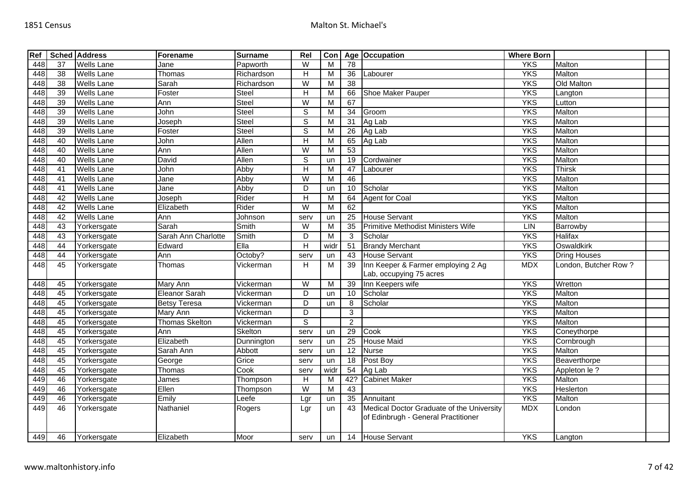| Ref |                 | <b>Sched Address</b> | Forename              | <b>Surname</b> | Rel            | Con            |                 | Age Occupation                            | <b>Where Born</b> |                      |  |
|-----|-----------------|----------------------|-----------------------|----------------|----------------|----------------|-----------------|-------------------------------------------|-------------------|----------------------|--|
| 448 | 37              | <b>Wells Lane</b>    | Jane                  | Papworth       | W              | M              | 78              |                                           | <b>YKS</b>        | Malton               |  |
| 448 | 38              | <b>Wells Lane</b>    | Thomas                | Richardson     | H              | M              | 36              | Labourer                                  | <b>YKS</b>        | Malton               |  |
| 448 | 38              | Wells Lane           | Sarah                 | Richardson     | W              | M              | $\overline{38}$ |                                           | <b>YKS</b>        | Old Malton           |  |
| 448 | 39              | <b>Wells Lane</b>    | Foster                | Steel          | $\overline{H}$ | М              | 66              | Shoe Maker Pauper                         | <b>YKS</b>        | Langton              |  |
| 448 | 39              | <b>Wells Lane</b>    | Ann                   | Steel          | $\overline{W}$ | M              | 67              |                                           | <b>YKS</b>        | Lutton               |  |
| 448 | 39              | Wells Lane           | John                  | Steel          | $\mathbf S$    | M              | 34              | Groom                                     | <b>YKS</b>        | <b>Malton</b>        |  |
| 448 | 39              | Wells Lane           | Joseph                | Steel          | $\mathbb S$    | M              | 31              | Ag Lab                                    | <b>YKS</b>        | Malton               |  |
| 448 | 39              | Wells Lane           | Foster                | Steel          | $\overline{s}$ | M              | 26              | Ag Lab                                    | <b>YKS</b>        | Malton               |  |
| 448 | 40              | Wells Lane           | John                  | Allen          | Н              | M              | 65              | Ag Lab                                    | <b>YKS</b>        | Malton               |  |
| 448 | 40              | <b>Wells Lane</b>    | Ann                   | Allen          | $\overline{W}$ | M              | 53              |                                           | <b>YKS</b>        | Malton               |  |
| 448 | 40              | <b>Wells Lane</b>    | David                 | Allen          | $\overline{s}$ | un             | 19              | Cordwainer                                | <b>YKS</b>        | Malton               |  |
| 448 | 41              | <b>Wells Lane</b>    | John                  | Abby           | Н              | М              | 47              | Labourer                                  | <b>YKS</b>        | <b>Thirsk</b>        |  |
| 448 | 41              | <b>Wells Lane</b>    | Jane                  | Abby           | $\overline{W}$ | $\overline{M}$ | 46              |                                           | <b>YKS</b>        | Malton               |  |
| 448 | 41              | Wells Lane           | Jane                  | Abby           | D              | un             | 10              | Scholar                                   | <b>YKS</b>        | Malton               |  |
| 448 | 42              | <b>Wells Lane</b>    | Joseph                | Rider          | $\overline{H}$ | M              | 64              | <b>Agent for Coal</b>                     | <b>YKS</b>        | Malton               |  |
| 448 | 42              | Wells Lane           | Elizabeth             | Rider          | $\overline{W}$ | M              | 62              |                                           | <b>YKS</b>        | Malton               |  |
| 448 | 42              | Wells Lane           | Ann                   | Johnson        | serv           | un             | 25              | <b>House Servant</b>                      | <b>YKS</b>        | Malton               |  |
| 448 | 43              | Yorkersgate          | Sarah                 | Smith          | W              | M              | 35              | Primitive Methodist Ministers Wife        | LIN               | Barrowby             |  |
| 448 | $\overline{43}$ | Yorkersgate          | Sarah Ann Charlotte   | Smith          | D              | $\overline{M}$ | 3               | Scholar                                   | <b>YKS</b>        | <b>Halifax</b>       |  |
| 448 | 44              | Yorkersgate          | Edward                | $E$ lla        | H              | wid            | 51              | <b>Brandy Merchant</b>                    | <b>YKS</b>        | Oswaldkirk           |  |
| 448 | 44              | Yorkersgate          | Ann                   | Octoby?        | serv           | un             | 43              | <b>House Servant</b>                      | <b>YKS</b>        | <b>Dring Houses</b>  |  |
| 448 | 45              | Yorkersgate          | Thomas                | Vickerman      | H              | M              | 39              | Inn Keeper & Farmer employing 2 Ag        | <b>MDX</b>        | London, Butcher Row? |  |
|     |                 |                      |                       |                |                |                |                 | Lab, occupying 75 acres                   |                   |                      |  |
| 448 | 45              | Yorkersgate          | Mary Ann              | Vickerman      | $\overline{W}$ | M              | 39              | Inn Keepers wife                          | <b>YKS</b>        | Wretton              |  |
| 448 | 45              | Yorkersgate          | <b>Eleanor Sarah</b>  | Vickerman      | D              | un             | 10              | Scholar                                   | <b>YKS</b>        | Malton               |  |
| 448 | 45              | Yorkersgate          | <b>Betsy Teresa</b>   | Vickerman      | $\overline{D}$ | un             | 8               | Scholar                                   | <b>YKS</b>        | Malton               |  |
| 448 | 45              | Yorkersgate          | Mary Ann              | Vickerman      | D              |                | 3               |                                           | <b>YKS</b>        | Malton               |  |
| 448 | 45              | Yorkersgate          | <b>Thomas Skelton</b> | Vickerman      | $\overline{s}$ |                | $\overline{2}$  |                                           | <b>YKS</b>        | Malton               |  |
| 448 | 45              | Yorkersgate          | Ann                   | Skelton        | serv           | un             | 29              | <b>Cook</b>                               | <b>YKS</b>        | Coneythorpe          |  |
| 448 | 45              | Yorkersgate          | Elizabeth             | Dunnington     | serv           | un             | 25              | <b>House Maid</b>                         | <b>YKS</b>        | Cornbrough           |  |
| 448 | 45              | Yorkersgate          | Sarah Ann             | Abbott         | serv           | un             | 12              | <b>Nurse</b>                              | <b>YKS</b>        | Malton               |  |
| 448 | 45              | Yorkersgate          | George                | Grice          | serv           | un             | 18              | Post Boy                                  | <b>YKS</b>        | Beaverthorpe         |  |
| 448 | 45              | Yorkersgate          | Thomas                | Cook           | serv           | widr           | 54              | Ag Lab                                    | <b>YKS</b>        | Appleton le ?        |  |
| 449 | 46              | Yorkersgate          | James                 | Thompson       | H              | M              | 42?             | <b>Cabinet Maker</b>                      | <b>YKS</b>        | Malton               |  |
| 449 | 46              | Yorkersgate          | Ellen                 | Thompson       | $\overline{W}$ | M              | 43              |                                           | <b>YKS</b>        | Heslerton            |  |
| 449 | 46              | Yorkersgate          | Emily                 | Leefe          | Lgr            | un             | 35              | Annuitant                                 | <b>YKS</b>        | Malton               |  |
| 449 | 46              | Yorkersgate          | Nathaniel             | Rogers         | Lgr            | un             | 43              | Medical Doctor Graduate of the University | <b>MDX</b>        | London               |  |
|     |                 |                      |                       |                |                |                |                 | of Edinbrugh - General Practitioner       |                   |                      |  |
|     |                 |                      |                       |                |                |                |                 |                                           |                   |                      |  |
| 449 | 46              | Yorkersgate          | Elizabeth             | Moor           | serv           | un             |                 | 14 House Servant                          | <b>YKS</b>        | Langton              |  |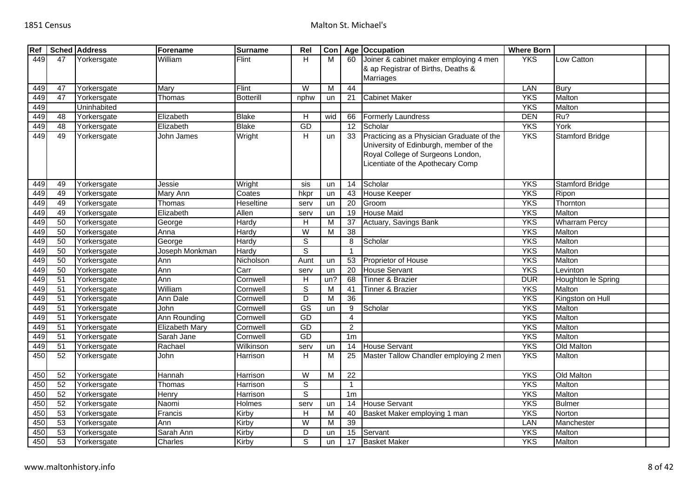| Ref |                 | <b>Sched Address</b> | Forename              | <b>Surname</b>   | Rel                    | Con |                 | Age Occupation                            | <b>Where Born</b> |                        |  |
|-----|-----------------|----------------------|-----------------------|------------------|------------------------|-----|-----------------|-------------------------------------------|-------------------|------------------------|--|
| 449 | 47              | Yorkersgate          | William               | Flint            | H                      | M   | 60              | Joiner & cabinet maker employing 4 men    | <b>YKS</b>        | Low Catton             |  |
|     |                 |                      |                       |                  |                        |     |                 | & ap Registrar of Births, Deaths &        |                   |                        |  |
|     |                 |                      |                       |                  |                        |     |                 | Marriages                                 |                   |                        |  |
| 449 | 47              | Yorkersgate          | Marv                  | Flint            | W                      | M   | 44              |                                           | LAN               | Bury                   |  |
| 449 | 47              | Yorkersgate          | Thomas                | <b>Botterill</b> | nphw                   | un  | 21              | <b>Cabinet Maker</b>                      | <b>YKS</b>        | Malton                 |  |
| 449 |                 | Uninhabited          |                       |                  |                        |     |                 |                                           | <b>YKS</b>        | Malton                 |  |
| 449 | 48              | Yorkersgate          | Elizabeth             | <b>Blake</b>     | Н                      | wid | 66              | <b>Formerly Laundress</b>                 | <b>DEN</b>        | Ru?                    |  |
| 449 | 48              | Yorkersgate          | Elizabeth             | <b>Blake</b>     | <b>GD</b>              |     | 12              | Scholar                                   | <b>YKS</b>        | York                   |  |
| 449 | 49              | Yorkersgate          | John James            | Wright           | H                      | un  | 33              | Practicing as a Physician Graduate of the | <b>YKS</b>        | <b>Stamford Bridge</b> |  |
|     |                 |                      |                       |                  |                        |     |                 | University of Edinburgh, member of the    |                   |                        |  |
|     |                 |                      |                       |                  |                        |     |                 | Royal College of Surgeons London,         |                   |                        |  |
|     |                 |                      |                       |                  |                        |     |                 | Licentiate of the Apothecary Comp         |                   |                        |  |
|     |                 |                      |                       |                  |                        |     |                 |                                           |                   |                        |  |
| 449 | 49              | Yorkersgate          | Jessie                | Wright           | sis                    | un  | 14              | Scholar                                   | <b>YKS</b>        | <b>Stamford Bridge</b> |  |
| 449 | 49              | Yorkersgate          | Mary Ann              | Coates           | hkpr                   | un  | 43              | <b>House Keeper</b>                       | <b>YKS</b>        | Ripon                  |  |
| 449 | 49              | Yorkersgate          | Thomas                | <b>Heseltine</b> | serv                   | un  | 20              | Groom                                     | <b>YKS</b>        | Thornton               |  |
| 449 | 49              | Yorkersgate          | Elizabeth             | Allen            | serv                   | un  | 19              | <b>House Maid</b>                         | <b>YKS</b>        | Malton                 |  |
| 449 | 50              | Yorkersgate          | George                | Hardy            | H                      | M   | 37              | Actuary, Savings Bank                     | <b>YKS</b>        | <b>Wharram Percy</b>   |  |
| 449 | 50              | Yorkersgate          | Anna                  | Hardy            | $\overline{W}$         | M   | $\overline{38}$ |                                           | <b>YKS</b>        | Malton                 |  |
| 449 | 50              | Yorkersgate          | George                | Hardy            | S                      |     | 8               | Scholar                                   | <b>YKS</b>        | Malton                 |  |
| 449 | 50              | Yorkersgate          | Joseph Monkman        | Hardy            | S                      |     | -1              |                                           | <b>YKS</b>        | Malton                 |  |
| 449 | 50              | Yorkersgate          | Ann                   | Nicholson        | Aunt                   | un  | 53              | Proprietor of House                       | <b>YKS</b>        | Malton                 |  |
| 449 | 50              | Yorkersgate          | Ann                   | Carr             | serv                   | un  | 20              | <b>House Servant</b>                      | <b>YKS</b>        | Levinton               |  |
| 449 | 51              | Yorkersgate          | Ann                   | Cornwell         | H                      | un? | 68              | Tinner & Brazier                          | <b>DUR</b>        | Houghton le Spring     |  |
| 449 | $\overline{51}$ | Yorkersgate          | William               | Cornwell         | $\overline{s}$         | м   | 41              | Tinner & Brazier                          | <b>YKS</b>        | Malton                 |  |
| 449 | 51              | Yorkersgate          | Ann Dale              | Cornwell         | $\overline{D}$         | М   | 36              |                                           | <b>YKS</b>        | Kingston on Hull       |  |
| 449 | $\overline{51}$ | Yorkersgate          | John                  | Cornwell         | $\overline{\text{GS}}$ | un  | 9               | Scholar                                   | <b>YKS</b>        | Malton                 |  |
| 449 | $\overline{51}$ | Yorkersgate          | Ann Rounding          | Cornwell         | GD                     |     | $\overline{4}$  |                                           | <b>YKS</b>        | Malton                 |  |
| 449 | $\overline{51}$ | Yorkersgate          | <b>Elizabeth Mary</b> | Cornwell         | GD                     |     | $\overline{2}$  |                                           | <b>YKS</b>        | Malton                 |  |
| 449 | 51              | Yorkersgate          | Sarah Jane            | Cornwell         | GD                     |     | 1 <sub>m</sub>  |                                           | <b>YKS</b>        | Malton                 |  |
| 449 | 51              | Yorkersgate          | Rachael               | Wilkinson        | serv                   | un  | 14              | <b>House Servant</b>                      | <b>YKS</b>        | Old Malton             |  |
| 450 | 52              | Yorkersgate          | John                  | Harrison         | H                      | M   | 25              | Master Tallow Chandler employing 2 men    | <b>YKS</b>        | Malton                 |  |
|     |                 |                      |                       |                  |                        |     |                 |                                           |                   |                        |  |
| 450 | 52              | Yorkersgate          | Hannah                | Harrison         | W                      | M   | 22              |                                           | <b>YKS</b>        | Old Malton             |  |
| 450 | 52              | Yorkersgate          | Thomas                | Harrison         | S                      |     | $\mathbf{1}$    |                                           | <b>YKS</b>        | Malton                 |  |
| 450 | 52              | Yorkersgate          | Henry                 | Harrison         | $\overline{s}$         |     | 1 <sub>m</sub>  |                                           | <b>YKS</b>        | Malton                 |  |
| 450 | 52              | Yorkersgate          | Naomi                 | <b>Holmes</b>    | serv                   | un  | 14              | <b>House Servant</b>                      | <b>YKS</b>        | <b>Bulmer</b>          |  |
| 450 | 53              | Yorkersgate          | Francis               | Kirby            | H                      | м   | 40              | Basket Maker employing 1 man              | <b>YKS</b>        | Norton                 |  |
| 450 | 53              | Yorkersgate          | Ann                   | Kirby            | W                      | м   | 39              |                                           | LAN               | Manchester             |  |
| 450 | 53              | Yorkersgate          | Sarah Ann             | Kirby            | D                      | un  | 15              | Servant                                   | <b>YKS</b>        | Malton                 |  |
| 450 | 53              | Yorkersgate          | Charles               | Kirby            | S                      | un  | 17              | <b>Basket Maker</b>                       | <b>YKS</b>        | Malton                 |  |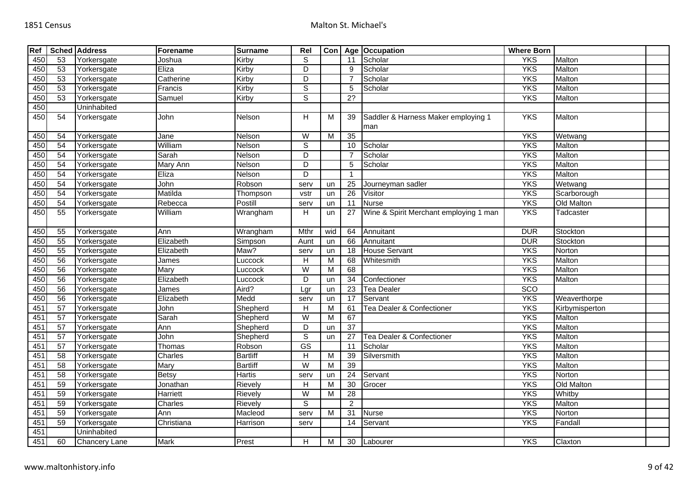| Ref |                 | <b>Sched Address</b> | Forename        | <b>Surname</b>  | Rel                    | Con                     |                 | Age   Occupation                           | <b>Where Born</b> |                |  |
|-----|-----------------|----------------------|-----------------|-----------------|------------------------|-------------------------|-----------------|--------------------------------------------|-------------------|----------------|--|
| 450 | 53              | Yorkersgate          | Joshua          | Kirby           | S                      |                         | 11              | Scholar                                    | <b>YKS</b>        | Malton         |  |
| 450 | 53              | Yorkersgate          | Eliza           | Kirby           | $\overline{D}$         |                         | 9               | Scholar                                    | <b>YKS</b>        | Malton         |  |
| 450 | 53              | Yorkersgate          | Catherine       | Kirby           | D                      |                         |                 | Scholar                                    | <b>YKS</b>        | Malton         |  |
| 450 | 53              | Yorkersgate          | Francis         | Kirby           | $\overline{s}$         |                         | 5               | Scholar                                    | <b>YKS</b>        | Malton         |  |
| 450 | 53              | Yorkersgate          | Samuel          | Kirby           | $\overline{s}$         |                         | $\overline{2?}$ |                                            | <b>YKS</b>        | Malton         |  |
| 450 |                 | Uninhabited          |                 |                 |                        |                         |                 |                                            |                   |                |  |
| 450 | 54              | Yorkersgate          | John            | Nelson          | H                      | м                       | 39              | Saddler & Harness Maker employing 1<br>man | <b>YKS</b>        | Malton         |  |
| 450 | 54              | Yorkersgate          | Jane            | Nelson          | $\overline{W}$         | M                       | 35              |                                            | <b>YKS</b>        | Wetwang        |  |
| 450 | 54              | Yorkersgate          | William         | Nelson          | $\overline{s}$         |                         | 10              | Scholar                                    | <b>YKS</b>        | Malton         |  |
| 450 | 54              | Yorkersgate          | Sarah           | Nelson          | D                      |                         |                 | Scholar                                    | <b>YKS</b>        | Malton         |  |
| 450 | 54              | Yorkersgate          | Mary Ann        | Nelson          | $\overline{D}$         |                         | 5               | Scholar                                    | <b>YKS</b>        | Malton         |  |
| 450 | 54              | Yorkersgate          | Eliza           | Nelson          | D                      |                         | $\overline{1}$  |                                            | <b>YKS</b>        | Malton         |  |
| 450 | 54              | Yorkersgate          | John            | Robson          | serv                   | un                      | 25              | Journeyman sadler                          | <b>YKS</b>        | Wetwang        |  |
| 450 | 54              | Yorkersgate          | Matilda         | Thompson        | vstr                   | un                      | $\overline{26}$ | Visitor                                    | <b>YKS</b>        | Scarborough    |  |
| 450 | 54              | Yorkersgate          | Rebecca         | Postill         | serv                   | un                      | 11              | <b>Nurse</b>                               | <b>YKS</b>        | Old Malton     |  |
| 450 | 55              | Yorkersgate          | William         | Wrangham        | H                      | un                      | 27              | Wine & Spirit Merchant employing 1 man     | <b>YKS</b>        | Tadcaster      |  |
| 450 | 55              | Yorkersgate          | Ann             | Wrangham        | Mthr                   | wid                     | 64              | Annuitant                                  | <b>DUR</b>        | Stockton       |  |
| 450 | 55              | Yorkersgate          | Elizabeth       | Simpson         | Aunt                   | un                      | 66              | Annuitant                                  | <b>DUR</b>        | Stockton       |  |
| 450 | 55              | Yorkersgate          | Elizabeth       | Maw?            | serv                   | un                      | 18              | <b>House Servant</b>                       | <b>YKS</b>        | Norton         |  |
| 450 | 56              | Yorkersgate          | James           | _uccock         | H                      | M                       | 68              | Whitesmith                                 | <b>YKS</b>        | Malton         |  |
| 450 | 56              | Yorkersgate          | Mary            | Luccock         | W                      | M                       | 68              |                                            | <b>YKS</b>        | Malton         |  |
| 450 | 56              | Yorkersgate          | Elizabeth       | Luccock         | D                      | un                      | 34              | Confectioner                               | <b>YKS</b>        | Malton         |  |
| 450 | $\overline{56}$ | Yorkersgate          | <b>James</b>    | Aird?           | Lgr                    | un                      | $\overline{23}$ | <b>Tea Dealer</b>                          | <b>SCO</b>        |                |  |
| 450 | 56              | Yorkersgate          | Elizabeth       | Medd            | serv                   | un                      | 17              | Servant                                    | <b>YKS</b>        | Weaverthorpe   |  |
| 451 | 57              | Yorkersgate          | John            | Shepherd        | $\overline{H}$         | M                       | 61              | Tea Dealer & Confectioner                  | <b>YKS</b>        | Kirbymisperton |  |
| 451 | 57              | Yorkersgate          | Sarah           | Shepherd        | W                      | M                       | 67              |                                            | <b>YKS</b>        | Malton         |  |
| 451 | 57              | Yorkersgate          | Ann             | Shepherd        | D                      | un                      | 37              |                                            | <b>YKS</b>        | Malton         |  |
| 451 | 57              | Yorkersgate          | John            | Shepherd        | $\overline{s}$         | un                      | 27              | <b>Tea Dealer &amp; Confectioner</b>       | <b>YKS</b>        | Malton         |  |
| 451 | 57              | Yorkersgate          | Thomas          | Robson          | $\overline{\text{GS}}$ |                         | 11              | Scholar                                    | <b>YKS</b>        | Malton         |  |
| 451 | 58              | Yorkersgate          | Charles         | <b>Bartliff</b> | $\overline{H}$         | $\overline{\mathsf{M}}$ | 39              | Silversmith                                | <b>YKS</b>        | Malton         |  |
| 451 | 58              | Yorkersgate          | Mary            | <b>Bartliff</b> | W                      | M                       | 39              |                                            | <b>YKS</b>        | Malton         |  |
| 451 | 58              | Yorkersgate          | Betsy           | Hartis          | serv                   | un                      | 24              | Servant                                    | <b>YKS</b>        | Norton         |  |
| 451 | 59              | Yorkersgate          | Jonathan        | Rievely         | H                      | M                       | 30              | Grocer                                     | <b>YKS</b>        | Old Malton     |  |
| 451 | 59              | Yorkersgate          | <b>Harriett</b> | Rievely         | W                      | M                       | $\overline{28}$ |                                            | <b>YKS</b>        | Whitby         |  |
| 451 | 59              | Yorkersgate          | Charles         | <b>Rievely</b>  | S                      |                         | $\overline{2}$  |                                            | <b>YKS</b>        | <b>Malton</b>  |  |
| 451 | 59              | Yorkersgate          | Ann             | Macleod         | serv                   | M                       | 31              | <b>Nurse</b>                               | <b>YKS</b>        | Norton         |  |
| 451 | 59              | Yorkersgate          | Christiana      | Harrison        | serv                   |                         | 14              | Servant                                    | <b>YKS</b>        | Fandall        |  |
| 451 |                 | Uninhabited          |                 |                 |                        |                         |                 |                                            |                   |                |  |
| 451 | 60              | Chancery Lane        | <b>Mark</b>     | Prest           | H                      | М                       | 30              | Labourer                                   | <b>YKS</b>        | Claxton        |  |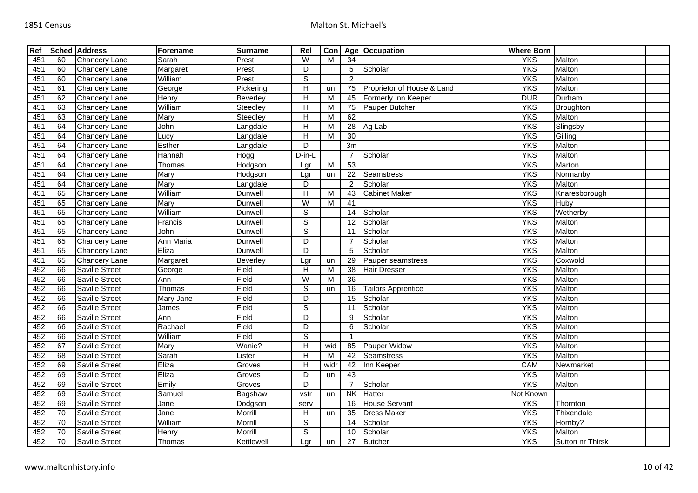| Ref |                 | <b>Sched Address</b>  | Forename  | <b>Surname</b>  | Rel                       |      |                 | Con   Age   Occupation     | <b>Where Born</b> |                  |  |
|-----|-----------------|-----------------------|-----------|-----------------|---------------------------|------|-----------------|----------------------------|-------------------|------------------|--|
| 451 | 60              | <b>Chancery Lane</b>  | Sarah     | Prest           | $\overline{W}$            | M    | 34              |                            | <b>YKS</b>        | Malton           |  |
| 451 | 60              | Chancery Lane         | Margaret  | Prest           | D                         |      | $\sqrt{5}$      | Scholar                    | <b>YKS</b>        | Malton           |  |
| 451 | 60              | <b>Chancery Lane</b>  | William   | Prest           | ड                         |      | $\overline{2}$  |                            | <b>YKS</b>        | Malton           |  |
| 451 | 61              | Chancery Lane         | George    | Pickering       | $\boldsymbol{\mathsf{H}}$ | un   | 75              | Proprietor of House & Land | <b>YKS</b>        | Malton           |  |
| 451 | 62              | <b>Chancery Lane</b>  | Henry     | Beverley        | $\overline{H}$            | M    | 45              | Formerly Inn Keeper        | <b>DUR</b>        | Durham           |  |
| 451 | 63              | <b>Chancery Lane</b>  | William   | <b>Steedley</b> | $\overline{H}$            | M    | 75              | Pauper Butcher             | <b>YKS</b>        | Broughton        |  |
| 451 | 63              | Chancery Lane         | Mary      | Steedley        | $\overline{H}$            | M    | 62              |                            | <b>YKS</b>        | Malton           |  |
| 451 | 64              | Chancery Lane         | John      | Langdale        | $\overline{H}$            | M    | $\overline{28}$ | Ag Lab                     | <b>YKS</b>        | Slingsby         |  |
| 451 | 64              | Chancery Lane         | Lucy      | Langdale        | $\boldsymbol{\mathsf{H}}$ | M    | $\overline{30}$ |                            | <b>YKS</b>        | Gilling          |  |
| 451 | 64              | <b>Chancery Lane</b>  | Esther    | Langdale        | D                         |      | $\overline{3m}$ |                            | <b>YKS</b>        | Malton           |  |
| 451 | 64              | Chancery Lane         | Hannah    | Hogg            | D-in-L                    |      | $\overline{7}$  | Scholar                    | <b>YKS</b>        | Malton           |  |
| 451 | 64              | <b>Chancery Lane</b>  | Thomas    | Hodgson         | Lgr                       | M    | 53              |                            | <b>YKS</b>        | Marton           |  |
| 451 | 64              | <b>Chancery Lane</b>  | Mary      | Hodgson         | Lgr                       | un   | 22              | <b>Seamstress</b>          | <b>YKS</b>        | Normanby         |  |
| 451 | 64              | Chancery Lane         | Mary      | Langdale        | D                         |      | $\overline{2}$  | Scholar                    | <b>YKS</b>        | Malton           |  |
| 451 | 65              | Chancery Lane         | William   | Dunwell         | $\overline{H}$            | M    | 43              | <b>Cabinet Maker</b>       | <b>YKS</b>        | Knaresborough    |  |
| 451 | 65              | Chancery Lane         | Mary      | Dunwell         | W                         | M    | 41              |                            | <b>YKS</b>        | Huby             |  |
| 451 | 65              | Chancery Lane         | William   | Dunwell         | $\overline{s}$            |      | $\overline{14}$ | Scholar                    | <b>YKS</b>        | Wetherby         |  |
| 451 | 65              | Chancery Lane         | Francis   | Dunwell         | $\overline{s}$            |      | 12              | Scholar                    | <b>YKS</b>        | Malton           |  |
| 451 | 65              | Chancery Lane         | John      | Dunwell         | $\overline{s}$            |      | 11              | Scholar                    | <b>YKS</b>        | Malton           |  |
| 451 | 65              | <b>Chancery Lane</b>  | Ann Maria | Dunwell         | D                         |      |                 | Scholar                    | <b>YKS</b>        | Malton           |  |
| 451 | 65              | Chancery Lane         | Eliza     | Dunwell         | D                         |      | $\overline{5}$  | Scholar                    | <b>YKS</b>        | Malton           |  |
| 451 | 65              | <b>Chancery Lane</b>  | Margaret  | Beverley        | Lgr                       | un   | 29              | Pauper seamstress          | <b>YKS</b>        | Coxwold          |  |
| 452 | 66              | Saville Street        | George    | Field           | $\boldsymbol{\mathsf{H}}$ | M    | 38              | <b>Hair Dresser</b>        | <b>YKS</b>        | Malton           |  |
| 452 | 66              | <b>Saville Street</b> | Ann       | Field           | W                         | M    | $\overline{36}$ |                            | <b>YKS</b>        | Malton           |  |
| 452 | 66              | <b>Saville Street</b> | Thomas    | Field           | S                         | un   | 16              | <b>Tailors Apprentice</b>  | <b>YKS</b>        | Malton           |  |
| 452 | 66              | <b>Saville Street</b> | Mary Jane | Field           | D                         |      | $\overline{15}$ | Scholar                    | <b>YKS</b>        | Malton           |  |
| 452 | 66              | Saville Street        | James     | Field           | $\mathbb S$               |      | 11              | Scholar                    | <b>YKS</b>        | Malton           |  |
| 452 | 66              | Saville Street        | Ann       | Field           | $\overline{D}$            |      | 9               | Scholar                    | <b>YKS</b>        | Malton           |  |
| 452 | 66              | <b>Saville Street</b> | Rachael   | Field           | $\overline{D}$            |      | 6               | Scholar                    | <b>YKS</b>        | Malton           |  |
| 452 | 66              | Saville Street        | William   | Field           | $\mathbb S$               |      | -1              |                            | <b>YKS</b>        | Malton           |  |
| 452 | 67              | <b>Saville Street</b> | Mary      | Wanie?          | $\overline{H}$            | wid  | 85              | Pauper Widow               | <b>YKS</b>        | Malton           |  |
| 452 | 68              | Saville Street        | Sarah     | Lister          | $\overline{H}$            | M    | 42              | <b>Seamstress</b>          | <b>YKS</b>        | Malton           |  |
| 452 | 69              | <b>Saville Street</b> | Eliza     | Groves          | $\boldsymbol{\mathsf{H}}$ | widr | 42              | Inn Keeper                 | CAM               | Newmarket        |  |
| 452 | 69              | Saville Street        | Eliza     | Groves          | D                         | un   | 43              |                            | <b>YKS</b>        | Malton           |  |
| 452 | 69              | <b>Saville Street</b> | Emily     | Groves          | D                         |      | $\overline{7}$  | Scholar                    | <b>YKS</b>        | Malton           |  |
| 452 | 69              | <b>Saville Street</b> | Samuel    | Bagshaw         | vstr                      | un   | <b>NK</b>       | <b>Hatter</b>              | Not Known         |                  |  |
| 452 | 69              | Saville Street        | Jane      | Dodgson         | serv                      |      | 16              | <b>House Servant</b>       | <b>YKS</b>        | Thornton         |  |
| 452 | 70              | <b>Saville Street</b> | Jane      | Morrill         | H                         | un   | 35              | <b>Dress Maker</b>         | <b>YKS</b>        | Thixendale       |  |
| 452 | 70              | <b>Saville Street</b> | William   | Morrill         | ${\mathsf S}$             |      | 14              | Scholar                    | <b>YKS</b>        | Hornby?          |  |
| 452 | $\overline{70}$ | Saville Street        | Henry     | Morrill         | $\overline{s}$            |      | 10              | Scholar                    | <b>YKS</b>        | Malton           |  |
| 452 | 70              | <b>Saville Street</b> | Thomas    | Kettlewell      | Lgr                       | un   | 27              | <b>Butcher</b>             | <b>YKS</b>        | Sutton nr Thirsk |  |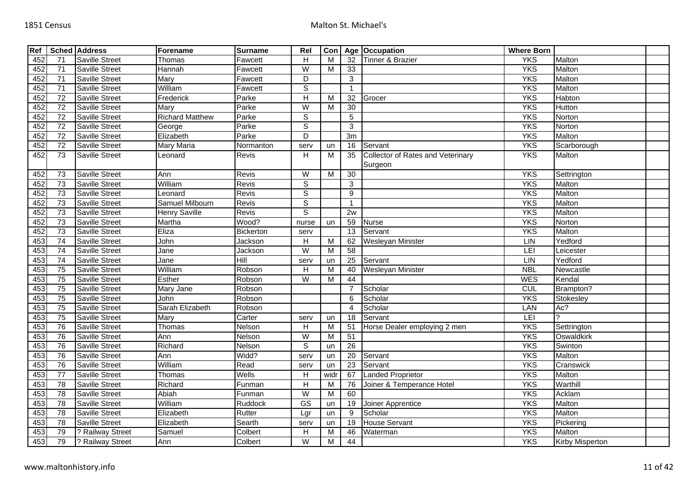| Ref |                 | <b>Sched Address</b>  | Forename               | <b>Surname</b>             | Rel                     | Con  |                         | Age Occupation                                      | <b>Where Born</b> |                        |  |
|-----|-----------------|-----------------------|------------------------|----------------------------|-------------------------|------|-------------------------|-----------------------------------------------------|-------------------|------------------------|--|
| 452 | 71              | <b>Saville Street</b> | Thomas                 | Fawcett                    | H                       | M    | 32                      | Tinner & Brazier                                    | <b>YKS</b>        | Malton                 |  |
| 452 | $\overline{71}$ | <b>Saville Street</b> | Hannah                 | Fawcett                    | W                       | M    | 33                      |                                                     | <b>YKS</b>        | Malton                 |  |
| 452 | 71              | <b>Saville Street</b> | Mary                   | Fawcett                    | D                       |      | 3                       |                                                     | <b>YKS</b>        | Malton                 |  |
| 452 | $\overline{71}$ | <b>Saville Street</b> | William                | Fawcett                    | $\overline{s}$          |      | $\overline{1}$          |                                                     | <b>YKS</b>        | Malton                 |  |
| 452 | $\overline{72}$ | <b>Saville Street</b> | Frederick              | Parke                      | $\overline{H}$          | M    | 32                      | Grocer                                              | <b>YKS</b>        | Habton                 |  |
| 452 | $\overline{72}$ | <b>Saville Street</b> | Mary                   | Parke                      | $\overline{W}$          | M    | $\overline{30}$         |                                                     | <b>YKS</b>        | Hutton                 |  |
| 452 | $\overline{72}$ | <b>Saville Street</b> | <b>Richard Matthew</b> | Parke                      | $\mathbb S$             |      | 5                       |                                                     | <b>YKS</b>        | Norton                 |  |
| 452 | $\overline{72}$ | Saville Street        | George                 | Parke                      | $\mathbb S$             |      | 3                       |                                                     | <b>YKS</b>        | Norton                 |  |
| 452 | 72              | <b>Saville Street</b> | Elizabeth              | Parke                      | D                       |      | 3m                      |                                                     | <b>YKS</b>        | Malton                 |  |
| 452 | $\overline{72}$ | Saville Street        | <b>Mary Maria</b>      | Normanton                  | serv                    | un   | 16                      | Servant                                             | <b>YKS</b>        | Scarborough            |  |
| 452 | 73              | Saville Street        | Leonard                | Revis                      | H                       | M    | $\overline{35}$         | <b>Collector of Rates and Veterinary</b><br>Surgeon | <b>YKS</b>        | Malton                 |  |
| 452 | $\overline{73}$ | <b>Saville Street</b> | Ann                    | Revis                      | W                       | M    | $\overline{30}$         |                                                     | <b>YKS</b>        | Settrington            |  |
| 452 | 73              | <b>Saville Street</b> | William                | <b>Revis</b>               | S                       |      | 3                       |                                                     | <b>YKS</b>        | Malton                 |  |
| 452 | $\overline{73}$ | <b>Saville Street</b> | Leonard                | Revis                      | $\overline{s}$          |      | 9                       |                                                     | <b>YKS</b>        | Malton                 |  |
| 452 | 73              | <b>Saville Street</b> | Samuel Milbourn        | Revis                      | $\mathbb S$             |      | $\overline{\mathbf{1}}$ |                                                     | <b>YKS</b>        | Malton                 |  |
| 452 | $\overline{73}$ | <b>Saville Street</b> | <b>Henry Saville</b>   | Revis                      | $\overline{s}$          |      | 2w                      |                                                     | <b>YKS</b>        | Malton                 |  |
| 452 | 73              | Saville Street        | Martha                 | Wood?                      | nurse                   | un   | 59                      | <b>Nurse</b>                                        | <b>YKS</b>        | Norton                 |  |
| 452 | 73              | <b>Saville Street</b> | Eliza                  | Bickerton                  | serv                    |      | $\overline{13}$         | Servant                                             | <b>YKS</b>        | Malton                 |  |
| 453 | 74              | <b>Saville Street</b> | John                   | Jackson                    | H                       | M    | 62                      | Wesleyan Minister                                   | LIN               | Yedford                |  |
| 453 | $\overline{74}$ | Saville Street        | Jane                   | Jackson                    | $\overline{W}$          | M    | 58                      |                                                     | LEI               | Leicester              |  |
| 453 | $\overline{74}$ | <b>Saville Street</b> | Jane                   | $\overline{\mathsf{Hill}}$ | serv                    | un   | $\overline{25}$         | Servant                                             | LIN               | Yedford                |  |
| 453 | 75              | <b>Saville Street</b> | William                | Robson                     | H                       | M    | 40                      | Wesleyan Minister                                   | <b>NBL</b>        | Newcastle              |  |
| 453 | 75              | <b>Saville Street</b> | Esther                 | Robson                     | W                       | M    | 44                      |                                                     | <b>WES</b>        | Kendal                 |  |
| 453 | 75              | <b>Saville Street</b> | Mary Jane              | Robson                     |                         |      | 7                       | Scholar                                             | CUL               | Brampton?              |  |
| 453 | 75              | <b>Saville Street</b> | John                   | Robson                     |                         |      | 6                       | Scholar                                             | <b>YKS</b>        | Stokesley              |  |
| 453 | 75              | Saville Street        | Sarah Elizabeth        | Robson                     |                         |      | $\overline{4}$          | Scholar                                             | LAN               | Ac?                    |  |
| 453 | 75              | <b>Saville Street</b> | Mary                   | Carter                     | serv                    | un   | 18                      | Servant                                             | LEI               | $\overline{?}$         |  |
| 453 | 76              | <b>Saville Street</b> | Thomas                 | Nelson                     | H                       | M    | 51                      | Horse Dealer employing 2 men                        | <b>YKS</b>        | Settrington            |  |
| 453 | 76              | <b>Saville Street</b> | Ann                    | Nelson                     | W                       | M    | 51                      |                                                     | <b>YKS</b>        | Oswaldkirk             |  |
| 453 | 76              | <b>Saville Street</b> | Richard                | Nelson                     | $\overline{s}$          | un   | $\overline{26}$         |                                                     | <b>YKS</b>        | Swinton                |  |
| 453 | 76              | <b>Saville Street</b> | Ann                    | Widd?                      | serv                    | un   | $\overline{20}$         | Servant                                             | <b>YKS</b>        | Malton                 |  |
| 453 | 76              | <b>Saville Street</b> | William                | Read                       | serv                    | un   | $\overline{23}$         | Servant                                             | <b>YKS</b>        | Cranswick              |  |
| 453 | $\overline{77}$ | <b>Saville Street</b> | Thomas                 | Wells                      | H                       | widr | 67                      | <b>Landed Proprietor</b>                            | <b>YKS</b>        | Malton                 |  |
| 453 | $\overline{78}$ | <b>Saville Street</b> | Richard                | Funman                     | $\overline{H}$          | M    | 76                      | Joiner & Temperance Hotel                           | <b>YKS</b>        | Warthill               |  |
| 453 | 78              | <b>Saville Street</b> | Abiah                  | Funman                     | W                       | M    | 60                      |                                                     | <b>YKS</b>        | Acklam                 |  |
| 453 | 78              | <b>Saville Street</b> | William                | Ruddock                    | $\overline{\text{GS}}$  | un   | 19                      | Joiner Apprentice                                   | <b>YKS</b>        | Malton                 |  |
| 453 | 78              | Saville Street        | Elizabeth              | Rutter                     | Lgr                     | un   | 9                       | Scholar                                             | <b>YKS</b>        | Malton                 |  |
| 453 | $\overline{78}$ | <b>Saville Street</b> | Elizabeth              | Searth                     | serv                    | un   | $\overline{19}$         | <b>House Servant</b>                                | <b>YKS</b>        | Pickering              |  |
| 453 | 79              | ? Railway Street      | Samuel                 | Colbert                    | H                       | м    | 46                      | Waterman                                            | <b>YKS</b>        | Malton                 |  |
| 453 | 79              | ? Railway Street      | Ann                    | Colbert                    | $\overline{\mathsf{W}}$ | M    | 44                      |                                                     | <b>YKS</b>        | <b>Kirby Misperton</b> |  |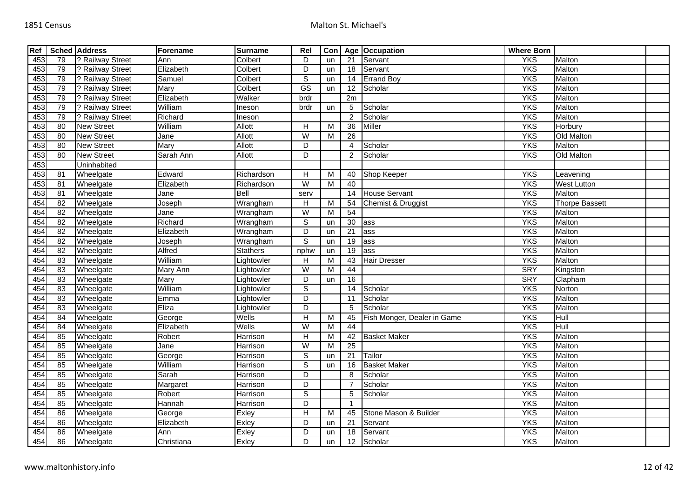| Ref |                 | <b>Sched Address</b> | Forename   | <b>Surname</b>  | Rel                     | Con |                 | Age Occupation              | <b>Where Born</b> |                       |  |
|-----|-----------------|----------------------|------------|-----------------|-------------------------|-----|-----------------|-----------------------------|-------------------|-----------------------|--|
| 453 | 79              | ? Railway Street     | Ann        | Colbert         | D                       | un  | 21              | Servant                     | <b>YKS</b>        | Malton                |  |
| 453 | 79              | ? Railway Street     | Elizabeth  | Colbert         | D                       | un  | 18              | Servant                     | <b>YKS</b>        | Malton                |  |
| 453 | 79              | ? Railway Street     | Samuel     | Colbert         | $\overline{s}$          | un  | 14              | <b>Errand Boy</b>           | <b>YKS</b>        | Malton                |  |
| 453 | 79              | ? Railway Street     | Mary       | Colbert         | $\overline{\text{GS}}$  | un  | 12              | Scholar                     | <b>YKS</b>        | Malton                |  |
| 453 | 79              | ? Railway Street     | Elizabeth  | Walker          | brdr                    |     | 2m              |                             | <b>YKS</b>        | Malton                |  |
| 453 | 79              | ? Railway Street     | William    | Ineson          | brdr                    | un  | 5               | Scholar                     | <b>YKS</b>        | Malton                |  |
| 453 | 79              | ? Railway Street     | Richard    | Ineson          |                         |     | 2               | Scholar                     | <b>YKS</b>        | Malton                |  |
| 453 | 80              | <b>New Street</b>    | William    | Allott          | H                       | M   | 36              | Miller                      | <b>YKS</b>        | Horbury               |  |
| 453 | 80              | <b>New Street</b>    | Jane       | Allott          | W                       | M   | 26              |                             | <b>YKS</b>        | Old Malton            |  |
| 453 | 80              | <b>New Street</b>    | Mary       | Allott          | D                       |     | 4               | Scholar                     | <b>YKS</b>        | Malton                |  |
| 453 | $\overline{80}$ | <b>New Street</b>    | Sarah Ann  | <b>Allott</b>   | D                       |     | $\overline{2}$  | Scholar                     | <b>YKS</b>        | Old Malton            |  |
| 453 |                 | Uninhabited          |            |                 |                         |     |                 |                             |                   |                       |  |
| 453 | 81              | Wheelgate            | Edward     | Richardson      | H                       | M   | 40              | Shop Keeper                 | <b>YKS</b>        | Leavening             |  |
| 453 | 81              | Wheelgate            | Elizabeth  | Richardson      | $\overline{W}$          | м   | 40              |                             | <b>YKS</b>        | <b>West Lutton</b>    |  |
| 453 | 81              | Wheelgate            | Jane       | Bell            | serv                    |     | 14              | <b>House Servant</b>        | <b>YKS</b>        | Malton                |  |
| 454 | 82              | Wheelgate            | Joseph     | Wrangham        | $\overline{H}$          | M   | 54              | Chemist & Druggist          | <b>YKS</b>        | <b>Thorpe Bassett</b> |  |
| 454 | 82              | Wheelgate            | Jane       | Wrangham        | W                       | M   | 54              |                             | <b>YKS</b>        | Malton                |  |
| 454 | 82              | Wheelgate            | Richard    | Wrangham        | $\overline{s}$          | un  | 30              | ass                         | <b>YKS</b>        | Malton                |  |
| 454 | $\overline{82}$ | Wheelgate            | Elizabeth  | Wrangham        | $\overline{D}$          | un  | $\overline{21}$ | ass                         | <b>YKS</b>        | Malton                |  |
| 454 | 82              | Wheelgate            | Joseph     | Wrangham        | $\overline{s}$          | un  | 19              | ass                         | <b>YKS</b>        | Malton                |  |
| 454 | 82              | Wheelgate            | Alfred     | <b>Stathers</b> | nphw                    | un  | 19              | lass                        | <b>YKS</b>        | Malton                |  |
| 454 | 83              | Wheelgate            | William    | Lightowler      | H                       | M   | 43              | <b>Hair Dresser</b>         | <b>YKS</b>        | Malton                |  |
| 454 | 83              | Wheelgate            | Mary Ann   | Lightowler      | $\overline{\mathsf{W}}$ | М   | 44              |                             | <b>SRY</b>        | Kingston              |  |
| 454 | 83              | Wheelgate            | Mary       | Lightowler      | D                       | un  | 16              |                             | <b>SRY</b>        | $\overline{C}$ lapham |  |
| 454 | 83              | Wheelgate            | William    | Lightowler      | $\overline{s}$          |     | 14              | Scholar                     | <b>YKS</b>        | Norton                |  |
| 454 | 83              | Wheelgate            | Emma       | Lightowler      | D                       |     | 11              | Scholar                     | <b>YKS</b>        | Malton                |  |
| 454 | 83              | Wheelgate            | Eliza      | Lightowler      | $\overline{D}$          |     | 5               | Scholar                     | <b>YKS</b>        | Malton                |  |
| 454 | 84              | Wheelgate            | George     | Wells           | $\overline{H}$          | M   | 45              | Fish Monger, Dealer in Game | <b>YKS</b>        | Hull                  |  |
| 454 | 84              | Wheelgate            | Elizabeth  | Wells           | $\overline{\mathsf{W}}$ | M   | 44              |                             | <b>YKS</b>        | Hull                  |  |
| 454 | 85              | Wheelgate            | Robert     | Harrison        | H                       | M   | 42              | <b>Basket Maker</b>         | <b>YKS</b>        | Malton                |  |
| 454 | 85              | Wheelgate            | Jane       | Harrison        | W                       | М   | $\overline{25}$ |                             | <b>YKS</b>        | Malton                |  |
| 454 | 85              | Wheelgate            | George     | Harrison        | $\overline{s}$          | un  | $\overline{21}$ | Tailor                      | <b>YKS</b>        | Malton                |  |
| 454 | 85              | Wheelgate            | William    | Harrison        | $\mathbf S$             | un  | 16              | <b>Basket Maker</b>         | <b>YKS</b>        | Malton                |  |
| 454 | 85              | Wheelgate            | Sarah      | Harrison        | D                       |     | 8               | Scholar                     | <b>YKS</b>        | Malton                |  |
| 454 | 85              | Wheelgate            | Margaret   | Harrison        | D                       |     |                 | Scholar                     | <b>YKS</b>        | Malton                |  |
| 454 | 85              | Wheelgate            | Robert     | Harrison        | S                       |     | 5               | Scholar                     | <b>YKS</b>        | Malton                |  |
| 454 | 85              | Wheelgate            | Hannah     | Harrison        | D                       |     |                 |                             | <b>YKS</b>        | Malton                |  |
| 454 | 86              | Wheelgate            | George     | Exley           | Н                       | M   | 45              | Stone Mason & Builder       | <b>YKS</b>        | Malton                |  |
| 454 | 86              | Wheelgate            | Elizabeth  | Exley           | D                       | un  | 21              | Servant                     | <b>YKS</b>        | Malton                |  |
| 454 | 86              | Wheelgate            | Ann        | Exley           | D                       | un  | 18              | Servant                     | <b>YKS</b>        | Malton                |  |
| 454 | 86              | Wheelgate            | Christiana | Exley           | $\overline{D}$          | un  | 12              | Scholar                     | <b>YKS</b>        | Malton                |  |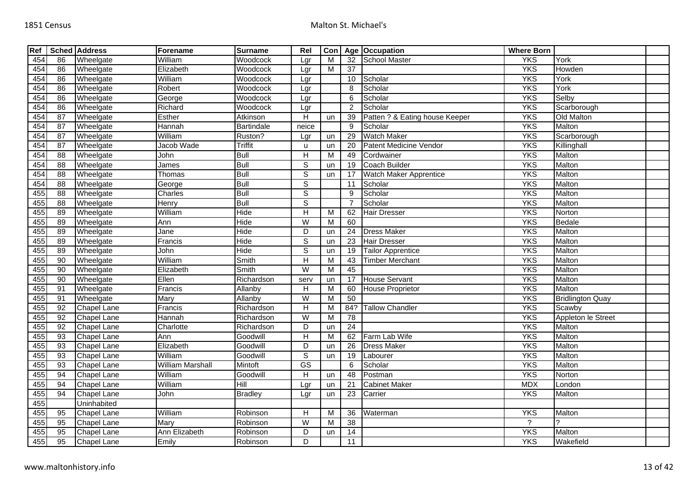| Ref |                 | <b>Sched Address</b> | Forename                | <b>Surname</b>    | Rel                     | Con |                 | Age Occupation                 | <b>Where Born</b> |                         |  |
|-----|-----------------|----------------------|-------------------------|-------------------|-------------------------|-----|-----------------|--------------------------------|-------------------|-------------------------|--|
| 454 | 86              | Wheelgate            | William                 | Woodcock          | Lgr                     | м   | 32              | School Master                  | <b>YKS</b>        | York                    |  |
| 454 | 86              | Wheelgate            | Elizabeth               | Woodcock          | Lgr                     | M   | 37              |                                | <b>YKS</b>        | Howden                  |  |
| 454 | 86              | Wheelgate            | William                 | Woodcock          | Lgr                     |     | 10              | Scholar                        | <b>YKS</b>        | York                    |  |
| 454 | 86              | Wheelgate            | Robert                  | Woodcock          | Lgr                     |     | 8               | Scholar                        | <b>YKS</b>        | York                    |  |
| 454 | 86              | Wheelgate            | George                  | Woodcock          | Lgr                     |     | 6               | Scholar                        | <b>YKS</b>        | Selby                   |  |
| 454 | 86              | Wheelgate            | Richard                 | Woodcock          | Lgr                     |     | $\overline{2}$  | Scholar                        | <b>YKS</b>        | Scarborough             |  |
| 454 | $\overline{87}$ | Wheelgate            | Esther                  | Atkinson          | Н                       | un  | 39              | Patten ? & Eating house Keeper | <b>YKS</b>        | Old Malton              |  |
| 454 | 87              | Wheelgate            | Hannah                  | <b>Bartindale</b> | neice                   |     | 9               | Scholar                        | <b>YKS</b>        | Malton                  |  |
| 454 | $\overline{87}$ | Wheelgate            | William                 | Ruston?           | Lgr                     | un  | 29              | <b>Watch Maker</b>             | <b>YKS</b>        | Scarborough             |  |
| 454 | $\overline{87}$ | Wheelgate            | Jacob Wade              | <b>Triffit</b>    | u                       | un  | 20              | Patent Medicine Vendor         | <b>YKS</b>        | Killinghall             |  |
| 454 | $\overline{88}$ | Wheelgate            | John                    | <b>Bull</b>       | $\overline{H}$          | м   | 49              | Cordwainer                     | <b>YKS</b>        | Malton                  |  |
| 454 | 88              | Wheelgate            | James                   | <b>Bull</b>       | $\mathbb S$             | un  | 19              | Coach Builder                  | <b>YKS</b>        | Malton                  |  |
| 454 | 88              | Wheelgate            | Thomas                  | <b>Bull</b>       | $\overline{s}$          | un  | 17              | Watch Maker Apprentice         | <b>YKS</b>        | Malton                  |  |
| 454 | 88              | Wheelgate            | George                  | <b>Bull</b>       | $\overline{s}$          |     | 11              | Scholar                        | <b>YKS</b>        | Malton                  |  |
| 455 | 88              | Wheelgate            | Charles                 | <b>Bull</b>       | $\overline{s}$          |     | 9               | Scholar                        | <b>YKS</b>        | Malton                  |  |
| 455 | 88              | Wheelgate            | Henry                   | <b>Bull</b>       | $\mathbb S$             |     |                 | Scholar                        | <b>YKS</b>        | Malton                  |  |
| 455 | 89              | Wheelgate            | William                 | Hide              | $\overline{H}$          | M   | 62              | Hair Dresser                   | <b>YKS</b>        | Norton                  |  |
| 455 | 89              | Wheelgate            | Ann                     | Hide              | W                       | М   | 60              |                                | <b>YKS</b>        | Bedale                  |  |
| 455 | 89              | Wheelgate            | Jane                    | Hide              | $\overline{D}$          | un  | 24              | <b>Dress Maker</b>             | <b>YKS</b>        | Malton                  |  |
| 455 | 89              | Wheelgate            | Francis                 | Hide              | $\overline{s}$          | un  | 23              | <b>Hair Dresser</b>            | <b>YKS</b>        | Malton                  |  |
| 455 | 89              | Wheelgate            | John                    | Hide              | $\overline{s}$          | un  | 19              | <b>Tailor Apprentice</b>       | <b>YKS</b>        | Malton                  |  |
| 455 | 90              | Wheelgate            | William                 | Smith             | $\overline{H}$          | м   | 43              | <b>Timber Merchant</b>         | <b>YKS</b>        | Malton                  |  |
| 455 | $\overline{90}$ | Wheelgate            | Elizabeth               | Smith             | $\overline{W}$          | M   | 45              |                                | <b>YKS</b>        | Malton                  |  |
| 455 | 90              | Wheelgate            | Ellen                   | Richardson        | serv                    | un  | 17              | <b>House Servant</b>           | <b>YKS</b>        | Malton                  |  |
| 455 | 91              | Wheelgate            | Francis                 | Allanby           | $\overline{H}$          | M   | 60              | <b>House Proprietor</b>        | <b>YKS</b>        | Malton                  |  |
| 455 | 91              | Wheelgate            | <b>Mary</b>             | Allanby           | W                       | М   | 50              |                                | <b>YKS</b>        | <b>Bridlington Quay</b> |  |
| 455 | 92              | Chapel Lane          | Francis                 | Richardson        | Н                       | М   |                 | 84? Tallow Chandler            | <b>YKS</b>        | Scawby                  |  |
| 455 | 92              | Chapel Lane          | Hannah                  | Richardson        | $\overline{\mathsf{W}}$ | м   | 78              |                                | <b>YKS</b>        | Appleton le Street      |  |
| 455 | 92              | Chapel Lane          | Charlotte               | Richardson        | D                       | un  | 24              |                                | <b>YKS</b>        | Malton                  |  |
| 455 | $\overline{93}$ | Chapel Lane          | Ann                     | Goodwill          | $\overline{H}$          | M   | 62              | Farm Lab Wife                  | <b>YKS</b>        | Malton                  |  |
| 455 | 93              | Chapel Lane          | Elizabeth               | Goodwill          | D                       | un  | 26              | <b>Dress Maker</b>             | <b>YKS</b>        | Malton                  |  |
| 455 | $\overline{93}$ | Chapel Lane          | William                 | Goodwill          | $\overline{s}$          | un  | $\overline{19}$ | Labourer                       | <b>YKS</b>        | Malton                  |  |
| 455 | 93              | Chapel Lane          | <b>William Marshall</b> | Mintoft           | GS                      |     | 6               | Scholar                        | <b>YKS</b>        | Malton                  |  |
| 455 | 94              | Chapel Lane          | William                 | Goodwill          | $\overline{H}$          | un  | 48              | Postman                        | <b>YKS</b>        | Norton                  |  |
| 455 | 94              | Chapel Lane          | William                 | Hill              | Lgr                     | un  | 21              | <b>Cabinet Maker</b>           | <b>MDX</b>        | London                  |  |
| 455 | 94              | <b>Chapel Lane</b>   | John                    | <b>Bradley</b>    | Lgr                     | un  | 23              | Carrier                        | <b>YKS</b>        | Malton                  |  |
| 455 |                 | Uninhabited          |                         |                   |                         |     |                 |                                |                   |                         |  |
| 455 | 95              | Chapel Lane          | William                 | Robinson          | H                       | M   | 36              | Waterman                       | <b>YKS</b>        | Malton                  |  |
| 455 | 95              | Chapel Lane          | Mary                    | Robinson          | W                       | м   | 38              |                                | $\overline{?}$    | っ                       |  |
| 455 | 95              | Chapel Lane          | Ann Elizabeth           | Robinson          | D                       | un  | 14              |                                | <b>YKS</b>        | Malton                  |  |
| 455 | 95              | <b>Chapel Lane</b>   | Emily                   | Robinson          | D                       |     | 11              |                                | <b>YKS</b>        | Wakefield               |  |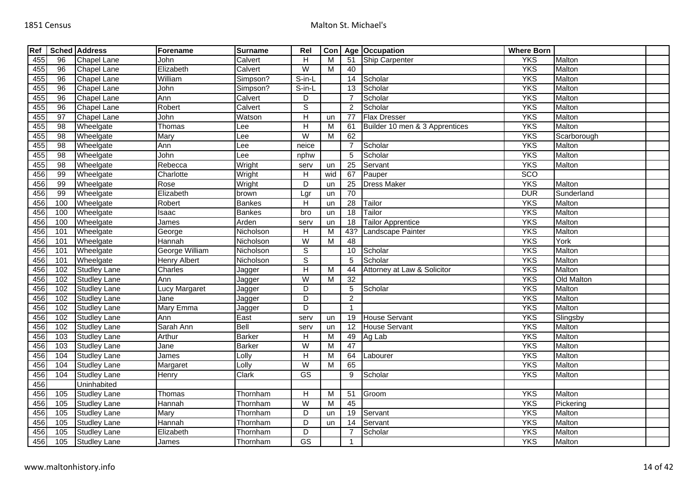| Ref |                 | <b>Sched Address</b> | Forename             | <b>Surname</b> | Rel                       | Con |                   | Age Occupation                 | <b>Where Born</b> |             |  |
|-----|-----------------|----------------------|----------------------|----------------|---------------------------|-----|-------------------|--------------------------------|-------------------|-------------|--|
| 455 | 96              | Chapel Lane          | John                 | Calvert        | Н                         | M   | 51                | <b>Ship Carpenter</b>          | <b>YKS</b>        | Malton      |  |
| 455 | 96              | Chapel Lane          | Elizabeth            | Calvert        | W                         | M   | 40                |                                | <b>YKS</b>        | Malton      |  |
| 455 | 96              | Chapel Lane          | William              | Simpson?       | $S-in-L$                  |     | 14                | Scholar                        | <b>YKS</b>        | Malton      |  |
| 455 | 96              | Chapel Lane          | John                 | Simpson?       | S-in-L                    |     | 13                | Scholar                        | <b>YKS</b>        | Malton      |  |
| 455 | $\overline{96}$ | <b>Chapel Lane</b>   | Ann                  | Calvert        | D                         |     |                   | Scholar                        | <b>YKS</b>        | Malton      |  |
| 455 | 96              | Chapel Lane          | Robert               | Calvert        | $\overline{s}$            |     | 2                 | Scholar                        | <b>YKS</b>        | Malton      |  |
| 455 | 97              | Chapel Lane          | John                 | Watson         | $\overline{H}$            | un  | 77                | <b>Flax Dresser</b>            | <b>YKS</b>        | Malton      |  |
| 455 | $\overline{98}$ | Wheelgate            | Thomas               | ee             | $\overline{H}$            | M   | 61                | Builder 10 men & 3 Apprentices | <b>YKS</b>        | Malton      |  |
| 455 | $\overline{98}$ | Wheelgate            | Mary                 | Lee            | W                         | M   | 62                |                                | <b>YKS</b>        | Scarborough |  |
| 455 | $\overline{98}$ | Wheelgate            | Ann                  | ee             | neice                     |     | $\overline{7}$    | Scholar                        | <b>YKS</b>        | Malton      |  |
| 455 | 98              | Wheelgate            | John                 | Lee            | nphw                      |     | 5                 | Scholar                        | <b>YKS</b>        | Malton      |  |
| 455 | $\overline{98}$ | Wheelgate            | Rebecca              | Wright         | serv                      | un  | 25                | Servant                        | <b>YKS</b>        | Malton      |  |
| 456 | 99              | Wheelgate            | Charlotte            | Wright         | H                         | wid | 67                | Pauper                         | <b>SCO</b>        |             |  |
| 456 | 99              | Wheelgate            | Rose                 | Wright         | $\overline{D}$            | un  | 25                | <b>Dress Maker</b>             | <b>YKS</b>        | Malton      |  |
| 456 | 99              | Wheelgate            | Elizabeth            | brown          | Lgr                       | un  | $\overline{70}$   |                                | <b>DUR</b>        | Sunderland  |  |
| 456 | 100             | Wheelgate            | Robert               | <b>Bankes</b>  | Н                         | un  | 28                | Tailor                         | <b>YKS</b>        | Malton      |  |
| 456 | 100             | Wheelgate            | Isaac                | <b>Bankes</b>  | bro                       | un  | $\overline{18}$   | Tailor                         | <b>YKS</b>        | Malton      |  |
| 456 | 100             | Wheelgate            | James                | Arden          | serv                      | un  | 18                | <b>Tailor Apprentice</b>       | <b>YKS</b>        | Malton      |  |
| 456 | 101             | Wheelgate            | George               | Nicholson      | $\overline{H}$            | M   | 43?               | Landscape Painter              | <b>YKS</b>        | Malton      |  |
| 456 | 101             | Wheelgate            | Hannah               | Nicholson      | W                         | M   | 48                |                                | <b>YKS</b>        | York        |  |
| 456 | 101             | Wheelgate            | George William       | Nicholson      | $\overline{s}$            |     | 10                | Scholar                        | <b>YKS</b>        | Malton      |  |
| 456 | 101             | Wheelgate            | <b>Henry Albert</b>  | Nicholson      | $\overline{s}$            |     | 5                 | Scholar                        | <b>YKS</b>        | Malton      |  |
| 456 | 102             | <b>Studley Lane</b>  | Charles              | Jagger         | $\boldsymbol{\mathsf{H}}$ | M   | 44                | Attorney at Law & Solicitor    | <b>YKS</b>        | Malton      |  |
| 456 | 102             | <b>Studley Lane</b>  | Ann                  | Jagger         | $\overline{\mathsf{W}}$   | M   | $\overline{32}$   |                                | <b>YKS</b>        | Old Malton  |  |
| 456 | 102             | <b>Studley Lane</b>  | <b>Lucy Margaret</b> | Jagger         | D                         |     | 5                 | Scholar                        | <b>YKS</b>        | Malton      |  |
| 456 | 102             | <b>Studley Lane</b>  | Jane                 | Jagger         | D                         |     | $\overline{2}$    |                                | <b>YKS</b>        | Malton      |  |
| 456 | 102             | <b>Studley Lane</b>  | Mary Emma            | Jagger         | D                         |     | $\overline{1}$    |                                | <b>YKS</b>        | Malton      |  |
| 456 | 102             | <b>Studley Lane</b>  | Ann                  | East           | serv                      | un  | 19                | <b>House Servant</b>           | <b>YKS</b>        | Slingsby    |  |
| 456 | 102             | <b>Studley Lane</b>  | Sarah Ann            | Bell           | serv                      | un  | $12 \overline{ }$ | <b>House Servant</b>           | <b>YKS</b>        | Malton      |  |
| 456 | 103             | <b>Studley Lane</b>  | Arthur               | <b>Barker</b>  | H                         | М   | 49                | Ag Lab                         | <b>YKS</b>        | Malton      |  |
| 456 | 103             | <b>Studley Lane</b>  | Jane                 | <b>Barker</b>  | $\overline{W}$            | M   | 47                |                                | <b>YKS</b>        | Malton      |  |
| 456 | 104             | <b>Studley Lane</b>  | James                | Lolly          | $\overline{H}$            | M   | 64                | Labourer                       | <b>YKS</b>        | Malton      |  |
| 456 | 104             | <b>Studley Lane</b>  | Margaret             | Lolly          | $\overline{W}$            | M   | 65                |                                | <b>YKS</b>        | Malton      |  |
| 456 | 104             | <b>Studley Lane</b>  | Henry                | Clark          | GS                        |     | 9                 | Scholar                        | <b>YKS</b>        | Malton      |  |
| 456 |                 | Uninhabited          |                      |                |                           |     |                   |                                |                   |             |  |
| 456 | 105             | <b>Studley Lane</b>  | Thomas               | Thornham       | H                         | M   | 51                | Groom                          | <b>YKS</b>        | Malton      |  |
| 456 | 105             | <b>Studley Lane</b>  | Hannah               | Thornham       | W                         | М   | 45                |                                | <b>YKS</b>        | Pickering   |  |
| 456 | 105             | <b>Studley Lane</b>  | <b>Mary</b>          | Thornham       | D                         | un  | 19                | Servant                        | <b>YKS</b>        | Malton      |  |
| 456 | 105             | <b>Studley Lane</b>  | Hannah               | Thornham       | D                         | un  | 14                | Servant                        | <b>YKS</b>        | Malton      |  |
| 456 | 105             | <b>Studley Lane</b>  | Elizabeth            | Thornham       | D                         |     | $\overline{7}$    | Scholar                        | <b>YKS</b>        | Malton      |  |
| 456 | 105             | <b>Studley Lane</b>  | James                | Thornham       | $\overline{\text{GS}}$    |     |                   |                                | <b>YKS</b>        | Malton      |  |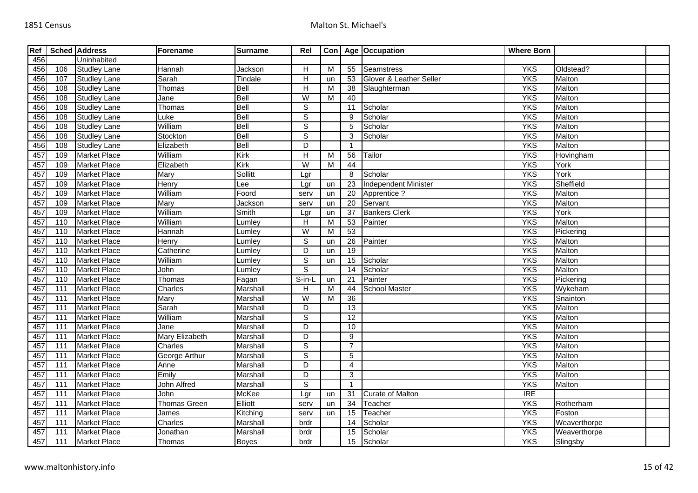| Ref |                  | <b>Sched Address</b> | Forename              | <b>Surname</b> | Rel            | Con <sub>1</sub>        |                 | Age Occupation              | <b>Where Born</b> |              |  |
|-----|------------------|----------------------|-----------------------|----------------|----------------|-------------------------|-----------------|-----------------------------|-------------------|--------------|--|
| 456 |                  | Uninhabited          |                       |                |                |                         |                 |                             |                   |              |  |
| 456 | 106              | <b>Studley Lane</b>  | Hannah                | Jackson        | $\overline{H}$ | $\overline{\mathsf{M}}$ | 55              | <b>Seamstress</b>           | <b>YKS</b>        | Oldstead?    |  |
| 456 | 107              | <b>Studley Lane</b>  | Sarah                 | Tindale        | $\overline{H}$ | un                      | 53              | Glover & Leather Seller     | <b>YKS</b>        | Malton       |  |
| 456 | 108              | <b>Studley Lane</b>  | Thomas                | Bell           | $\overline{H}$ | M                       | 38              | Slaughterman                | <b>YKS</b>        | Malton       |  |
| 456 | 108              | <b>Studley Lane</b>  | Jane                  | Bell           | W              | M                       | 40              |                             | <b>YKS</b>        | Malton       |  |
| 456 | 108              | <b>Studley Lane</b>  | Thomas                | Bell           | $\overline{s}$ |                         | 11              | Scholar                     | <b>YKS</b>        | Malton       |  |
| 456 | 108              | <b>Studley Lane</b>  | Luke                  | Bell           | $\overline{s}$ |                         | 9               | Scholar                     | <b>YKS</b>        | Malton       |  |
| 456 | 108              | <b>Studley Lane</b>  | William               | <b>Bell</b>    | $\overline{s}$ |                         | 5               | Scholar                     | <b>YKS</b>        | Malton       |  |
| 456 | 108              | <b>Studley Lane</b>  | Stockton              | Bell           | $\overline{s}$ |                         | 3               | Scholar                     | <b>YKS</b>        | Malton       |  |
| 456 | 108              | <b>Studley Lane</b>  | Elizabeth             | Bell           | $\overline{D}$ |                         | $\overline{1}$  |                             | <b>YKS</b>        | Malton       |  |
| 457 | 109              | <b>Market Place</b>  | William               | Kirk           | $\overline{H}$ | M                       | 56              | Tailor                      | <b>YKS</b>        | Hovingham    |  |
| 457 | 109              | <b>Market Place</b>  | Elizabeth             | Kirk           | $\overline{W}$ | М                       | 44              |                             | <b>YKS</b>        | York         |  |
| 457 | 109              | <b>Market Place</b>  | Mary                  | Sollitt        | Lgr            |                         | 8               | Scholar                     | <b>YKS</b>        | York         |  |
| 457 | 109              | <b>Market Place</b>  | Henry                 | Lee            | Lgr            | un                      | 23              | <b>Independent Minister</b> | <b>YKS</b>        | Sheffield    |  |
| 457 | 109              | <b>Market Place</b>  | William               | Foord          | serv           | un                      | $\overline{20}$ | Apprentice ?                | <b>YKS</b>        | Malton       |  |
| 457 | 109              | <b>Market Place</b>  | Mary                  | Jackson        | serv           | un                      | 20              | Servant                     | <b>YKS</b>        | Malton       |  |
| 457 | 109              | <b>Market Place</b>  | William               | Smith          | Lgr            | un                      | 37              | <b>Bankers Clerk</b>        | <b>YKS</b>        | York         |  |
| 457 | 110              | <b>Market Place</b>  | William               | Lumley         | H              | M                       | 53              | Painter                     | <b>YKS</b>        | Malton       |  |
| 457 | 110              | <b>Market Place</b>  | Hannah                | Lumley         | W              | M                       | 53              |                             | <b>YKS</b>        | Pickering    |  |
| 457 | 110              | <b>Market Place</b>  | Henry                 | Lumley         | $\overline{s}$ | un                      | $\overline{26}$ | Painter                     | <b>YKS</b>        | Malton       |  |
| 457 | 110              | <b>Market Place</b>  | Catherine             | Lumley         | D              | un                      | 19              |                             | <b>YKS</b>        | Malton       |  |
| 457 | 110              | <b>Market Place</b>  | William               | Lumley         | $\overline{s}$ | un                      | 15              | Scholar                     | <b>YKS</b>        | Malton       |  |
| 457 | 110              | <b>Market Place</b>  | John                  | Lumley         | $\overline{s}$ |                         | 14              | Scholar                     | <b>YKS</b>        | Malton       |  |
| 457 | 110              | <b>Market Place</b>  | Thomas                | Fagan          | S-in-L         | un                      | 21              | Painter                     | <b>YKS</b>        | Pickering    |  |
| 457 | 111              | <b>Market Place</b>  | Charles               | Marshall       | H              | M                       | 44              | <b>School Master</b>        | <b>YKS</b>        | Wykeham      |  |
| 457 | $\overline{111}$ | <b>Market Place</b>  | Mary                  | Marshall       | W              | M                       | $\overline{36}$ |                             | <b>YKS</b>        | Snainton     |  |
| 457 | 111              | <b>Market Place</b>  | Sarah                 | Marshall       | D              |                         | $\overline{13}$ |                             | <b>YKS</b>        | Malton       |  |
| 457 | $\overline{111}$ | <b>Market Place</b>  | William               | Marshall       | $\overline{s}$ |                         | $\overline{12}$ |                             | <b>YKS</b>        | Malton       |  |
| 457 | 111              | <b>Market Place</b>  | Jane                  | Marshall       | D              |                         | 10              |                             | <b>YKS</b>        | Malton       |  |
| 457 | $\overline{111}$ | <b>Market Place</b>  | <b>Mary Elizabeth</b> | Marshall       | D              |                         | $\overline{9}$  |                             | <b>YKS</b>        | Malton       |  |
| 457 | 111              | <b>Market Place</b>  | Charles               | Marshall       | $\overline{s}$ |                         | $\overline{7}$  |                             | <b>YKS</b>        | Malton       |  |
| 457 | $\overline{111}$ | <b>Market Place</b>  | George Arthur         | Marshall       | $\overline{s}$ |                         | $\overline{5}$  |                             | <b>YKS</b>        | Malton       |  |
| 457 | 111              | <b>Market Place</b>  | Anne                  | Marshall       | D              |                         | 4               |                             | <b>YKS</b>        | Malton       |  |
| 457 | $\overline{111}$ | <b>Market Place</b>  | Emily                 | Marshall       | $\overline{D}$ |                         | $\mathbf{3}$    |                             | <b>YKS</b>        | Malton       |  |
| 457 | 111              | <b>Market Place</b>  | <b>John Alfred</b>    | Marshall       | $\overline{s}$ |                         | $\overline{1}$  |                             | <b>YKS</b>        | Malton       |  |
| 457 | 111              | <b>Market Place</b>  | <b>John</b>           | McKee          | Lgr            | un                      | $\overline{31}$ | <b>Curate of Malton</b>     | <b>IRE</b>        |              |  |
| 457 | 111              | <b>Market Place</b>  | <b>Thomas Green</b>   | Elliott        | serv           | un                      | $\overline{34}$ | Teacher                     | <b>YKS</b>        | Rotherham    |  |
| 457 | $\overline{111}$ | <b>Market Place</b>  | James                 | Kitching       | serv           | un                      | $\overline{15}$ | Teacher                     | <b>YKS</b>        | Foston       |  |
| 457 | 111              | <b>Market Place</b>  | Charles               | Marshall       | brdr           |                         | 14              | Scholar                     | <b>YKS</b>        | Weaverthorpe |  |
| 457 | 111              | <b>Market Place</b>  | Jonathan              | Marshall       | brdr           |                         | 15              | Scholar                     | <b>YKS</b>        | Weaverthorpe |  |
| 457 | 111              | <b>Market Place</b>  | Thomas                | <b>Boyes</b>   | brdr           |                         | 15              | Scholar                     | <b>YKS</b>        | Slingsby     |  |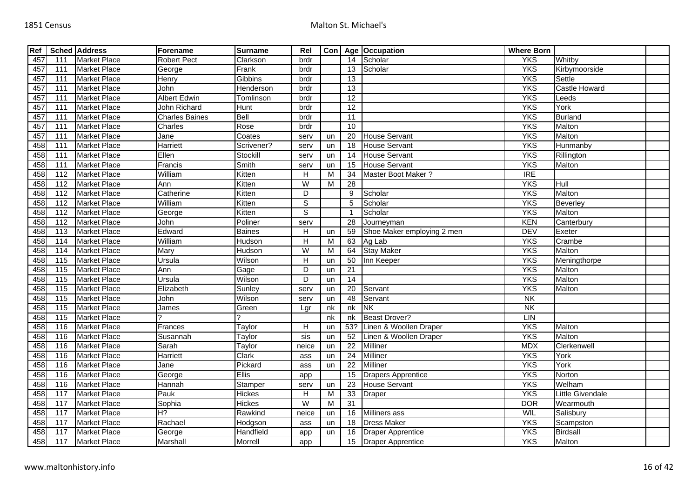| Ref |                   | <b>Sched Address</b> | Forename              | <b>Surname</b> | Rel                       | Con <sub> </sub> |                          | Age Occupation             | <b>Where Born</b>        |                  |  |
|-----|-------------------|----------------------|-----------------------|----------------|---------------------------|------------------|--------------------------|----------------------------|--------------------------|------------------|--|
| 457 | 111               | <b>Market Place</b>  | <b>Robert Pect</b>    | Clarkson       | brdr                      |                  |                          | 14 Scholar                 | <b>YKS</b>               | Whitby           |  |
| 457 | 111               | <b>Market Place</b>  | George                | Frank          | brdr                      |                  | 13                       | Scholar                    | <b>YKS</b>               | Kirbymoorside    |  |
| 457 | 111               | <b>Market Place</b>  | Henry                 | Gibbins        | brdr                      |                  | 13                       |                            | <b>YKS</b>               | Settle           |  |
| 457 | 111               | <b>Market Place</b>  | John                  | Henderson      | brdr                      |                  | 13                       |                            | <b>YKS</b>               | Castle Howard    |  |
| 457 | 111               | <b>Market Place</b>  | <b>Albert Edwin</b>   | Tomlinson      | brdr                      |                  | 12                       |                            | <b>YKS</b>               | Leeds            |  |
| 457 | 111               | <b>Market Place</b>  | John Richard          | Hunt           | brdr                      |                  | $\overline{12}$          |                            | <b>YKS</b>               | York             |  |
| 457 | 111               | <b>Market Place</b>  | <b>Charles Baines</b> | Bell           | brdr                      |                  | $\overline{11}$          |                            | <b>YKS</b>               | <b>Burland</b>   |  |
| 457 | 111               | <b>Market Place</b>  | Charles               | Rose           | brdr                      |                  | 10                       |                            | <b>YKS</b>               | Malton           |  |
| 457 | 111               | <b>Market Place</b>  | Jane                  | Coates         | serv                      | un               | 20                       | <b>House Servant</b>       | <b>YKS</b>               | Malton           |  |
| 458 | 111               | <b>Market Place</b>  | Harriett              | Scrivener?     | serv                      | un               | 18                       | <b>House Servant</b>       | <b>YKS</b>               | Hunmanby         |  |
| 458 | 111               | <b>Market Place</b>  | Ellen                 | Stockill       | serv                      | un               | 14                       | <b>House Servant</b>       | <b>YKS</b>               | Rillington       |  |
| 458 | 111               | <b>Market Place</b>  | Francis               | Smith          | serv                      | un               | 15                       | <b>House Servant</b>       | <b>YKS</b>               | Malton           |  |
| 458 | $\frac{11}{2}$    | <b>Market Place</b>  | William               | Kitten         | H                         | M                | 34                       | Master Boot Maker?         | <b>IRE</b>               |                  |  |
| 458 | 112               | <b>Market Place</b>  | Ann                   | Kitten         | W                         | м                | 28                       |                            | <b>YKS</b>               | Hull             |  |
| 458 | 112               | <b>Market Place</b>  | Catherine             | Kitten         | D                         |                  | 9                        | Scholar                    | <b>YKS</b>               | Malton           |  |
| 458 | 112               | <b>Market Place</b>  | William               | Kitten         | $\overline{s}$            |                  | 5                        | Scholar                    | <b>YKS</b>               | Beverley         |  |
| 458 | 112               | <b>Market Place</b>  | George                | Kitten         | $\overline{s}$            |                  | $\overline{\phantom{a}}$ | Scholar                    | <b>YKS</b>               | Malton           |  |
| 458 | 112               | <b>Market Place</b>  | John                  | Poliner        | serv                      |                  | 28                       | Journeyman                 | <b>KEN</b>               | Canterbury       |  |
| 458 | 113               | <b>Market Place</b>  | Edward                | <b>Baines</b>  | $\boldsymbol{\mathsf{H}}$ | un               | 59                       | Shoe Maker employing 2 men | <b>DEV</b>               | Exeter           |  |
| 458 | 114               | <b>Market Place</b>  | William               | Hudson         | Н                         | M                | 63                       | Ag Lab                     | <b>YKS</b>               | Crambe           |  |
| 458 | 114               | <b>Market Place</b>  | Mary                  | Hudson         | $\overline{\mathsf{W}}$   | M                | 64                       | <b>Stay Maker</b>          | <b>YKS</b>               | Malton           |  |
| 458 | 115               | <b>Market Place</b>  | Ursula                | Wilson         | $\overline{H}$            | un               | 50                       | Inn Keeper                 | <b>YKS</b>               | Meningthorpe     |  |
| 458 | 115               | <b>Market Place</b>  | Ann                   | Gage           | $\overline{D}$            | un               | 21                       |                            | <b>YKS</b>               | Malton           |  |
| 458 | 115               | <b>Market Place</b>  | Ursula                | Wilson         | $\overline{D}$            | un               | $\overline{14}$          |                            | <b>YKS</b>               | Malton           |  |
| 458 | 115               | <b>Market Place</b>  | Elizabeth             | Sunley         | serv                      | un               | 20                       | Servant                    | <b>YKS</b>               | Malton           |  |
| 458 | $\frac{115}{115}$ | <b>Market Place</b>  | John                  | Wilson         | serv                      | un               | $\overline{48}$          | Servant                    | $\overline{\mathsf{NK}}$ |                  |  |
| 458 | 115               | <b>Market Place</b>  | James                 | Green          | Lgr                       | nk               | nk                       | <b>NK</b>                  | $\overline{\mathsf{N}}$  |                  |  |
| 458 | 115               | <b>Market Place</b>  |                       |                |                           | nk               | nk                       | <b>Beast Drover?</b>       | LIN                      |                  |  |
| 458 | 116               | <b>Market Place</b>  | Frances               | Taylor         | $\boldsymbol{\mathsf{H}}$ | un               | 53?                      | Linen & Woollen Draper     | <b>YKS</b>               | Malton           |  |
| 458 | 116               | <b>Market Place</b>  | Susannah              | Taylor         | sis                       | un               | $\overline{52}$          | Linen & Woollen Draper     | <b>YKS</b>               | Malton           |  |
| 458 | 116               | <b>Market Place</b>  | Sarah                 | Taylor         | neice                     | un               | 22                       | Milliner                   | <b>MDX</b>               | Clerkenwell      |  |
| 458 | 116               | <b>Market Place</b>  | Harriett              | <b>Clark</b>   | ass                       | un               | $\overline{24}$          | <b>Milliner</b>            | <b>YKS</b>               | York             |  |
| 458 | 116               | <b>Market Place</b>  | Jane                  | Pickard        | ass                       | un               | 22                       | Milliner                   | <b>YKS</b>               | York             |  |
| 458 | 116               | <b>Market Place</b>  | George                | <b>Ellis</b>   | app                       |                  | 15                       | <b>Drapers Apprentice</b>  | <b>YKS</b>               | Norton           |  |
| 458 | 116               | <b>Market Place</b>  | Hannah                | Stamper        | serv                      | un               | 23                       | <b>House Servant</b>       | <b>YKS</b>               | Welham           |  |
| 458 | 117               | <b>Market Place</b>  | Pauk                  | Hickes         | $\overline{H}$            | $\overline{M}$   | 33                       | <b>Draper</b>              | <b>YKS</b>               | Little Givendale |  |
| 458 | 117               | <b>Market Place</b>  | Sophia                | Hickes         | W                         | M                | 31                       |                            | <b>DOR</b>               | Wearmouth        |  |
| 458 | 117               | <b>Market Place</b>  | H?                    | Rawkind        | neice                     | un               | 16                       | Milliners ass              | WIL                      | Salisbury        |  |
| 458 | 117               | <b>Market Place</b>  | Rachael               | Hodgson        | ass                       | un               | 18                       | <b>Dress Maker</b>         | <b>YKS</b>               | Scampston        |  |
| 458 | 117               | <b>Market Place</b>  | George                | Handfield      | app                       | un               | 16                       | <b>Draper Apprentice</b>   | <b>YKS</b>               | <b>Birdsall</b>  |  |
| 458 | 117               | <b>Market Place</b>  | Marshall              | Morrell        | app                       |                  |                          | 15 Draper Apprentice       | <b>YKS</b>               | Malton           |  |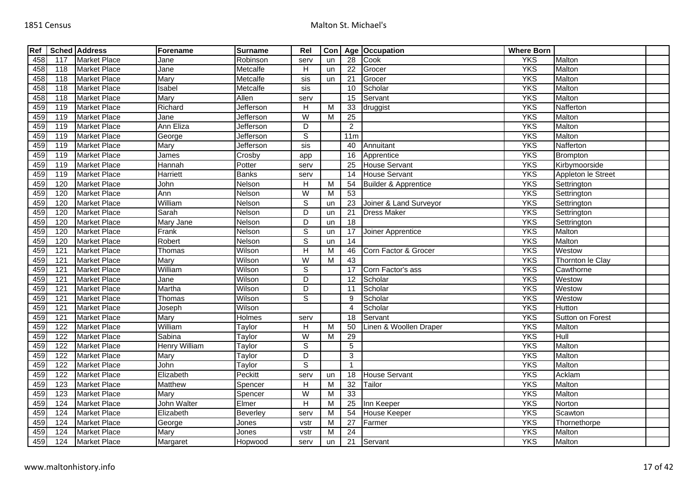| Ref |                  | Sched Address       | Forename             | <b>Surname</b> | Rel                       | Con            |                 | Age Occupation                  | <b>Where Born</b> |                    |  |
|-----|------------------|---------------------|----------------------|----------------|---------------------------|----------------|-----------------|---------------------------------|-------------------|--------------------|--|
| 458 | 117              | <b>Market Place</b> | Jane                 | Robinson       | serv                      | un             | 28              | Cook                            | <b>YKS</b>        | Malton             |  |
| 458 | 118              | <b>Market Place</b> | $\overline{J}$ ane   | Metcalfe       | $\boldsymbol{\mathsf{H}}$ | un             | $\overline{22}$ | Grocer                          | <b>YKS</b>        | Malton             |  |
| 458 | 118              | <b>Market Place</b> | Mary                 | Metcalfe       | $s$ is                    | un             | $\overline{21}$ | Grocer                          | <b>YKS</b>        | Malton             |  |
| 458 | 118              | <b>Market Place</b> | Isabel               | Metcalfe       | sis                       |                | 10              | Scholar                         | <b>YKS</b>        | Malton             |  |
| 458 | 118              | <b>Market Place</b> | Mary                 | Allen          | serv                      |                | $\overline{15}$ | Servant                         | <b>YKS</b>        | Malton             |  |
| 459 | 119              | <b>Market Place</b> | Richard              | Jefferson      | H                         | M              | 33              | druggist                        | <b>YKS</b>        | Nafferton          |  |
| 459 | 119              | <b>Market Place</b> | Jane                 | Jefferson      | $\overline{\mathsf{W}}$   | M              | 25              |                                 | <b>YKS</b>        | Malton             |  |
| 459 | $\overline{119}$ | <b>Market Place</b> | Ann Eliza            | Jefferson      | D                         |                | $\overline{2}$  |                                 | <b>YKS</b>        | Malton             |  |
| 459 | 119              | <b>Market Place</b> | George               | Jefferson      | $\mathbb S$               |                | 11m             |                                 | <b>YKS</b>        | Malton             |  |
| 459 | 119              | <b>Market Place</b> | Mary                 | Jefferson      | $s$ is                    |                | 40              | Annuitant                       | <b>YKS</b>        | Nafferton          |  |
| 459 | 119              | <b>Market Place</b> | James                | Crosby         | app                       |                | 16              | Apprentice                      | <b>YKS</b>        | Brompton           |  |
| 459 | 119              | <b>Market Place</b> | Hannah               | Potter         | serv                      |                | $\overline{25}$ | <b>House Servant</b>            | <b>YKS</b>        | Kirbymoorside      |  |
| 459 | 119              | <b>Market Place</b> | <b>Harriett</b>      | <b>Banks</b>   | serv                      |                | 14              | <b>House Servant</b>            | <b>YKS</b>        | Appleton le Street |  |
| 459 | 120              | <b>Market Place</b> | John                 | Nelson         | $\overline{H}$            | $\overline{M}$ | 54              | <b>Builder &amp; Apprentice</b> | <b>YKS</b>        | Settrington        |  |
| 459 | 120              | <b>Market Place</b> | Ann                  | Nelson         | $\overline{\mathsf{W}}$   | $\overline{M}$ | 53              |                                 | <b>YKS</b>        | Settrington        |  |
| 459 | 120              | <b>Market Place</b> | William              | Nelson         | $\mathbb S$               | un             | 23              | Joiner & Land Surveyor          | <b>YKS</b>        | Settrington        |  |
| 459 | 120              | <b>Market Place</b> | Sarah                | Nelson         | $\overline{D}$            | un             | $\overline{21}$ | <b>Dress Maker</b>              | <b>YKS</b>        | Settrington        |  |
| 459 | 120              | <b>Market Place</b> | Mary Jane            | Nelson         | D                         | un             | $\overline{18}$ |                                 | <b>YKS</b>        | Settrington        |  |
| 459 | 120              | <b>Market Place</b> | Frank                | Nelson         | $\overline{s}$            | un             | 17              | Joiner Apprentice               | <b>YKS</b>        | Malton             |  |
| 459 | 120              | <b>Market Place</b> | Robert               | Nelson         | $\overline{s}$            | un             | 14              |                                 | <b>YKS</b>        | Malton             |  |
| 459 | 121              | <b>Market Place</b> | Thomas               | Wilson         | $\overline{H}$            | M              | 46              | Corn Factor & Grocer            | <b>YKS</b>        | Westow             |  |
| 459 | 121              | <b>Market Place</b> | Mary                 | Wilson         | W                         | M              | 43              |                                 | <b>YKS</b>        | Thornton le Clay   |  |
| 459 | 121              | <b>Market Place</b> | William              | Wilson         | $\overline{s}$            |                | 17              | Corn Factor's ass               | <b>YKS</b>        | Cawthorne          |  |
| 459 | 121              | <b>Market Place</b> | Jane                 | Wilson         | D                         |                | $\overline{12}$ | Scholar                         | <b>YKS</b>        | Westow             |  |
| 459 | 121              | <b>Market Place</b> | Martha               | Wilson         | D                         |                | 11              | Scholar                         | <b>YKS</b>        | Westow             |  |
| 459 | 121              | <b>Market Place</b> | Thomas               | Wilson         | $\overline{s}$            |                | 9               | Scholar                         | <b>YKS</b>        | Westow             |  |
| 459 | 121              | <b>Market Place</b> | Joseph               | Wilson         |                           |                | $\overline{4}$  | Scholar                         | <b>YKS</b>        | Hutton             |  |
| 459 | 121              | <b>Market Place</b> | Mary                 | <b>Holmes</b>  | serv                      |                | 18              | Servant                         | <b>YKS</b>        | Sutton on Forest   |  |
| 459 | 122              | <b>Market Place</b> | William              | Taylor         | $\overline{H}$            | $\overline{M}$ | 50              | Linen & Woollen Draper          | <b>YKS</b>        | Malton             |  |
| 459 | 122              | <b>Market Place</b> | Sabina               | Taylor         | W                         | M              | 29              |                                 | <b>YKS</b>        | Hull               |  |
| 459 | $\overline{122}$ | <b>Market Place</b> | <b>Henry William</b> | Taylor         | $\overline{s}$            |                | $\overline{5}$  |                                 | <b>YKS</b>        | Malton             |  |
| 459 | 122              | <b>Market Place</b> | Mary                 | Taylor         | $\overline{D}$            |                | 3               |                                 | <b>YKS</b>        | Malton             |  |
| 459 | 122              | <b>Market Place</b> | John                 | Taylor         | $\overline{s}$            |                | $\overline{1}$  |                                 | <b>YKS</b>        | Malton             |  |
| 459 | 122              | <b>Market Place</b> | Elizabeth            | Peckitt        | serv                      | un             | 18              | <b>House Servant</b>            | <b>YKS</b>        | Acklam             |  |
| 459 | 123              | <b>Market Place</b> | Matthew              | Spencer        | H                         | M              | $\overline{32}$ | Tailor                          | <b>YKS</b>        | Malton             |  |
| 459 | 123              | <b>Market Place</b> | Mary                 | Spencer        | W                         | M              | 33              |                                 | <b>YKS</b>        | Malton             |  |
| 459 | 124              | <b>Market Place</b> | <b>John Walter</b>   | Elmer          | H                         | M              | 25              | Inn Keeper                      | <b>YKS</b>        | Norton             |  |
| 459 | 124              | <b>Market Place</b> | Elizabeth            | Beverley       | serv                      | M              | 54              | <b>House Keeper</b>             | <b>YKS</b>        | Scawton            |  |
| 459 | 124              | <b>Market Place</b> | George               | Jones          | vstr                      | M              | 27              | Farmer                          | <b>YKS</b>        | Thornethorpe       |  |
| 459 | 124              | <b>Market Place</b> | Mary                 | Jones          | vstr                      | м              | $\overline{24}$ |                                 | <b>YKS</b>        | Malton             |  |
| 459 | 124              | <b>Market Place</b> | Margaret             | Hopwood        | serv                      | un             | 21              | Servant                         | <b>YKS</b>        | Malton             |  |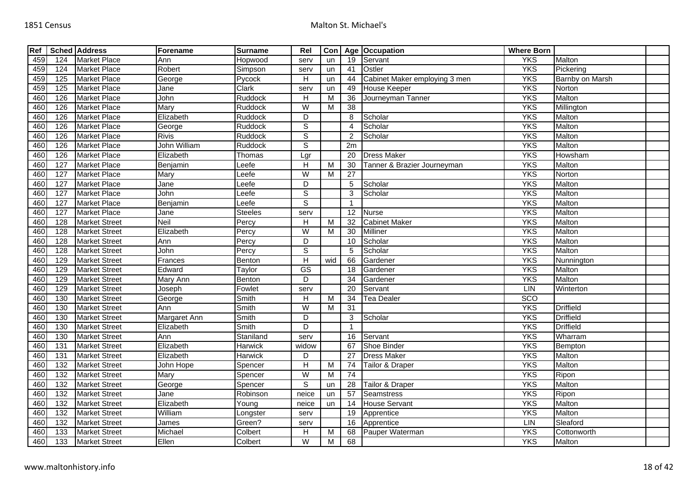| Ref |                  | Sched Address        | Forename            | <b>Surname</b> | Rel                     | Con |                 | Age Occupation                | <b>Where Born</b> |                        |  |
|-----|------------------|----------------------|---------------------|----------------|-------------------------|-----|-----------------|-------------------------------|-------------------|------------------------|--|
| 459 | 124              | <b>Market Place</b>  | Ann                 | Hopwood        | serv                    | un  | 19              | Servant                       | <b>YKS</b>        | Malton                 |  |
| 459 | $\overline{124}$ | <b>Market Place</b>  | Robert              | Simpson        | serv                    | un  | 41              | Ostler                        | <b>YKS</b>        | Pickering              |  |
| 459 | 125              | <b>Market Place</b>  | George              | Pycock         | Н                       | un  | 44              | Cabinet Maker employing 3 men | <b>YKS</b>        | <b>Barnby on Marsh</b> |  |
| 459 | $\frac{125}{ }$  | <b>Market Place</b>  | Jane                | Clark          | serv                    | un  | 49              | <b>House Keeper</b>           | <b>YKS</b>        | Norton                 |  |
| 460 | 126              | <b>Market Place</b>  | John                | Ruddock        | Н                       | М   | 36              | Journeyman Tanner             | <b>YKS</b>        | Malton                 |  |
| 460 | 126              | <b>Market Place</b>  | Mary                | Ruddock        | $\overline{W}$          | м   | 38              |                               | <b>YKS</b>        | Millington             |  |
| 460 | 126              | <b>Market Place</b>  | Elizabeth           | Ruddock        | D                       |     | 8               | Scholar                       | <b>YKS</b>        | Malton                 |  |
| 460 | 126              | <b>Market Place</b>  | George              | Ruddock        | $\overline{s}$          |     | 4               | Scholar                       | <b>YKS</b>        | Malton                 |  |
| 460 | 126              | <b>Market Place</b>  | <b>Rivis</b>        | Ruddock        | $\overline{s}$          |     | $\mathcal{P}$   | Scholar                       | <b>YKS</b>        | Malton                 |  |
| 460 | 126              | <b>Market Place</b>  | <b>John William</b> | Ruddock        | $\overline{s}$          |     | 2m              |                               | <b>YKS</b>        | Malton                 |  |
| 460 | 126              | <b>Market Place</b>  | Elizabeth           | Thomas         | Lgr                     |     | 20              | <b>Dress Maker</b>            | <b>YKS</b>        | Howsham                |  |
| 460 | 127              | <b>Market Place</b>  | Benjamin            | Leefe          | $\overline{H}$          | м   | 30              | Tanner & Brazier Journeyman   | <b>YKS</b>        | Malton                 |  |
| 460 | 127              | <b>Market Place</b>  | Mary                | Leefe          | W                       | м   | $\overline{27}$ |                               | <b>YKS</b>        | Norton                 |  |
| 460 | 127              | <b>Market Place</b>  | Jane                | Leefe          | $\overline{D}$          |     | 5               | Scholar                       | <b>YKS</b>        | Malton                 |  |
| 460 | 127              | <b>Market Place</b>  | John                | Leefe          | $\overline{s}$          |     | 3               | Scholar                       | <b>YKS</b>        | Malton                 |  |
| 460 | 127              | <b>Market Place</b>  | Benjamin            | Leefe          | $\overline{s}$          |     | 1               |                               | <b>YKS</b>        | Malton                 |  |
| 460 | 127              | <b>Market Place</b>  | Jane                | <b>Steeles</b> | serv                    |     | 12              | <b>Nurse</b>                  | <b>YKS</b>        | Malton                 |  |
| 460 | 128              | <b>Market Street</b> | <b>Neil</b>         | Percy          | H                       | м   | 32              | <b>Cabinet Maker</b>          | <b>YKS</b>        | Malton                 |  |
| 460 | 128              | <b>Market Street</b> | Elizabeth           | Percy          | $\overline{W}$          | M   | $\overline{30}$ | <b>Milliner</b>               | <b>YKS</b>        | Malton                 |  |
| 460 | 128              | <b>Market Street</b> | Ann                 | Percy          | D                       |     | 10              | Scholar                       | <b>YKS</b>        | Malton                 |  |
| 460 | 128              | <b>Market Street</b> | John                | Percy          | $\overline{s}$          |     | 5               | Scholar                       | <b>YKS</b>        | Malton                 |  |
| 460 | 129              | <b>Market Street</b> | Frances             | Benton         | $\overline{H}$          | wid | 66              | Gardener                      | <b>YKS</b>        | Nunnington             |  |
| 460 | 129              | <b>Market Street</b> | Edward              | Taylor         | $\overline{\text{GS}}$  |     | 18              | Gardener                      | <b>YKS</b>        | Malton                 |  |
| 460 | 129              | <b>Market Street</b> | Mary Ann            | Benton         | D                       |     | 34              | Gardener                      | <b>YKS</b>        | Malton                 |  |
| 460 | 129              | <b>Market Street</b> | Joseph              | Fowlet         | serv                    |     | 20              | Servant                       | LIN               | Winterton              |  |
| 460 | 130              | <b>Market Street</b> | George              | Smith          | Н                       | м   | 34              | <b>Tea Dealer</b>             | SCO               |                        |  |
| 460 | 130              | <b>Market Street</b> | Ann                 | Smith          | $\overline{\mathsf{W}}$ | м   | 31              |                               | <b>YKS</b>        | <b>Driffield</b>       |  |
| 460 | 130              | <b>Market Street</b> | Margaret Ann        | Smith          | D                       |     | 3               | Scholar                       | <b>YKS</b>        | <b>Driffield</b>       |  |
| 460 | 130              | <b>Market Street</b> | Elizabeth           | Smith          | $\overline{D}$          |     | $\mathbf{1}$    |                               | <b>YKS</b>        | <b>Driffield</b>       |  |
| 460 | 130              | <b>Market Street</b> | Ann                 | Staniland      | serv                    |     | 16              | Servant                       | <b>YKS</b>        | Wharram                |  |
| 460 | 131              | <b>Market Street</b> | Elizabeth           | <b>Harwick</b> | widow                   |     | 67              | Shoe Binder                   | <b>YKS</b>        | Bempton                |  |
| 460 | 131              | <b>Market Street</b> | Elizabeth           | Harwick        | D                       |     | 27              | <b>Dress Maker</b>            | <b>YKS</b>        | Malton                 |  |
| 460 | 132              | <b>Market Street</b> | John Hope           | Spencer        | $\overline{H}$          | M   | 74              | Tailor & Draper               | <b>YKS</b>        | Malton                 |  |
| 460 | 132              | <b>Market Street</b> | Mary                | Spencer        | W                       | M   | 74              |                               | <b>YKS</b>        | Ripon                  |  |
| 460 | $\overline{132}$ | <b>Market Street</b> | George              | Spencer        | $\overline{s}$          | un  | 28              | Tailor & Draper               | <b>YKS</b>        | Malton                 |  |
| 460 | 132              | <b>Market Street</b> | Jane                | Robinson       | neice                   | un  | 57              | <b>Seamstress</b>             | <b>YKS</b>        | Ripon                  |  |
| 460 | 132              | <b>Market Street</b> | Elizabeth           | Young          | neice                   | un  | 14              | <b>House Servant</b>          | <b>YKS</b>        | Malton                 |  |
| 460 | 132              | <b>Market Street</b> | William             | Longster       | serv                    |     | 19              | Apprentice                    | <b>YKS</b>        | Malton                 |  |
| 460 | $\overline{132}$ | <b>Market Street</b> | James               | Green?         | serv                    |     | 16              | Apprentice                    | LIN               | Sleaford               |  |
| 460 | 133              | <b>Market Street</b> | Michael             | Colbert        | H                       | M   | 68              | Pauper Waterman               | <b>YKS</b>        | Cottonworth            |  |
| 460 | $\overline{133}$ | <b>Market Street</b> | Ellen               | Colbert        | W                       | M   | 68              |                               | <b>YKS</b>        | Malton                 |  |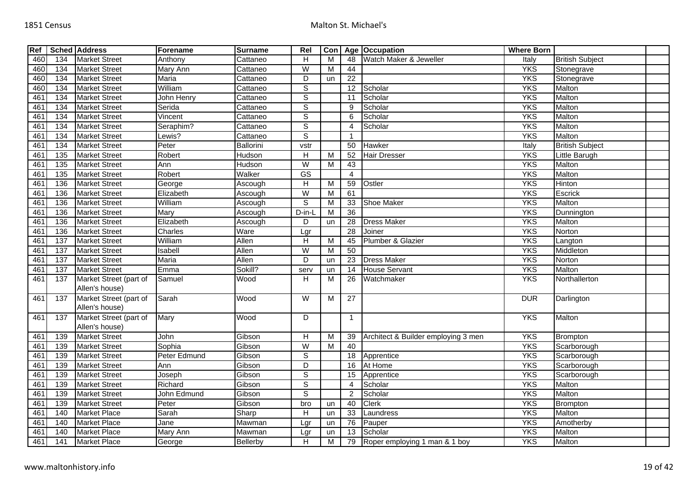| Ref             |                  | <b>Sched Address</b>                     | Forename                    | <b>Surname</b>   | Rel                     | Con                     |                        | Age Occupation                      | <b>Where Born</b> |                        |  |
|-----------------|------------------|------------------------------------------|-----------------------------|------------------|-------------------------|-------------------------|------------------------|-------------------------------------|-------------------|------------------------|--|
| 460             | 134              | <b>Market Street</b>                     | Anthony                     | Cattaneo         | H                       | м                       | 48                     | Watch Maker & Jeweller              | Italy             | <b>British Subject</b> |  |
| 460             | 134              | <b>Market Street</b>                     | Mary Ann                    | Cattaneo         | $\overline{W}$          | M                       | 44                     |                                     | <b>YKS</b>        | Stonegrave             |  |
| 460             | 134              | <b>Market Street</b>                     | Maria                       | Cattaneo         | D                       | un                      | $\overline{22}$        |                                     | <b>YKS</b>        | Stonegrave             |  |
| 460             | 134              | <b>Market Street</b>                     | William                     | Cattaneo         | $\overline{s}$          |                         | $\overline{12}$        | Scholar                             | <b>YKS</b>        | Malton                 |  |
| 461             | 134              | <b>Market Street</b>                     | John Henry                  | Cattaneo         | $\overline{s}$          |                         | 11                     | Scholar                             | <b>YKS</b>        | Malton                 |  |
| 461             | 134              | <b>Market Street</b>                     | Serida                      | Cattaneo         | $\overline{s}$          |                         | 9                      | Scholar                             | <b>YKS</b>        | Malton                 |  |
| 46 <sup>°</sup> | 134              | <b>Market Street</b>                     | $\overline{V}$ incent       | Cattaneo         | $\mathsf S$             |                         | 6                      | Scholar                             | <b>YKS</b>        | Malton                 |  |
| 46 <sup>′</sup> | 134              | <b>Market Street</b>                     | Seraphim?                   | Cattaneo         | $\overline{s}$          |                         | $\boldsymbol{\Lambda}$ | Scholar                             | <b>YKS</b>        | Malton                 |  |
| 461             | $\overline{134}$ | <b>Market Street</b>                     | Lewis?                      | Cattaneo         | $\overline{s}$          |                         | 1                      |                                     | <b>YKS</b>        | Malton                 |  |
| 461             | 134              | <b>Market Street</b>                     | Peter                       | <b>Ballorini</b> | vstr                    |                         | 50                     | Hawker                              | Italy             | <b>British Subject</b> |  |
| 46 <sup>2</sup> | 135              | <b>Market Street</b>                     | Robert                      | Hudson           | $\overline{H}$          | M                       | 52                     | <b>Hair Dresser</b>                 | <b>YKS</b>        | <b>Little Barugh</b>   |  |
| 461             | 135              | <b>Market Street</b>                     | Ann                         | Hudson           | W                       | М                       | 43                     |                                     | <b>YKS</b>        | Malton                 |  |
| 461             | 135              | <b>Market Street</b>                     | Robert                      | Walker           | GS                      |                         | $\overline{4}$         |                                     | <b>YKS</b>        | Malton                 |  |
| 461             | 136              | <b>Market Street</b>                     | George                      | Ascough          | H                       | м                       | 59                     | Ostler                              | <b>YKS</b>        | Hinton                 |  |
| 46 <sup>2</sup> | 136              | <b>Market Street</b>                     | Elizabeth                   | Ascough          | $\overline{\mathsf{W}}$ | M                       | 61                     |                                     | <b>YKS</b>        | Escrick                |  |
| 461             | 136              | <b>Market Street</b>                     | William                     | Ascough          | $\overline{s}$          | м                       | 33                     | Shoe Maker                          | <b>YKS</b>        | Malton                 |  |
| 461             | 136              | <b>Market Street</b>                     | $\overline{\mathsf{M}}$ ary | Ascough          | D-in-L                  | M                       | 36                     |                                     | <b>YKS</b>        | Dunnington             |  |
| 461             | 136              | <b>Market Street</b>                     | Elizabeth                   | Ascough          | D                       | un                      | 28                     | <b>Dress Maker</b>                  | <b>YKS</b>        | Malton                 |  |
| 46 <sup>7</sup> | 136              | <b>Market Street</b>                     | Charles                     | Ware             | Lgr                     |                         | 28                     | Joiner                              | <b>YKS</b>        | Norton                 |  |
| 46 <sup>°</sup> | 137              | <b>Market Street</b>                     | William                     | <b>Allen</b>     | $\overline{H}$          | M                       | 45                     | Plumber & Glazier                   | <b>YKS</b>        | Langton                |  |
| 461             | 137              | <b>Market Street</b>                     | Isabell                     | Allen            | $\overline{W}$          | M                       | 50                     |                                     | <b>YKS</b>        | Middleton              |  |
| 461             | 137              | <b>Market Street</b>                     | Maria                       | Allen            | D                       | un                      | 23                     | <b>Dress Maker</b>                  | <b>YKS</b>        | Norton                 |  |
| 461             | 137              | <b>Market Street</b>                     | Emma                        | Sokill?          | serv                    | un                      | 14                     | <b>House Servant</b>                | <b>YKS</b>        | Malton                 |  |
| 461             | 137              | Market Street (part of<br>Allen's house) | Samuel                      | Wood             | H                       | M                       | 26                     | Watchmaker                          | <b>YKS</b>        | Northallerton          |  |
| 461             | 137              | Market Street (part of<br>Allen's house) | Sarah                       | Wood             | W                       | M                       | 27                     |                                     | <b>DUR</b>        | Darlington             |  |
| 461             | 137              | Market Street (part of<br>Allen's house) | Mary                        | Wood             | $\overline{D}$          |                         | $\mathbf{1}$           |                                     | <b>YKS</b>        | Malton                 |  |
| 46 <sup>′</sup> | 139              | <b>Market Street</b>                     | John                        | Gibson           | $\overline{H}$          | $\overline{\mathsf{M}}$ | 39                     | Architect & Builder employing 3 men | <b>YKS</b>        | Brompton               |  |
| 461             | 139              | <b>Market Street</b>                     | Sophia                      | Gibson           | W                       | M                       | 40                     |                                     | <b>YKS</b>        | Scarborough            |  |
| 46 <sup>′</sup> | 139              | <b>Market Street</b>                     | Peter Edmund                | Gibson           | $\overline{s}$          |                         | 18                     | Apprentice                          | <b>YKS</b>        | Scarborough            |  |
| 461             | 139              | <b>Market Street</b>                     | Ann                         | Gibson           | D                       |                         | 16                     | At Home                             | <b>YKS</b>        | Scarborough            |  |
| 461             | 139              | <b>Market Street</b>                     | Joseph                      | Gibson           | $\overline{s}$          |                         | 15                     | Apprentice                          | <b>YKS</b>        | Scarborough            |  |
| 461             | 139              | <b>Market Street</b>                     | Richard                     | Gibson           | $\overline{s}$          |                         | 4                      | Scholar                             | <b>YKS</b>        | Malton                 |  |
| 461             | 139              | <b>Market Street</b>                     | John Edmund                 | Gibson           | $\overline{s}$          |                         | $\overline{2}$         | Scholar                             | <b>YKS</b>        | Malton                 |  |
| 46 <sup>′</sup> | 139              | <b>Market Street</b>                     | Peter                       | Gibson           | bro                     | un                      | 40                     | <b>Clerk</b>                        | <b>YKS</b>        | Brompton               |  |
| 461             | 140              | <b>Market Place</b>                      | Sarah                       | Sharp            | H                       | un                      | 33                     | Laundress                           | <b>YKS</b>        | Malton                 |  |
| 461             | 140              | <b>Market Place</b>                      | Jane                        | Mawman           | Lgr                     | un                      | 76                     | Pauper                              | <b>YKS</b>        | Amotherby              |  |
| 461             | 140              | <b>Market Place</b>                      | Mary Ann                    | Mawman           | Lgr                     | un                      | 13                     | Scholar                             | <b>YKS</b>        | Malton                 |  |
| 461             | 141              | <b>Market Place</b>                      | George                      | Bellerby         | H                       | M                       |                        | 79 Roper employing 1 man & 1 boy    | <b>YKS</b>        | Malton                 |  |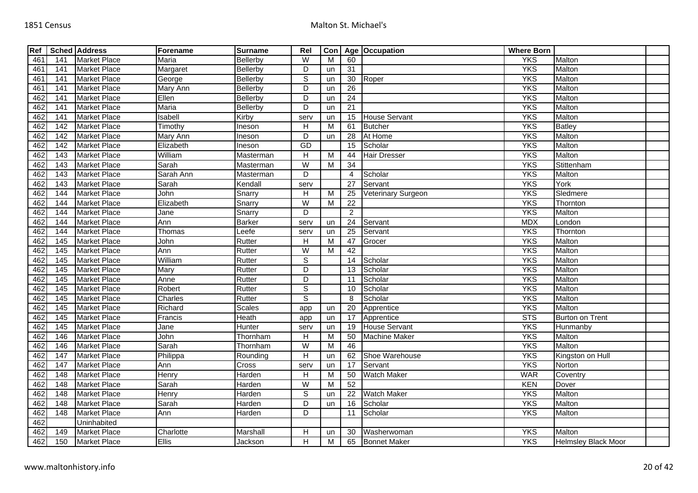| Ref |                 | <b>Sched Address</b> | Forename      | <b>Surname</b> | Rel                       |    |                 | Con   Age   Occupation | <b>Where Born</b> |                            |  |
|-----|-----------------|----------------------|---------------|----------------|---------------------------|----|-----------------|------------------------|-------------------|----------------------------|--|
| 461 | 141             | <b>Market Place</b>  | <b>Maria</b>  | Bellerby       | $\overline{W}$            | М  | 60              |                        | <b>YKS</b>        | Malton                     |  |
| 461 | 141             | <b>Market Place</b>  | Margaret      | Bellerby       | D                         | un | 31              |                        | <b>YKS</b>        | Malton                     |  |
| 461 | 141             | <b>Market Place</b>  | George        | Bellerby       | $\overline{s}$            | un | 30              | Roper                  | <b>YKS</b>        | Malton                     |  |
| 461 | 141             | <b>Market Place</b>  | Mary Ann      | Bellerby       | D                         | un | 26              |                        | <b>YKS</b>        | Malton                     |  |
| 462 | 141             | <b>Market Place</b>  | Ellen         | Bellerby       | $\overline{D}$            | un | 24              |                        | <b>YKS</b>        | Malton                     |  |
| 462 | 141             | <b>Market Place</b>  | Maria         | Bellerby       | D                         | un | 21              |                        | <b>YKS</b>        | Malton                     |  |
| 462 | 141             | <b>Market Place</b>  | Isabell       | Kirby          | serv                      | un | 15              | <b>House Servant</b>   | <b>YKS</b>        | Malton                     |  |
| 462 | 142             | <b>Market Place</b>  | Timothy       | Ineson         | H                         | M  | 61              | Butcher                | <b>YKS</b>        | <b>Batley</b>              |  |
| 462 | 142             | <b>Market Place</b>  | Mary Ann      | Ineson         | D                         | un | 28              | At Home                | <b>YKS</b>        | Malton                     |  |
| 462 | 142             | <b>Market Place</b>  | Elizabeth     | Ineson         | <b>GD</b>                 |    | 15              | Scholar                | <b>YKS</b>        | Malton                     |  |
| 462 | 143             | <b>Market Place</b>  | William       | Masterman      | H                         | M  | 44              | <b>Hair Dresser</b>    | <b>YKS</b>        | Malton                     |  |
| 462 | 143             | <b>Market Place</b>  | Sarah         | Masterman      | $\overline{W}$            | M  | 34              |                        | <b>YKS</b>        | Stittenham                 |  |
| 462 | 143             | <b>Market Place</b>  | Sarah Ann     | Masterman      | D                         |    | $\overline{4}$  | Scholar                | <b>YKS</b>        | Malton                     |  |
| 462 | 143             | <b>Market Place</b>  | Sarah         | Kendall        | serv                      |    | 27              | Servant                | <b>YKS</b>        | York                       |  |
| 462 | 144             | <b>Market Place</b>  | John          | Snarry         | $\boldsymbol{\mathsf{H}}$ | M  | 25              | Veterinary Surgeon     | <b>YKS</b>        | Sledmere                   |  |
| 462 | 144             | <b>Market Place</b>  | Elizabeth     | Snarry         | $\overline{W}$            | М  | 22              |                        | <b>YKS</b>        | Thornton                   |  |
| 462 | 144             | <b>Market Place</b>  | Jane          | Snarry         | $\overline{D}$            |    | $\overline{2}$  |                        | <b>YKS</b>        | Malton                     |  |
| 462 | 144             | <b>Market Place</b>  | Ann           | <b>Barker</b>  | serv                      | un | 24              | Servant                | <b>MDX</b>        | London                     |  |
| 462 | 144             | <b>Market Place</b>  | Thomas        | Leefe          | serv                      | un | 25              | Servant                | <b>YKS</b>        | Thornton                   |  |
| 462 | 145             | <b>Market Place</b>  | John          | Rutter         | H                         | M  | 47              | Grocer                 | <b>YKS</b>        | Malton                     |  |
| 462 | 145             | <b>Market Place</b>  | Ann           | Rutter         | $\overline{W}$            | M  | 42              |                        | <b>YKS</b>        | Malton                     |  |
| 462 | 145             | <b>Market Place</b>  | William       | Rutter         | $\mathsf S$               |    | 14              | Scholar                | <b>YKS</b>        | Malton                     |  |
| 462 | $\frac{145}{ }$ | <b>Market Place</b>  | <b>Mary</b>   | Rutter         | $\overline{D}$            |    | 13              | Scholar                | <b>YKS</b>        | Malton                     |  |
| 462 | 145             | <b>Market Place</b>  | Anne          | Rutter         | D                         |    | 11              | Scholar                | <b>YKS</b>        | Malton                     |  |
| 462 | 145             | <b>Market Place</b>  | <b>Robert</b> | Rutter         | $\overline{s}$            |    | 10              | Scholar                | <b>YKS</b>        | Malton                     |  |
| 462 | 145             | <b>Market Place</b>  | Charles       | Rutter         | S                         |    | 8               | Scholar                | <b>YKS</b>        | Malton                     |  |
| 462 | 145             | <b>Market Place</b>  | Richard       | <b>Scales</b>  | app                       | un | 20              | Apprentice             | <b>YKS</b>        | Malton                     |  |
| 462 | 145             | <b>Market Place</b>  | Francis       | Heath          | app                       | un | 17              | Apprentice             | <b>STS</b>        | <b>Burton on Trent</b>     |  |
| 462 | 145             | <b>Market Place</b>  | Jane          | Hunter         | serv                      | un | 19              | <b>House Servant</b>   | <b>YKS</b>        | Hunmanby                   |  |
| 462 | 146             | <b>Market Place</b>  | John          | Thornham       | $\boldsymbol{\mathsf{H}}$ | M  | 50              | <b>Machine Maker</b>   | <b>YKS</b>        | Malton                     |  |
| 462 | 146             | <b>Market Place</b>  | Sarah         | Thornham       | $\overline{W}$            | M  | 46              |                        | <b>YKS</b>        | Malton                     |  |
| 462 | 147             | <b>Market Place</b>  | Philippa      | Rounding       | $\boldsymbol{\mathsf{H}}$ | un | 62              | Shoe Warehouse         | <b>YKS</b>        | Kingston on Hull           |  |
| 462 | 147             | <b>Market Place</b>  | Ann           | Cross          | serv                      | un | $\overline{17}$ | Servant                | <b>YKS</b>        | Norton                     |  |
| 462 | 148             | <b>Market Place</b>  | Henry         | Harden         | $\boldsymbol{\mathsf{H}}$ | M  | 50              | <b>Watch Maker</b>     | <b>WAR</b>        | Coventry                   |  |
| 462 | 148             | <b>Market Place</b>  | Sarah         | Harden         | W                         | м  | 52              |                        | KEN               | Dover                      |  |
| 462 | 148             | <b>Market Place</b>  | Henry         | Harden         | S                         | un | 22              | <b>Watch Maker</b>     | <b>YKS</b>        | Malton                     |  |
| 462 | 148             | <b>Market Place</b>  | Sarah         | Harden         | D                         | un | 16              | Scholar                | <b>YKS</b>        | Malton                     |  |
| 462 | 148             | <b>Market Place</b>  | Ann           | Harden         | D                         |    | 11              | Scholar                | <b>YKS</b>        | Malton                     |  |
| 462 |                 | Uninhabited          |               |                |                           |    |                 |                        |                   |                            |  |
| 462 | 149             | <b>Market Place</b>  | Charlotte     | Marshall       | Н                         | un | 30              | Washerwoman            | <b>YKS</b>        | <b>Malton</b>              |  |
| 462 | 150             | <b>Market Place</b>  | <b>Ellis</b>  | Jackson        | H                         | M  |                 | 65 Bonnet Maker        | <b>YKS</b>        | <b>Helmsley Black Moor</b> |  |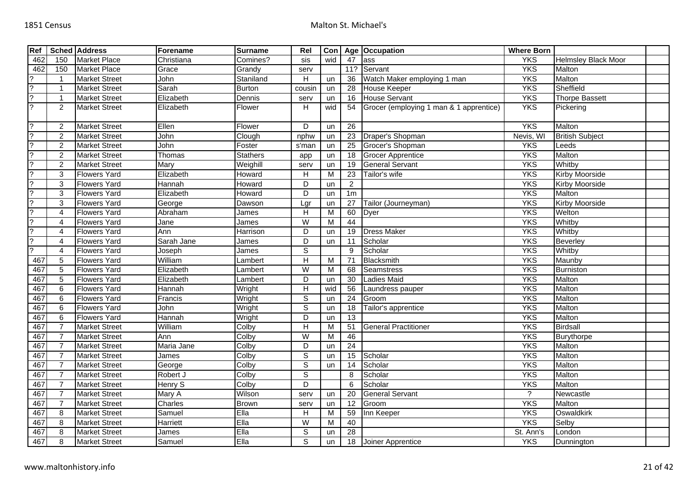| Ref                      |                | <b>Sched Address</b> | <b>Forename</b> | <b>Surname</b>  | Rel            | Con |                 | Age Occupation                          | <b>Where Born</b> |                            |  |
|--------------------------|----------------|----------------------|-----------------|-----------------|----------------|-----|-----------------|-----------------------------------------|-------------------|----------------------------|--|
| 462                      | 150            | <b>Market Place</b>  | Christiana      | Comines?        | sis            | wid | 47              | ass                                     | <b>YKS</b>        | <b>Helmsley Black Moor</b> |  |
| 462                      | 150            | <b>Market Place</b>  | Grace           | Grandy          | serv           |     | 11?             | Servant                                 | <b>YKS</b>        | Malton                     |  |
| 2                        | $\overline{1}$ | <b>Market Street</b> | John            | Staniland       | H              | un  | 36              | Watch Maker employing 1 man             | <b>YKS</b>        | Malton                     |  |
| 2                        | -1             | <b>Market Street</b> | Sarah           | <b>Burton</b>   | cousin         | un  | 28              | House Keeper                            | <b>YKS</b>        | Sheffield                  |  |
| $\overline{\phantom{a}}$ | -1             | <b>Market Street</b> | Elizabeth       | Dennis          | serv           | un  | 16              | <b>House Servant</b>                    | <b>YKS</b>        | <b>Thorpe Bassett</b>      |  |
| $\overline{?}$           | $\overline{2}$ | <b>Market Street</b> | Elizabeth       | Flower          | H              | wid | 54              | Grocer (employing 1 man & 1 apprentice) | <b>YKS</b>        | Pickering                  |  |
| $\mathcal{P}$            | 2              | <b>Market Street</b> | Ellen           | Flower          | D              | un  | 26              |                                         | <b>YKS</b>        | Malton                     |  |
| 2                        | 2              | <b>Market Street</b> | John            | Clough          | nphw           | un  | 23              | Draper's Shopman                        | Nevis, WI         | <b>British Subject</b>     |  |
| $\overline{2}$           | $\overline{2}$ | <b>Market Street</b> | John            | Foster          | s'man          | un  | $\overline{25}$ | Grocer's Shopman                        | <b>YKS</b>        | Leeds                      |  |
| 2                        | $\overline{2}$ | <b>Market Street</b> | Thomas          | <b>Stathers</b> | app            | un  | 18              | <b>Grocer Apprentice</b>                | <b>YKS</b>        | Malton                     |  |
| $\overline{2}$           | $\overline{2}$ | <b>Market Street</b> | Mary            | Weighill        | serv           | un  | 19              | <b>General Servant</b>                  | <b>YKS</b>        | Whitby                     |  |
| 2                        | 3              | <b>Flowers Yard</b>  | Elizabeth       | Howard          | H              | M   | 23              | Tailor's wife                           | <b>YKS</b>        | <b>Kirby Moorside</b>      |  |
| $\overline{?}$           | 3              | <b>Flowers Yard</b>  | Hannah          | Howard          | D              | un  | $\overline{2}$  |                                         | <b>YKS</b>        | <b>Kirby Moorside</b>      |  |
| 2                        | 3              | <b>Flowers Yard</b>  | Elizabeth       | Howard          | $\overline{D}$ | un  | 1 <sub>m</sub>  |                                         | <b>YKS</b>        | Malton                     |  |
| 2                        | 3              | <b>Flowers Yard</b>  | George          | Dawson          | Lgr            | un  | 27              | Tailor (Journeyman)                     | <b>YKS</b>        | <b>Kirby Moorside</b>      |  |
| ?                        | 4              | <b>Flowers Yard</b>  | Abraham         | James           | H              | M   | 60              | Dyer                                    | <b>YKS</b>        | Welton                     |  |
| $\overline{?}$           | 4              | <b>Flowers Yard</b>  | Jane            | James           | W              | M   | 44              |                                         | <b>YKS</b>        | Whitby                     |  |
| $\mathcal{P}$            | 4              | <b>Flowers Yard</b>  | Ann             | Harrison        | D              | un  | 19              | <b>Dress Maker</b>                      | <b>YKS</b>        | Whitby                     |  |
| $\overline{?}$           | 4              | <b>Flowers Yard</b>  | Sarah Jane      | James           | D              | un  | 11              | Scholar                                 | <b>YKS</b>        | Beverley                   |  |
| $\mathcal{P}$            | $\overline{4}$ | <b>Flowers Yard</b>  | Joseph          | James           | $\overline{s}$ |     | 9               | Scholar                                 | <b>YKS</b>        | Whitby                     |  |
| 467                      | $\overline{5}$ | <b>Flowers Yard</b>  | William         | Lambert         | $\overline{H}$ | М   | 71              | Blacksmith                              | <b>YKS</b>        | Maunby                     |  |
| 467                      | 5              | <b>Flowers Yard</b>  | Elizabeth       | _ambert         | W              | M   | 68              | Seamstress                              | <b>YKS</b>        | <b>Burniston</b>           |  |
| 467                      | 5              | <b>Flowers Yard</b>  | Elizabeth       | Lambert         | D              | un  | 30              | Ladies Maid                             | <b>YKS</b>        | Malton                     |  |
| 467                      | 6              | <b>Flowers Yard</b>  | Hannah          | Wright          | $\overline{H}$ | wid | 56              | Laundress pauper                        | <b>YKS</b>        | Malton                     |  |
| 467                      | 6              | <b>Flowers Yard</b>  | Francis         | Wright          | $\overline{s}$ | un  | 24              | Groom                                   | <b>YKS</b>        | Malton                     |  |
| 467                      | 6              | <b>Flowers Yard</b>  | John            | Wright          | $\overline{s}$ | un  | 18              | Tailor's apprentice                     | <b>YKS</b>        | Malton                     |  |
| 467                      | 6              | <b>Flowers Yard</b>  | Hannah          | Wright          | $\overline{D}$ | un  | $\overline{13}$ |                                         | <b>YKS</b>        | Malton                     |  |
| 467                      | $\overline{7}$ | <b>Market Street</b> | William         | Colby           | Н              | M   | 51              | <b>General Practitioner</b>             | <b>YKS</b>        | <b>Birdsall</b>            |  |
| 467                      | $\overline{7}$ | <b>Market Street</b> | Ann             | Colby           | $\overline{W}$ | M   | 46              |                                         | <b>YKS</b>        | Burythorpe                 |  |
| 467                      | $\overline{7}$ | <b>Market Street</b> | Maria Jane      | Colby           | D              | un  | 24              |                                         | <b>YKS</b>        | Malton                     |  |
| 467                      | $\overline{7}$ | <b>Market Street</b> | James           | Colby           | $\overline{s}$ | un  | 15              | Scholar                                 | <b>YKS</b>        | Malton                     |  |
| 467                      | $\overline{7}$ | <b>Market Street</b> | George          | Colby           | $\overline{s}$ | un  | 14              | Scholar                                 | <b>YKS</b>        | Malton                     |  |
| 467                      | $\overline{7}$ | <b>Market Street</b> | Robert J        | Colby           | $\overline{s}$ |     | 8               | Scholar                                 | <b>YKS</b>        | Malton                     |  |
| 467                      | $\overline{7}$ | <b>Market Street</b> | Henry S         | Colby           | D              |     | 6               | Scholar                                 | <b>YKS</b>        | Malton                     |  |
| 467                      | $\overline{7}$ | <b>Market Street</b> | Mary A          | Wilson          | serv           | un  | 20              | <b>General Servant</b>                  | $\tilde{?}$       | Newcastle                  |  |
| 467                      | $\overline{7}$ | <b>Market Street</b> | Charles         | <b>Brown</b>    | serv           | un  | 12              | Groom                                   | <b>YKS</b>        | Malton                     |  |
| 467                      | 8              | <b>Market Street</b> | Samuel          | $E$ lla         | H              | М   | 59              | Inn Keeper                              | <b>YKS</b>        | Oswaldkirk                 |  |
| 467                      | 8              | <b>Market Street</b> | Harriett        | Ella            | W              | M   | 40              |                                         | <b>YKS</b>        | Selby                      |  |
| 467                      | 8              | <b>Market Street</b> | James           | Ella            | $\overline{s}$ | un  | $\overline{28}$ |                                         | St. Ann's         | London                     |  |
| 467                      | 8              | <b>Market Street</b> | Samuel          | Ella            | $\mathbb S$    | un  |                 | 18 Joiner Apprentice                    | <b>YKS</b>        | Dunnington                 |  |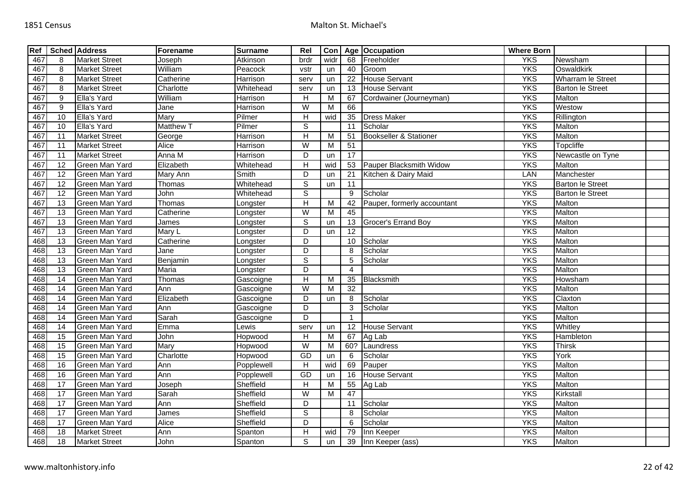| Ref |                 | <b>Sched Address</b> | Forename         | <b>Surname</b> | Rel                       | Con  |                 | Age Occupation                    | <b>Where Born</b> |                          |  |
|-----|-----------------|----------------------|------------------|----------------|---------------------------|------|-----------------|-----------------------------------|-------------------|--------------------------|--|
| 467 | 8               | <b>Market Street</b> | Joseph           | Atkinson       | brdr                      | widr | 68              | Freeholder                        | <b>YKS</b>        | Newsham                  |  |
| 467 | 8               | <b>Market Street</b> | William          | Peacock        | vstr                      | un   | 40              | Groom                             | <b>YKS</b>        | Oswaldkirk               |  |
| 467 | 8               | <b>Market Street</b> | Catherine        | Harrison       | serv                      | un   | 22              | <b>House Servant</b>              | <b>YKS</b>        | <b>Wharram le Street</b> |  |
| 467 | 8               | <b>Market Street</b> | Charlotte        | Whitehead      | serv                      | un   | 13              | <b>House Servant</b>              | <b>YKS</b>        | <b>Barton le Street</b>  |  |
| 467 | 9               | Ella's Yard          | William          | Harrison       | H                         | M    | 67              | Cordwainer (Journeyman)           | <b>YKS</b>        | Malton                   |  |
| 467 | 9               | Ella's Yard          | Jane             | Harrison       | W                         | M    | 66              |                                   | <b>YKS</b>        | Westow                   |  |
| 467 | 10              | Ella's Yard          | Mary             | Pilmer         | $\overline{H}$            | wid  | $\overline{35}$ | <b>Dress Maker</b>                | <b>YKS</b>        | Rillington               |  |
| 467 | 10              | Ella's Yard          | <b>Matthew T</b> | Pilmer         | $\overline{s}$            |      | 11              | Scholar                           | <b>YKS</b>        | Malton                   |  |
| 467 | $\overline{11}$ | <b>Market Street</b> | George           | Harrison       | $\overline{H}$            | М    | 51              | <b>Bookseller &amp; Stationer</b> | <b>YKS</b>        | Malton                   |  |
| 467 | 11              | <b>Market Street</b> | Alice            | Harrison       | W                         | M    | 51              |                                   | <b>YKS</b>        | Topcliffe                |  |
| 467 | 11              | <b>Market Street</b> | Anna M           | Harrison       | D                         | un   | $\overline{17}$ |                                   | <b>YKS</b>        | Newcastle on Tyne        |  |
| 467 | 12              | Green Man Yard       | Elizabeth        | Whitehead      | $\boldsymbol{\mathsf{H}}$ | wid  | 53              | Pauper Blacksmith Widow           | <b>YKS</b>        | Malton                   |  |
| 467 | $\overline{12}$ | Green Man Yard       | Mary Ann         | Smith          | D                         | un   | 21              | Kitchen & Dairy Maid              | <b>LAN</b>        | Manchester               |  |
| 467 | 12              | Green Man Yard       | Thomas           | Whitehead      | S                         | un   | 11              |                                   | <b>YKS</b>        | <b>Barton le Street</b>  |  |
| 467 | $\overline{12}$ | Green Man Yard       | John             | Whitehead      | $\overline{s}$            |      | 9               | Scholar                           | <b>YKS</b>        | <b>Barton le Street</b>  |  |
| 467 | 13              | Green Man Yard       | Thomas           | _ongster       | $\boldsymbol{\mathsf{H}}$ | M    | 42              | Pauper, formerly accountant       | <b>YKS</b>        | Malton                   |  |
| 467 | $\overline{13}$ | Green Man Yard       | Catherine        | Longster       | $\overline{\mathsf{W}}$   | M    | 45              |                                   | <b>YKS</b>        | Malton                   |  |
| 467 | 13              | Green Man Yard       | James            | _ongster       | $\mathbb S$               | un   | 13              | Grocer's Errand Boy               | <b>YKS</b>        | Malton                   |  |
| 467 | $\overline{13}$ | Green Man Yard       | Mary L           | Longster       | $\overline{D}$            | un   | $\overline{12}$ |                                   | <b>YKS</b>        | Malton                   |  |
| 468 | 13              | Green Man Yard       | Catherine        | _ongster       | D                         |      | 10              | Scholar                           | <b>YKS</b>        | Malton                   |  |
| 468 | $\overline{13}$ | Green Man Yard       | Jane             | Longster       | D                         |      | 8               | Scholar                           | <b>YKS</b>        | Malton                   |  |
| 468 | 13              | Green Man Yard       | Benjamin         | Longster       | $\overline{s}$            |      | 5               | Scholar                           | <b>YKS</b>        | Malton                   |  |
| 468 | $\overline{13}$ | Green Man Yard       | Maria            | Longster       | D                         |      | $\overline{4}$  |                                   | <b>YKS</b>        | Malton                   |  |
| 468 | 14              | Green Man Yard       | Thomas           | Gascoigne      | H                         | M    | 35              | Blacksmith                        | <b>YKS</b>        | Howsham                  |  |
| 468 | $\overline{14}$ | Green Man Yard       | Ann              | Gascoigne      | W                         | М    | 32              |                                   | <b>YKS</b>        | Malton                   |  |
| 468 | $\overline{14}$ | Green Man Yard       | Elizabeth        | Gascoigne      | D                         | un   | 8               | Scholar                           | <b>YKS</b>        | Claxton                  |  |
| 468 | $\overline{14}$ | Green Man Yard       | Ann              | Gascoigne      | D                         |      | 3               | Scholar                           | <b>YKS</b>        | Malton                   |  |
| 468 | $\overline{14}$ | Green Man Yard       | Sarah            | Gascoigne      | D                         |      | 1               |                                   | <b>YKS</b>        | Malton                   |  |
| 468 | 14              | Green Man Yard       | Emma             | ewis           | serv                      | un   | 12              | <b>House Servant</b>              | <b>YKS</b>        | Whitley                  |  |
| 468 | 15              | Green Man Yard       | John             | Hopwood        | H                         | M    | 67              | Ag Lab                            | <b>YKS</b>        | Hambleton                |  |
| 468 | 15              | Green Man Yard       | Mary             | Hopwood        | W                         | М    | 60?             | Laundress                         | <b>YKS</b>        | <b>Thirsk</b>            |  |
| 468 | 15              | Green Man Yard       | Charlotte        | Hopwood        | GD                        | un   | 6               | Scholar                           | <b>YKS</b>        | York                     |  |
| 468 | 16              | Green Man Yard       | Ann              | Popplewell     | $\boldsymbol{\mathsf{H}}$ | wid  | 69              | Pauper                            | <b>YKS</b>        | Malton                   |  |
| 468 | 16              | Green Man Yard       | Ann              | Popplewell     | GD                        | un   | 16              | <b>House Servant</b>              | <b>YKS</b>        | Malton                   |  |
| 468 | 17              | Green Man Yard       | Joseph           | Sheffield      | $\overline{H}$            | M    | 55              | Ag Lab                            | <b>YKS</b>        | Malton                   |  |
| 468 | 17              | Green Man Yard       | Sarah            | Sheffield      | W                         | M    | 47              |                                   | <b>YKS</b>        | Kirkstall                |  |
| 468 | 17              | Green Man Yard       | Ann              | Sheffield      | D                         |      | 11              | Scholar                           | <b>YKS</b>        | Malton                   |  |
| 468 | 17              | Green Man Yard       | James            | Sheffield      | $\mathbb S$               |      | 8               | Scholar                           | <b>YKS</b>        | Malton                   |  |
| 468 | 17              | Green Man Yard       | Alice            | Sheffield      | D                         |      | 6               | Scholar                           | <b>YKS</b>        | Malton                   |  |
| 468 | 18              | <b>Market Street</b> | Ann              | Spanton        | $\boldsymbol{\mathsf{H}}$ | wid  | 79              | Inn Keeper                        | <b>YKS</b>        | Malton                   |  |
| 468 | 18              | <b>Market Street</b> | John             | Spanton        | S                         | un   | 39              | Inn Keeper (ass)                  | <b>YKS</b>        | Malton                   |  |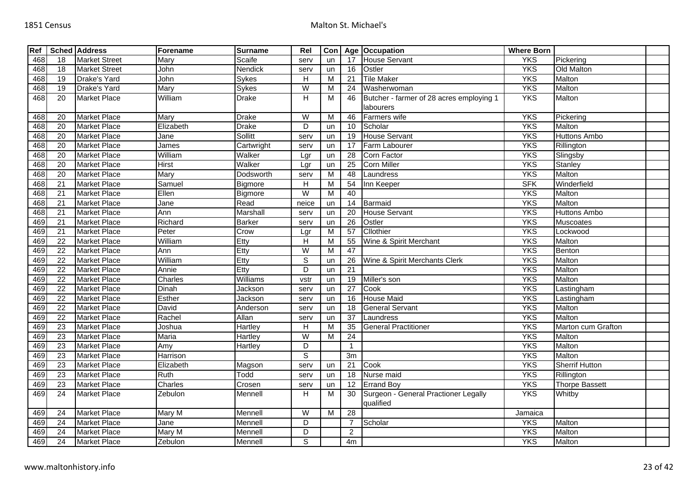| Ref |                 | <b>Sched Address</b> | Forename     | <b>Surname</b> | Rel                       | Con |                 | Age Occupation                           | <b>Where Born</b> |                       |  |
|-----|-----------------|----------------------|--------------|----------------|---------------------------|-----|-----------------|------------------------------------------|-------------------|-----------------------|--|
| 468 | 18              | <b>Market Street</b> | Mary         | Scaife         | serv                      | un  | 17              | <b>House Servant</b>                     | <b>YKS</b>        | Pickering             |  |
| 468 | 18              | <b>Market Street</b> | John         | Nendick        | serv                      | un  | 16              | Ostler                                   | <b>YKS</b>        | Old Malton            |  |
| 468 | 19              | Drake's Yard         | John         | <b>Sykes</b>   | $\boldsymbol{\mathsf{H}}$ | M   | 21              | <b>Tile Maker</b>                        | <b>YKS</b>        | Malton                |  |
| 468 | $\overline{19}$ | Drake's Yard         | Mary         | <b>Sykes</b>   | $\overline{W}$            | м   | 24              | Washerwoman                              | <b>YKS</b>        | Malton                |  |
| 468 | 20              | <b>Market Place</b>  | William      | <b>Drake</b>   | н                         | M   | 46              | Butcher - farmer of 28 acres employing 1 | <b>YKS</b>        | Malton                |  |
|     |                 |                      |              |                |                           |     |                 | labourers                                |                   |                       |  |
| 468 | 20              | <b>Market Place</b>  | Mary         | <b>Drake</b>   | $\overline{W}$            | M   | 46              | Farmers wife                             | <b>YKS</b>        | Pickering             |  |
| 468 | 20              | <b>Market Place</b>  | Elizabeth    | Drake          | D                         | un  | 10              | Scholar                                  | <b>YKS</b>        | Malton                |  |
| 468 | $\overline{20}$ | <b>Market Place</b>  | Jane         | <b>Sollitt</b> | serv                      | un  | 19              | <b>House Servant</b>                     | <b>YKS</b>        | <b>Huttons Ambo</b>   |  |
| 468 | $\overline{20}$ | <b>Market Place</b>  | James        | Cartwright     | serv                      | un  | 17              | Farm Labourer                            | <b>YKS</b>        | Rillington            |  |
| 468 | $\overline{20}$ | <b>Market Place</b>  | William      | Walker         | Lgr                       | un  | 28              | Corn Factor                              | <b>YKS</b>        | Slingsby              |  |
| 468 | 20              | <b>Market Place</b>  | <b>Hirst</b> | Walker         | Lgr                       | un  | 25              | <b>Corn Miller</b>                       | <b>YKS</b>        | Stanley               |  |
| 468 | $\overline{20}$ | <b>Market Place</b>  | Mary         | Dodsworth      | serv                      | M   | 48              | Laundress                                | <b>YKS</b>        | Malton                |  |
| 468 | 21              | <b>Market Place</b>  | Samuel       | Bigmore        | н                         | м   | 54              | Inn Keeper                               | <b>SFK</b>        | Winderfield           |  |
| 468 | $\overline{21}$ | <b>Market Place</b>  | Ellen        | Bigmore        | $\overline{\mathsf{W}}$   | M   | 40              |                                          | <b>YKS</b>        | Malton                |  |
| 468 | 21              | <b>Market Place</b>  | Jane         | Read           | neice                     | un  | 14              | Barmaid                                  | <b>YKS</b>        | Malton                |  |
| 468 | $\overline{21}$ | <b>Market Place</b>  | Ann          | Marshall       | serv                      | un  | 20              | <b>House Servant</b>                     | <b>YKS</b>        | <b>Huttons Ambo</b>   |  |
| 469 | 21              | <b>Market Place</b>  | Richard      | <b>Barker</b>  | serv                      | un  | 26              | Ostler                                   | <b>YKS</b>        | Muscoates             |  |
| 469 | $\overline{21}$ | <b>Market Place</b>  | Peter        | Crow           | Lgr                       | M   | 57              | Cllothier                                | <b>YKS</b>        | Lockwood              |  |
| 469 | $\overline{22}$ | <b>Market Place</b>  | William      | Etty           | Н                         | M   | 55              | Wine & Spirit Merchant                   | <b>YKS</b>        | Malton                |  |
| 469 | 22              | <b>Market Place</b>  | Ann          | Etty           | $\overline{\mathsf{W}}$   | M   | 47              |                                          | <b>YKS</b>        | Benton                |  |
| 469 | $\overline{22}$ | <b>Market Place</b>  | William      | Etty           | $\overline{s}$            | un  | 26              | Wine & Spirit Merchants Clerk            | <b>YKS</b>        | Malton                |  |
| 469 | $\overline{22}$ | <b>Market Place</b>  | Annie        | Etty           | D                         | un  | $\overline{21}$ |                                          | <b>YKS</b>        | Malton                |  |
| 469 | 22              | <b>Market Place</b>  | Charles      | Williams       | vstr                      | un  | 19              | Miller's son                             | <b>YKS</b>        | Malton                |  |
| 469 | $\overline{22}$ | <b>Market Place</b>  | Dinah        | Jackson        | serv                      | un  | $\overline{27}$ | Cook                                     | <b>YKS</b>        | Lastingham            |  |
| 469 | 22              | <b>Market Place</b>  | Esther       | Jackson        | serv                      | un  | 16              | <b>House Maid</b>                        | <b>YKS</b>        | Lastingham            |  |
| 469 | $\overline{22}$ | <b>Market Place</b>  | David        | Anderson       | serv                      | un  | 18              | <b>General Servant</b>                   | <b>YKS</b>        | Malton                |  |
| 469 | $\overline{22}$ | <b>Market Place</b>  | Rachel       | Allan          | serv                      | un  | $\overline{37}$ | Laundress                                | <b>YKS</b>        | Malton                |  |
| 469 | $\overline{23}$ | <b>Market Place</b>  | Joshua       | Hartley        | H                         | м   | $\overline{35}$ | <b>General Practitioner</b>              | <b>YKS</b>        | Marton cum Grafton    |  |
| 469 | 23              | <b>Market Place</b>  | Maria        | <b>Hartley</b> | W                         | м   | $\overline{24}$ |                                          | <b>YKS</b>        | Malton                |  |
| 469 | 23              | <b>Market Place</b>  | Amy          | <b>Hartley</b> | D                         |     | $\overline{1}$  |                                          | <b>YKS</b>        | Malton                |  |
| 469 | $\overline{23}$ | <b>Market Place</b>  | Harrison     |                | $\overline{s}$            |     | 3m              |                                          | <b>YKS</b>        | Malton                |  |
| 469 | $\overline{23}$ | <b>Market Place</b>  | Elizabeth    | Magson         | serv                      | un  | $\overline{21}$ | Cook                                     | <b>YKS</b>        | <b>Sherrif Hutton</b> |  |
| 469 | $\overline{23}$ | <b>Market Place</b>  | Ruth         | Todd           | serv                      | un  | 18              | Nurse maid                               | <b>YKS</b>        | Rillington            |  |
| 469 | 23              | <b>Market Place</b>  | Charles      | Crosen         | serv                      | un  | $\overline{12}$ | <b>Errand Boy</b>                        | <b>YKS</b>        | <b>Thorpe Bassett</b> |  |
| 469 | 24              | <b>Market Place</b>  | Zebulon      | Mennell        | н                         | M   | 30              | Surgeon - General Practioner Legally     | <b>YKS</b>        | Whitby                |  |
|     |                 |                      |              |                |                           |     |                 | qualified                                |                   |                       |  |
| 469 | 24              | <b>Market Place</b>  | Mary M       | Mennell        | $\overline{W}$            | M   | 28              |                                          | Jamaica           |                       |  |
| 469 | 24              | <b>Market Place</b>  | Jane         | Mennell        | D                         |     | $\overline{7}$  | Scholar                                  | <b>YKS</b>        | Malton                |  |
| 469 | 24              | <b>Market Place</b>  | Mary M       | Mennell        | D                         |     | $\overline{2}$  |                                          | <b>YKS</b>        | Malton                |  |
| 469 | $\overline{24}$ | <b>Market Place</b>  | Zebulon      | Mennell        | S                         |     | 4m              |                                          | <b>YKS</b>        | Malton                |  |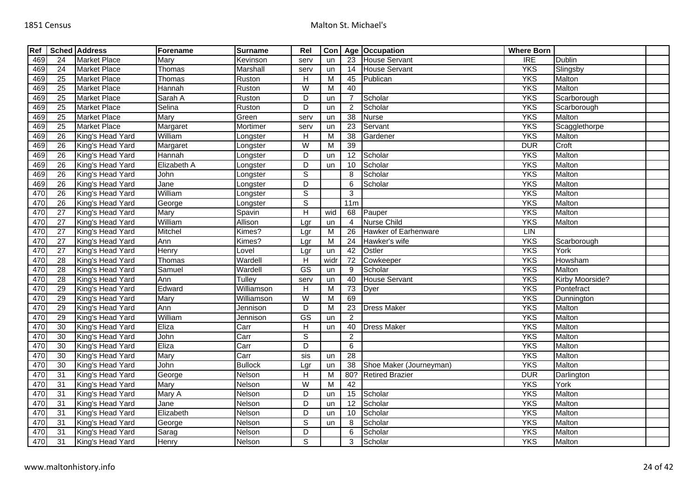| Ref |                 | <b>Sched Address</b> | Forename    | <b>Surname</b> | Rel                     | Con            |                 | Age Occupation          | <b>Where Born</b> |                 |  |
|-----|-----------------|----------------------|-------------|----------------|-------------------------|----------------|-----------------|-------------------------|-------------------|-----------------|--|
| 469 | 24              | <b>Market Place</b>  | Mary        | Kevinson       | serv                    | un             | 23              | <b>House Servant</b>    | $\overline{IRE}$  | <b>Dublin</b>   |  |
| 469 | $\overline{24}$ | <b>Market Place</b>  | Thomas      | Marshall       | serv                    | un             | 14              | <b>House Servant</b>    | <b>YKS</b>        | Slingsby        |  |
| 469 | 25              | <b>Market Place</b>  | Thomas      | Ruston         | H                       | M              | 45              | Publican                | <b>YKS</b>        | Malton          |  |
| 469 | 25              | <b>Market Place</b>  | Hannah      | Ruston         | $\overline{W}$          | М              | 40              |                         | <b>YKS</b>        | Malton          |  |
| 469 | $\overline{25}$ | <b>Market Place</b>  | Sarah A     | Ruston         | D                       | un             | $\overline{7}$  | Scholar                 | <b>YKS</b>        | Scarborough     |  |
| 469 | $\overline{25}$ | <b>Market Place</b>  | Selina      | Ruston         | D                       | un             | $\overline{2}$  | Scholar                 | <b>YKS</b>        | Scarborough     |  |
| 469 | $\overline{25}$ | <b>Market Place</b>  | Mary        | Green          | serv                    | un             | $\overline{38}$ | <b>Nurse</b>            | <b>YKS</b>        | Malton          |  |
| 469 | 25              | <b>Market Place</b>  | Margaret    | Mortimer       | serv                    | un             | 23              | Servant                 | <b>YKS</b>        | Scagglethorpe   |  |
| 469 | $\overline{26}$ | King's Head Yard     | William     | Longster       | H                       | M              | $\overline{38}$ | Gardener                | <b>YKS</b>        | Malton          |  |
| 469 | 26              | King's Head Yard     | Margaret    | Longster       | W                       | M              | 39              |                         | <b>DUR</b>        | Croft           |  |
| 469 | 26              | King's Head Yard     | Hannah      | Longster       | D                       | un             | 12              | Scholar                 | <b>YKS</b>        | Malton          |  |
| 469 | 26              | King's Head Yard     | Elizabeth A | Longster       | D                       | un             | 10              | Scholar                 | <b>YKS</b>        | Malton          |  |
| 469 | 26              | King's Head Yard     | John        | Longster       | $\mathbb S$             |                | 8               | Scholar                 | <b>YKS</b>        | Malton          |  |
| 469 | 26              | King's Head Yard     | Jane        | Longster       | $\overline{\mathsf{D}}$ |                | 6               | Scholar                 | <b>YKS</b>        | Malton          |  |
| 470 | 26              | King's Head Yard     | William     | Longster       | $\mathbb S$             |                | 3               |                         | <b>YKS</b>        | Malton          |  |
| 470 | 26              | King's Head Yard     | George      | Longster       | $\overline{s}$          |                | 11m             |                         | <b>YKS</b>        | Malton          |  |
| 470 | 27              | King's Head Yard     | Mary        | Spavin         | $\overline{H}$          | wid            | 68              | Pauper                  | <b>YKS</b>        | Malton          |  |
| 470 | $\overline{27}$ | King's Head Yard     | William     | Allison        | Lgr                     | un             | $\overline{4}$  | <b>Nurse Child</b>      | <b>YKS</b>        | Malton          |  |
| 470 | 27              | King's Head Yard     | Mitchel     | Kimes?         | Lgr                     | M              | 26              | Hawker of Earhenware    | LIN               |                 |  |
| 470 | $\overline{27}$ | King's Head Yard     | Ann         | Kimes?         | Lgr                     | M              | 24              | Hawker's wife           | <b>YKS</b>        | Scarborough     |  |
| 470 | 27              | King's Head Yard     | Henry       | Lovel          | Lgr                     | un             | 42              | Ostler                  | <b>YKS</b>        | York            |  |
| 470 | 28              | King's Head Yard     | Thomas      | Wardell        | H                       | widr           | 72              | Cowkeeper               | <b>YKS</b>        | Howsham         |  |
| 470 | 28              | King's Head Yard     | Samuel      | Wardell        | GS                      | un             | 9               | Scholar                 | <b>YKS</b>        | Malton          |  |
| 470 | 28              | King's Head Yard     | Ann         | Tulley         | serv                    | un             | 40              | House Servant           | <b>YKS</b>        | Kirby Moorside? |  |
| 470 | 29              | King's Head Yard     | Edward      | Williamson     | $\overline{H}$          | $\overline{M}$ | $\overline{73}$ | Dyer                    | <b>YKS</b>        | Pontefract      |  |
| 470 | 29              | King's Head Yard     | Mary        | Williamson     | W                       | М              | 69              |                         | <b>YKS</b>        | Dunnington      |  |
| 470 | 29              | King's Head Yard     | Ann         | Jennison       | D                       | M              | 23              | <b>Dress Maker</b>      | <b>YKS</b>        | Malton          |  |
| 470 | 29              | King's Head Yard     | William     | Jennison       | $\overline{\text{GS}}$  | un             | 2               |                         | <b>YKS</b>        | Malton          |  |
| 470 | 30              | King's Head Yard     | Eliza       | Carr           | H                       | un             | 40              | <b>Dress Maker</b>      | <b>YKS</b>        | Malton          |  |
| 470 | 30              | King's Head Yard     | John        | Carr           | $\mathbb S$             |                | $\overline{2}$  |                         | <b>YKS</b>        | Malton          |  |
| 470 | $\overline{30}$ | King's Head Yard     | Eliza       | Carr           | $\overline{D}$          |                | $\,6\,$         |                         | <b>YKS</b>        | Malton          |  |
| 470 | 30              | King's Head Yard     | Mary        | Carr           | sis                     | un             | 28              |                         | <b>YKS</b>        | Malton          |  |
| 470 | 30              | King's Head Yard     | John        | <b>Bullock</b> | Lgr                     | un             | 38              | Shoe Maker (Journeyman) | <b>YKS</b>        | Malton          |  |
| 470 | $\overline{31}$ | King's Head Yard     | George      | Nelson         | $\overline{H}$          | M              |                 | 80? Retired Brazier     | <b>DUR</b>        | Darlington      |  |
| 470 | 31              | King's Head Yard     | Mary        | Nelson         | W                       | М              | 42              |                         | <b>YKS</b>        | York            |  |
| 470 | 31              | King's Head Yard     | Mary A      | Nelson         | $\overline{D}$          | un             | $\overline{15}$ | Scholar                 | <b>YKS</b>        | Malton          |  |
| 470 | 31              | King's Head Yard     | Jane        | Nelson         | D                       | un             | 12              | Scholar                 | <b>YKS</b>        | Malton          |  |
| 470 | 31              | King's Head Yard     | Elizabeth   | Nelson         | D                       | un             | 10              | Scholar                 | <b>YKS</b>        | Malton          |  |
| 470 | 31              | King's Head Yard     | George      | Nelson         | $\mathbb S$             | un             | 8               | Scholar                 | <b>YKS</b>        | Malton          |  |
| 470 | 31              | King's Head Yard     | Sarag       | Nelson         | D                       |                | 6               | Scholar                 | <b>YKS</b>        | Malton          |  |
| 470 | 31              | King's Head Yard     | Henry       | Nelson         | S                       |                | 3               | Scholar                 | <b>YKS</b>        | Malton          |  |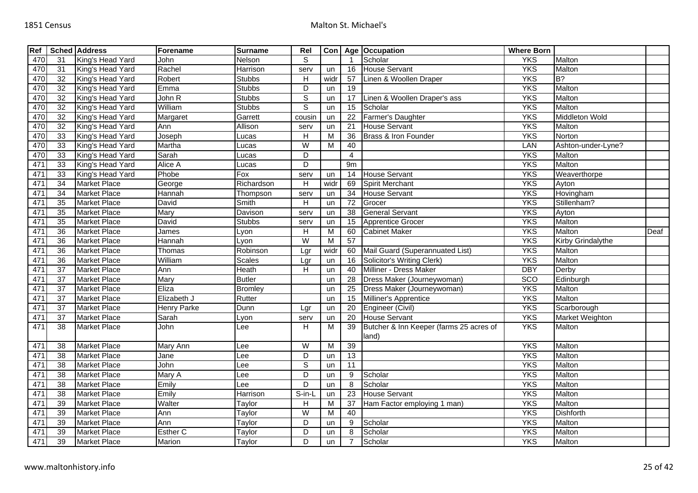| Ref |                 | <b>Sched Address</b> | Forename           | <b>Surname</b> | Rel                       | Con                     |                          | Age Occupation                          | <b>Where Born</b> |                        |      |
|-----|-----------------|----------------------|--------------------|----------------|---------------------------|-------------------------|--------------------------|-----------------------------------------|-------------------|------------------------|------|
| 470 | 31              | King's Head Yard     | John               | Nelson         | S                         |                         | $\overline{\phantom{a}}$ | Scholar                                 | <b>YKS</b>        | Malton                 |      |
| 470 | 31              | King's Head Yard     | Rachel             | Harrison       | serv                      | un                      | 16                       | <b>House Servant</b>                    | <b>YKS</b>        | Malton                 |      |
| 470 | 32              | King's Head Yard     | Robert             | <b>Stubbs</b>  | $\boldsymbol{\mathsf{H}}$ | widr                    | 57                       | Linen & Woollen Draper                  | <b>YKS</b>        | $B$ ?                  |      |
| 470 | 32              | King's Head Yard     | Emma               | <b>Stubbs</b>  | D                         | un                      | $\overline{19}$          |                                         | <b>YKS</b>        | Malton                 |      |
| 470 | 32              | King's Head Yard     | John R             | <b>Stubbs</b>  | $\mathbb S$               | un                      | 17                       | Linen & Woollen Draper's ass            | <b>YKS</b>        | Malton                 |      |
| 470 | 32              | King's Head Yard     | William            | <b>Stubbs</b>  | $\overline{s}$            | un                      | 15                       | Scholar                                 | <b>YKS</b>        | Malton                 |      |
| 470 | 32              | King's Head Yard     | Margaret           | Garrett        | cousin                    | un                      | 22                       | Farmer's Daughter                       | <b>YKS</b>        | <b>Middleton Wold</b>  |      |
| 470 | $\overline{32}$ | King's Head Yard     | Ann                | Allison        | serv                      | un                      | 21                       | <b>House Servant</b>                    | <b>YKS</b>        | Malton                 |      |
| 470 | 33              | King's Head Yard     | Joseph             | Lucas          | $\overline{H}$            | M                       | $\overline{36}$          | Brass & Iron Founder                    | <b>YKS</b>        | Norton                 |      |
| 470 | 33              | King's Head Yard     | Martha             | _ucas          | $\overline{W}$            | M                       | 40                       |                                         | LAN               | Ashton-under-Lyne?     |      |
| 470 | $\overline{33}$ | King's Head Yard     | Sarah              | Lucas          | $\overline{D}$            |                         | $\overline{4}$           |                                         | <b>YKS</b>        | Malton                 |      |
| 471 | 33              | King's Head Yard     | Alice A            | Lucas          | $\overline{D}$            |                         | 9m                       |                                         | <b>YKS</b>        | Malton                 |      |
| 471 | 33              | King's Head Yard     | Phobe              | Fox            | serv                      | un                      | 14                       | <b>House Servant</b>                    | <b>YKS</b>        | Weaverthorpe           |      |
| 471 | $\overline{34}$ | <b>Market Place</b>  | George             | Richardson     | $\overline{H}$            | widr                    | 69                       | Spirit Merchant                         | <b>YKS</b>        | Ayton                  |      |
| 471 | $\overline{34}$ | <b>Market Place</b>  | Hannah             | Thompson       | serv                      | un                      | 34                       | <b>House Servant</b>                    | <b>YKS</b>        | Hovingham              |      |
| 471 | $\overline{35}$ | <b>Market Place</b>  | David              | Smith          | H                         | un                      | $\overline{72}$          | Grocer                                  | <b>YKS</b>        | Stillenham?            |      |
| 471 | 35              | <b>Market Place</b>  | Mary               | Davison        | serv                      | un                      | 38                       | <b>General Servant</b>                  | <b>YKS</b>        | Ayton                  |      |
| 471 | $\overline{35}$ | <b>Market Place</b>  | David              | Stubbs         | serv                      | un                      | 15                       | <b>Apprentice Grocer</b>                | <b>YKS</b>        | Malton                 |      |
| 471 | $\overline{36}$ | <b>Market Place</b>  | James              | Lyon           | Н                         | M                       | 60                       | <b>Cabinet Maker</b>                    | <b>YKS</b>        | Malton                 | Deaf |
| 471 | 36              | <b>Market Place</b>  | Hannah             | $L$ yon        | $\overline{W}$            | $\overline{\mathsf{M}}$ | 57                       |                                         | <b>YKS</b>        | Kirby Grindalythe      |      |
| 471 | 36              | <b>Market Place</b>  | Thomas             | Robinson       | Lgr                       | widr                    | 60                       | Mail Guard (Superannuated List)         | <b>YKS</b>        | Malton                 |      |
| 471 | $\overline{36}$ | <b>Market Place</b>  | William            | Scales         | Lgr                       | un                      | 16                       | <b>Solicitor's Writing Clerk)</b>       | <b>YKS</b>        | Malton                 |      |
| 471 | 37              | <b>Market Place</b>  | Ann                | Heath          | H                         | un                      | 40                       | Milliner - Dress Maker                  | <b>DBY</b>        | Derby                  |      |
| 471 | 37              | <b>Market Place</b>  | Mary               | <b>Butler</b>  |                           | un                      | $\overline{28}$          | Dress Maker (Journeywoman)              | SCO               | Edinburgh              |      |
| 471 | 37              | <b>Market Place</b>  | Eliza              | <b>Bromley</b> |                           | un                      | 25                       | Dress Maker (Journeywoman)              | <b>YKS</b>        | Malton                 |      |
| 471 | $\overline{37}$ | <b>Market Place</b>  | Elizabeth J        | Rutter         |                           | un                      | 15                       | Milliner's Apprentice                   | <b>YKS</b>        | Malton                 |      |
| 471 | $\overline{37}$ | <b>Market Place</b>  | <b>Henry Parke</b> | Dunn           | Lgr                       | un                      | 20                       | Engineer (Civil)                        | <b>YKS</b>        | Scarborough            |      |
| 471 | $\overline{37}$ | <b>Market Place</b>  | Sarah              | Lyon           | serv                      | un                      | 20                       | <b>House Servant</b>                    | <b>YKS</b>        | <b>Market Weighton</b> |      |
| 471 | 38              | <b>Market Place</b>  | John               | Lee            | H                         | M                       | 39                       | Butcher & Inn Keeper (farms 25 acres of | <b>YKS</b>        | Malton                 |      |
|     |                 |                      |                    |                |                           |                         |                          | land)                                   |                   |                        |      |
| 471 | 38              | <b>Market Place</b>  | Mary Ann           | -ee            | W                         | M                       | 39                       |                                         | <b>YKS</b>        | Malton                 |      |
| 471 | $\overline{38}$ | <b>Market Place</b>  | Jane               | ee             | D                         | un                      | $\overline{13}$          |                                         | <b>YKS</b>        | Malton                 |      |
| 471 | 38              | <b>Market Place</b>  | John               | Lee            | $\mathbb S$               | un                      | 11                       |                                         | <b>YKS</b>        | Malton                 |      |
| 471 | $\overline{38}$ | <b>Market Place</b>  | Mary A             | Lee            | D                         | un                      | 9                        | Scholar                                 | <b>YKS</b>        | Malton                 |      |
| 471 | 38              | <b>Market Place</b>  | Emily              | ee.            | D                         | un                      | 8                        | Scholar                                 | <b>YKS</b>        | Malton                 |      |
| 471 | 38              | <b>Market Place</b>  | Emily              | Harrison       | $S-in-L$                  | un                      | $\overline{23}$          | <b>House Servant</b>                    | <b>YKS</b>        | Malton                 |      |
| 471 | 39              | <b>Market Place</b>  | Walter             | Taylor         | H                         | M                       | 37                       | Ham Factor employing 1 man)             | <b>YKS</b>        | Malton                 |      |
| 471 | 39              | <b>Market Place</b>  | Ann                | Taylor         | W                         | M                       | 40                       |                                         | <b>YKS</b>        | <b>Dishforth</b>       |      |
| 471 | 39              | <b>Market Place</b>  | Ann                | Taylor         | D                         | un                      | 9                        | Scholar                                 | <b>YKS</b>        | Malton                 |      |
| 471 | 39              | <b>Market Place</b>  | Esther C           | Taylor         | D                         | un                      | 8                        | Scholar                                 | <b>YKS</b>        | Malton                 |      |
| 471 | 39              | <b>Market Place</b>  | Marion             | Taylor         | D                         | un                      |                          | Scholar                                 | <b>YKS</b>        | Malton                 |      |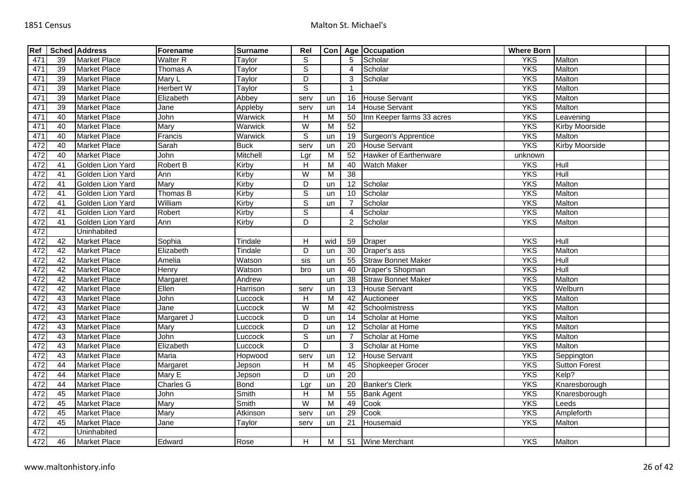| Ref |    | <b>Sched Address</b> | Forename         | <b>Surname</b> | Rel            |     |                | Con   Age   Occupation    | <b>Where Born</b> |                       |  |
|-----|----|----------------------|------------------|----------------|----------------|-----|----------------|---------------------------|-------------------|-----------------------|--|
| 471 | 39 | <b>Market Place</b>  | <b>Walter R</b>  | Taylor         | S              |     | 5              | Scholar                   | <b>YKS</b>        | Malton                |  |
| 471 | 39 | <b>Market Place</b>  | Thomas A         | Taylor         | $\overline{s}$ |     | $\overline{4}$ | Scholar                   | <b>YKS</b>        | Malton                |  |
| 471 | 39 | <b>Market Place</b>  | Mary L           | Taylor         | $\overline{D}$ |     | 3              | Scholar                   | <b>YKS</b>        | Malton                |  |
| 471 | 39 | <b>Market Place</b>  | <b>Herbert W</b> | Taylor         | $\overline{s}$ |     | -1             |                           | <b>YKS</b>        | Malton                |  |
| 471 | 39 | <b>Market Place</b>  | Elizabeth        | Abbey          | serv           | un  | 16             | <b>House Servant</b>      | <b>YKS</b>        | Malton                |  |
| 471 | 39 | <b>Market Place</b>  | Jane             | Appleby        | serv           | un  | 14             | House Servant             | <b>YKS</b>        | Malton                |  |
| 471 | 40 | Market Place         | John             | Warwick        | H              | М   | 50             | Inn Keeper farms 33 acres | <b>YKS</b>        | Leavening             |  |
| 471 | 40 | <b>Market Place</b>  | Mary             | Warwick        | W              | M   | 52             |                           | <b>YKS</b>        | Kirby Moorside        |  |
| 471 | 40 | <b>Market Place</b>  | Francis          | Warwick        | $\mathbb S$    | un  | 19             | Surgeon's Apprentice      | <b>YKS</b>        | Malton                |  |
| 472 | 40 | <b>Market Place</b>  | Sarah            | <b>Buck</b>    | serv           | un  | 20             | <b>House Servant</b>      | <b>YKS</b>        | <b>Kirby Moorside</b> |  |
| 472 | 40 | Market Place         | John             | Mitchell       | Lgr            | M   | 52             | Hawker of Earthenware     | unknown           |                       |  |
| 472 | 41 | Golden Lion Yard     | Robert B         | Kirby          | Н              | М   | 40             | <b>Watch Maker</b>        | <b>YKS</b>        | Hull                  |  |
| 472 | 41 | Golden Lion Yard     | Ann              | Kirby          | $\overline{W}$ | M   | 38             |                           | <b>YKS</b>        | Hull                  |  |
| 472 | 41 | Golden Lion Yard     | Mary             | Kirby          | D              | un  | 12             | Scholar                   | <b>YKS</b>        | Malton                |  |
| 472 | 41 | Golden Lion Yard     | Thomas B         | Kirby          | $\overline{s}$ | un  | 10             | Scholar                   | <b>YKS</b>        | Malton                |  |
| 472 | 41 | Golden Lion Yard     | William          | Kirby          | $\overline{s}$ | un  |                | Scholar                   | <b>YKS</b>        | Malton                |  |
| 472 | 41 | Golden Lion Yard     | Robert           | Kirby          | $\overline{s}$ |     | 4              | Scholar                   | <b>YKS</b>        | Malton                |  |
| 472 | 41 | Golden Lion Yard     | Ann              | Kirby          | $\overline{D}$ |     | 2              | Scholar                   | <b>YKS</b>        | Malton                |  |
| 472 |    | Uninhabited          |                  |                |                |     |                |                           |                   |                       |  |
| 472 | 42 | <b>Market Place</b>  | Sophia           | Tindale        | H              | wid | 59             | <b>Draper</b>             | <b>YKS</b>        | Hull                  |  |
| 472 | 42 | <b>Market Place</b>  | Elizabeth        | Tindale        | D              | un  | 30             | Draper's ass              | <b>YKS</b>        | Malton                |  |
| 472 | 42 | <b>Market Place</b>  | Amelia           | Watson         | sis            | un  | 55             | <b>Straw Bonnet Maker</b> | <b>YKS</b>        | Hull                  |  |
| 472 | 42 | <b>Market Place</b>  | Henry            | Watson         | bro            | un  | 40             | Draper's Shopman          | <b>YKS</b>        | Hull                  |  |
| 472 | 42 | <b>Market Place</b>  | Margaret         | Andrew         |                | un  | 38             | <b>Straw Bonnet Maker</b> | <b>YKS</b>        | Malton                |  |
| 472 | 42 | <b>Market Place</b>  | Ellen            | Harrison       | serv           | un  | 13             | <b>House Servant</b>      | <b>YKS</b>        | Welburn               |  |
| 472 | 43 | <b>Market Place</b>  | John             | Luccock        | H              | M   | 42             | Auctioneer                | <b>YKS</b>        | Malton                |  |
| 472 | 43 | <b>Market Place</b>  | Jane             | Luccock        | $\overline{W}$ | M   | 42             | Schoolmistress            | <b>YKS</b>        | Malton                |  |
| 472 | 43 | <b>Market Place</b>  | Margaret J       | Luccock        | D              | un  | 14             | Scholar at Home           | <b>YKS</b>        | Malton                |  |
| 472 | 43 | <b>Market Place</b>  | Mary             | Luccock        | D              | un  | 12             | Scholar at Home           | <b>YKS</b>        | Malton                |  |
| 472 | 43 | <b>Market Place</b>  | John             | Luccock        | $\overline{s}$ | un  |                | Scholar at Home           | <b>YKS</b>        | Malton                |  |
| 472 | 43 | <b>Market Place</b>  | Elizabeth        | Luccock        | D              |     | 3              | Scholar at Home           | <b>YKS</b>        | Malton                |  |
| 472 | 43 | <b>Market Place</b>  | Maria            | Hopwood        | serv           | un  | 12             | House Servant             | <b>YKS</b>        | Seppington            |  |
| 472 | 44 | <b>Market Place</b>  | Margaret         | Jepson         | H              | M   | 45             | Shopkeeper Grocer         | <b>YKS</b>        | Sutton Forest         |  |
| 472 | 44 | <b>Market Place</b>  | Mary E           | Jepson         | D              | un  | 20             |                           | <b>YKS</b>        | Kelp?                 |  |
| 472 | 44 | <b>Market Place</b>  | <b>Charles G</b> | <b>Bond</b>    | Lgr            | un  | 20             | <b>Banker's Clerk</b>     | <b>YKS</b>        | Knaresborough         |  |
| 472 | 45 | <b>Market Place</b>  | <b>John</b>      | Smith          | H              | M   | 55             | <b>Bank Agent</b>         | <b>YKS</b>        | Knaresborough         |  |
| 472 | 45 | <b>Market Place</b>  | Mary             | Smith          | W              | M   | 49             | Cook                      | <b>YKS</b>        | Leeds                 |  |
| 472 | 45 | <b>Market Place</b>  | Mary             | Atkinson       | serv           | un  | 29             | Cook                      | <b>YKS</b>        | Ampleforth            |  |
| 472 | 45 | <b>Market Place</b>  | Jane             | Taylor         | serv           | un  | 21             | Housemaid                 | <b>YKS</b>        | Malton                |  |
| 472 |    | Uninhabited          |                  |                |                |     |                |                           |                   |                       |  |
| 472 | 46 | <b>Market Place</b>  | Edward           | Rose           | H              | M   |                | 51 Wine Merchant          | <b>YKS</b>        | Malton                |  |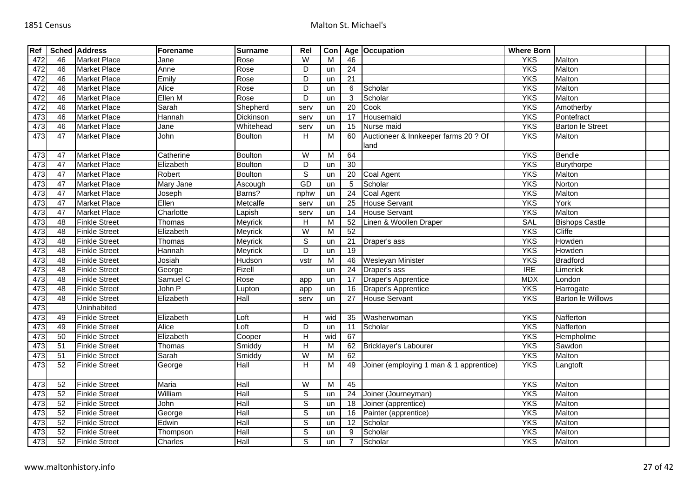| Ref |                 | <b>Sched Address</b> | Forename  | <b>Surname</b>                     | Rel                                                                                                                                                                     | Con            |                 | Age   Occupation                             | <b>Where Born</b> |                          |  |
|-----|-----------------|----------------------|-----------|------------------------------------|-------------------------------------------------------------------------------------------------------------------------------------------------------------------------|----------------|-----------------|----------------------------------------------|-------------------|--------------------------|--|
| 472 | 46              | <b>Market Place</b>  | Jane      | Rose                               | W                                                                                                                                                                       | M              | 46              |                                              | <b>YKS</b>        | Malton                   |  |
| 472 | 46              | <b>Market Place</b>  | Anne      | Rose                               | D                                                                                                                                                                       | un             | 24              |                                              | <b>YKS</b>        | Malton                   |  |
| 472 | 46              | <b>Market Place</b>  | Emily     | Rose                               | D                                                                                                                                                                       | un             | $\overline{21}$ |                                              | <b>YKS</b>        | Malton                   |  |
| 472 | 46              | <b>Market Place</b>  | Alice     | Rose                               | $\overline{D}$                                                                                                                                                          | un             | 6               | Scholar                                      | <b>YKS</b>        | Malton                   |  |
| 472 | 46              | Market Place         | Ellen M   | Rose                               | D                                                                                                                                                                       | un             | 3               | Scholar                                      | <b>YKS</b>        | Malton                   |  |
| 472 | 46              | <b>Market Place</b>  | Sarah     | Shepherd                           | serv                                                                                                                                                                    | un             | $\overline{20}$ | Cook                                         | <b>YKS</b>        | Amotherby                |  |
| 473 | 46              | Market Place         | Hannah    | Dickinson                          | serv                                                                                                                                                                    | un             | 17              | Housemaid                                    | <b>YKS</b>        | Pontefract               |  |
| 473 | 46              | <b>Market Place</b>  | Jane      | Whitehead                          | serv                                                                                                                                                                    | un             | 15              | Nurse maid                                   | <b>YKS</b>        | <b>Barton le Street</b>  |  |
| 473 | 47              | <b>Market Place</b>  | John      | <b>Boulton</b>                     | H                                                                                                                                                                       | M              | 60              | Auctioneer & Innkeeper farms 20 ? Of<br>land | <b>YKS</b>        | <b>Malton</b>            |  |
| 473 | 47              | <b>Market Place</b>  | Catherine | <b>Boulton</b>                     | W                                                                                                                                                                       | $\overline{M}$ | 64              |                                              | <b>YKS</b>        | Bendle                   |  |
| 473 | 47              | <b>Market Place</b>  | Elizabeth | <b>Boulton</b>                     | D                                                                                                                                                                       | un             | $\overline{30}$ |                                              | <b>YKS</b>        | Burythorpe               |  |
| 473 | 47              | <b>Market Place</b>  | Robert    | <b>Boulton</b>                     | $\overline{s}$                                                                                                                                                          | un             | 20              | Coal Agent                                   | <b>YKS</b>        | Malton                   |  |
| 473 | 47              | <b>Market Place</b>  | Mary Jane | Ascough                            | GD                                                                                                                                                                      | un             | 5               | Scholar                                      | <b>YKS</b>        | Norton                   |  |
| 473 | 47              | <b>Market Place</b>  | Joseph    | Barns?                             | nphw                                                                                                                                                                    | un             | $\overline{24}$ | <b>Coal Agent</b>                            | <b>YKS</b>        | Malton                   |  |
| 473 | 47              | <b>Market Place</b>  | Ellen     | Metcalfe                           | serv                                                                                                                                                                    | un             | 25              | <b>House Servant</b>                         | <b>YKS</b>        | York                     |  |
| 473 | 47              | <b>Market Place</b>  | Charlotte | Lapish                             | serv                                                                                                                                                                    | un             | 14              | <b>House Servant</b>                         | <b>YKS</b>        | Malton                   |  |
| 473 | 48              | <b>Finkle Street</b> | Thomas    | Meyrick                            | H                                                                                                                                                                       | M              | 52              | Linen & Woollen Draper                       | <b>SAL</b>        | <b>Bishops Castle</b>    |  |
| 473 | $\overline{48}$ | <b>Finkle Street</b> | Elizabeth | Meyrick                            | W                                                                                                                                                                       | M              | 52              |                                              | <b>YKS</b>        | Cliffe                   |  |
| 473 | 48              | <b>Finkle Street</b> | Thomas    | Meyrick                            | ${\tt S}$                                                                                                                                                               | un             | 21              | Draper's ass                                 | <b>YKS</b>        | Howden                   |  |
| 473 | 48              | <b>Finkle Street</b> | Hannah    | Meyrick                            | D                                                                                                                                                                       | un             | $\overline{19}$ |                                              | <b>YKS</b>        | Howden                   |  |
| 473 | 48              | <b>Finkle Street</b> | Josiah    | Hudson                             | vstr                                                                                                                                                                    | M              | 46              | Wesleyan Minister                            | <b>YKS</b>        | <b>Bradford</b>          |  |
| 473 | 48              | <b>Finkle Street</b> | George    | Fizell                             |                                                                                                                                                                         | un             | 24              | Draper's ass                                 | <b>IRE</b>        | Limerick                 |  |
| 473 | 48              | <b>Finkle Street</b> | Samuel C  | Rose                               | app                                                                                                                                                                     | un             | 17              | Draper's Apprentice                          | <b>MDX</b>        | London                   |  |
| 473 | 48              | <b>Finkle Street</b> | John P    | Lupton                             | app                                                                                                                                                                     | un             | 16              | Draper's Apprentice                          | <b>YKS</b>        | Harrogate                |  |
| 473 | 48              | <b>Finkle Street</b> | Elizabeth | Hall                               | serv                                                                                                                                                                    | un             | 27              | <b>House Servant</b>                         | <b>YKS</b>        | <b>Barton le Willows</b> |  |
| 473 |                 | Uninhabited          |           |                                    |                                                                                                                                                                         |                |                 |                                              |                   |                          |  |
| 473 | 49              | <b>Finkle Street</b> | Elizabeth | Loft                               | $\overline{H}$                                                                                                                                                          | wid            | 35              | Washerwoman                                  | <b>YKS</b>        | Nafferton                |  |
| 473 | 49              | <b>Finkle Street</b> | Alice     | $\overline{\overline{\text{oft}}}$ | D                                                                                                                                                                       | un             | 11              | Scholar                                      | <b>YKS</b>        | Nafferton                |  |
| 473 | 50              | <b>Finkle Street</b> | Elizabeth | Cooper                             | $\mathsf{H}% _{\mathbb{Z}}\left( \mathbb{Z}^{\Sigma\left( 1\right) }\right) ^{\ast }=\mathsf{H}_{\mathbb{Z}}\left( \mathbb{Z}^{\Sigma\left( 1\right) }\right) ^{\ast }$ | wid            | 67              |                                              | <b>YKS</b>        | Hempholme                |  |
| 473 | $\overline{51}$ | <b>Finkle Street</b> | Thomas    | Smiddy                             | Н                                                                                                                                                                       | М              | 62              | <b>Bricklayer's Labourer</b>                 | <b>YKS</b>        | Sawdon                   |  |
| 473 | 51              | <b>Finkle Street</b> | Sarah     | Smiddy                             | $\overline{W}$                                                                                                                                                          | M              | 62              |                                              | <b>YKS</b>        | Malton                   |  |
| 473 | $\overline{52}$ | <b>Finkle Street</b> | George    | Hall                               | $\overline{H}$                                                                                                                                                          | ${\sf M}$      | 49              | Joiner (employing 1 man & 1 apprentice)      | <b>YKS</b>        | Langtoft                 |  |
| 473 | 52              | <b>Finkle Street</b> | Maria     | Hall                               | $\overline{W}$                                                                                                                                                          | M              | 45              |                                              | <b>YKS</b>        | Malton                   |  |
| 473 | 52              | <b>Finkle Street</b> | William   | Hall                               | $\overline{s}$                                                                                                                                                          | un             | 24              | Joiner (Journeyman)                          | <b>YKS</b>        | Malton                   |  |
| 473 | 52              | <b>Finkle Street</b> | John      | Hall                               | $\overline{s}$                                                                                                                                                          | un             | 18              | Joiner (apprentice)                          | <b>YKS</b>        | Malton                   |  |
| 473 | 52              | <b>Finkle Street</b> | George    | Hall                               | S                                                                                                                                                                       | un             | 16              | Painter (apprentice)                         | <b>YKS</b>        | Malton                   |  |
| 473 | 52              | <b>Finkle Street</b> | Edwin     | Hall                               | S                                                                                                                                                                       | un             | 12              | Scholar                                      | <b>YKS</b>        | Malton                   |  |
| 473 | 52              | <b>Finkle Street</b> | Thompson  | Hall                               | $\overline{s}$                                                                                                                                                          | un             | 9               | Scholar                                      | <b>YKS</b>        | Malton                   |  |
| 473 | 52              | <b>Finkle Street</b> | Charles   | Hall                               | S                                                                                                                                                                       | un             |                 | Scholar                                      | <b>YKS</b>        | Malton                   |  |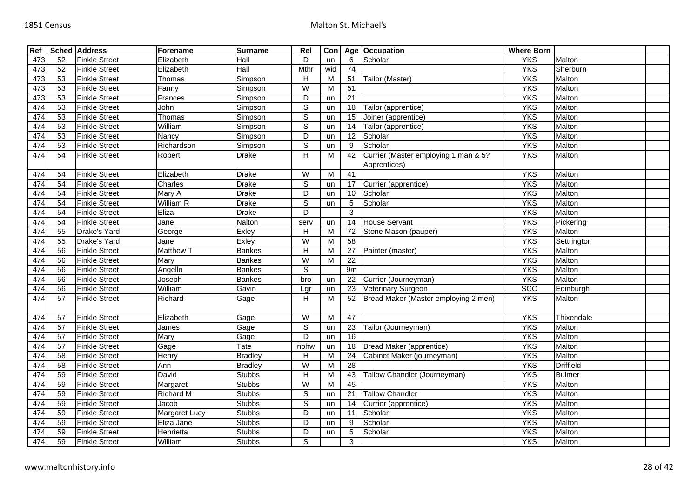| Ref |                 | <b>Sched Address</b> | Forename         | <b>Surname</b> | Rel                     | Con |                 | Age Occupation                                       | <b>Where Born</b> |                  |  |
|-----|-----------------|----------------------|------------------|----------------|-------------------------|-----|-----------------|------------------------------------------------------|-------------------|------------------|--|
| 473 | 52              | <b>Finkle Street</b> | Elizabeth        | Hall           | D                       | un  | 6               | Scholar                                              | <b>YKS</b>        | Malton           |  |
| 473 | 52              | <b>Finkle Street</b> | Elizabeth        | Hall           | Mthr                    | wid | 74              |                                                      | <b>YKS</b>        | Sherburn         |  |
| 473 | 53              | <b>Finkle Street</b> | Thomas           | Simpson        | Н                       | M   | 51              | Tailor (Master)                                      | <b>YKS</b>        | Malton           |  |
| 473 | 53              | <b>Finkle Street</b> | Fanny            | Simpson        | W                       | M   | $\overline{51}$ |                                                      | <b>YKS</b>        | Malton           |  |
| 473 | 53              | <b>Finkle Street</b> | Frances          | Simpson        | D                       | un  | $\overline{21}$ |                                                      | <b>YKS</b>        | Malton           |  |
| 474 | 53              | <b>Finkle Street</b> | John             | Simpson        | $\overline{\mathsf{s}}$ | un  | 18              | Tailor (apprentice)                                  | <b>YKS</b>        | Malton           |  |
| 474 | 53              | <b>Finkle Street</b> | Thomas           | Simpson        | $\mathbb S$             | un  | 15              | Joiner (apprentice)                                  | <b>YKS</b>        | Malton           |  |
| 474 | 53              | <b>Finkle Street</b> | William          | Simpson        | $\overline{s}$          | un  | 14              | Tailor (apprentice)                                  | <b>YKS</b>        | Malton           |  |
| 474 | 53              | <b>Finkle Street</b> | Nancy            | Simpson        | $\overline{D}$          | un  | $\overline{12}$ | Scholar                                              | <b>YKS</b>        | Malton           |  |
| 474 | 53              | <b>Finkle Street</b> | Richardson       | Simpson        | $\overline{s}$          | un  | 9               | Scholar                                              | <b>YKS</b>        | Malton           |  |
| 474 | 54              | <b>Finkle Street</b> | Robert           | <b>Drake</b>   | H                       | M   | 42              | Currier (Master employing 1 man & 5?<br>Apprentices) | <b>YKS</b>        | Malton           |  |
| 474 | 54              | <b>Finkle Street</b> | Elizabeth        | <b>Drake</b>   | W                       | M   | 41              |                                                      | <b>YKS</b>        | Malton           |  |
| 474 | 54              | <b>Finkle Street</b> | Charles          | <b>Drake</b>   | $\overline{s}$          | un  | 17              | Currier (apprentice)                                 | <b>YKS</b>        | Malton           |  |
| 474 | 54              | <b>Finkle Street</b> | Mary A           | <b>Drake</b>   | D                       | un  | 10              | Scholar                                              | <b>YKS</b>        | Malton           |  |
| 474 | 54              | <b>Finkle Street</b> | William R        | <b>Drake</b>   | $\overline{s}$          | un  | 5               | Scholar                                              | <b>YKS</b>        | Malton           |  |
| 474 | 54              | <b>Finkle Street</b> | Eliza            | <b>Drake</b>   | $\overline{D}$          |     | 3               |                                                      | <b>YKS</b>        | Malton           |  |
| 474 | 54              | <b>Finkle Street</b> | Jane             | Nalton         | serv                    | un  | 14              | <b>House Servant</b>                                 | <b>YKS</b>        | Pickering        |  |
| 474 | 55              | Drake's Yard         | George           | Exley          | $\overline{H}$          | M   | 72              | Stone Mason (pauper)                                 | <b>YKS</b>        | Malton           |  |
| 474 | 55              | Drake's Yard         | Jane             | Exley          | W                       | м   | 58              |                                                      | <b>YKS</b>        | Settrington      |  |
| 474 | 56              | <b>Finkle Street</b> | <b>Matthew T</b> | <b>Bankes</b>  | H                       | M   | 27              | Painter (master)                                     | <b>YKS</b>        | Malton           |  |
| 474 | 56              | <b>Finkle Street</b> | Mary             | <b>Bankes</b>  | $\overline{W}$          | M   | $\overline{22}$ |                                                      | <b>YKS</b>        | Malton           |  |
| 474 | 56              | <b>Finkle Street</b> | Angello          | <b>Bankes</b>  | $\overline{s}$          |     | 9m              |                                                      | <b>YKS</b>        | Malton           |  |
| 474 | 56              | <b>Finkle Street</b> | Joseph           | <b>Bankes</b>  | bro                     | un  | 22              | Currier (Journeyman)                                 | <b>YKS</b>        | Malton           |  |
| 474 | 56              | <b>Finkle Street</b> | William          | Gavin          | Lgr                     | un  | 23              | Veterinary Surgeon                                   | <b>SCO</b>        | Edinburgh        |  |
| 474 | 57              | <b>Finkle Street</b> | Richard          | Gage           | H                       | м   | 52              | Bread Maker (Master employing 2 men)                 | <b>YKS</b>        | Malton           |  |
| 474 | 57              | <b>Finkle Street</b> | Elizabeth        | Gage           | $\overline{W}$          | M   | 47              |                                                      | <b>YKS</b>        | Thixendale       |  |
| 474 | 57              | <b>Finkle Street</b> | James            | Gage           | $\overline{s}$          | un  | 23              | Tailor (Journeyman)                                  | <b>YKS</b>        | Malton           |  |
| 474 | 57              | <b>Finkle Street</b> | Mary             | Gage           | D                       | un  | 16              |                                                      | <b>YKS</b>        | <b>Malton</b>    |  |
| 474 | 57              | <b>Finkle Street</b> | Gage             | Tate           | nphw                    | un  | 18              | Bread Maker (apprentice)                             | <b>YKS</b>        | Malton           |  |
| 474 | 58              | <b>Finkle Street</b> | Henry            | <b>Bradley</b> | H                       | M   | 24              | Cabinet Maker (journeyman)                           | <b>YKS</b>        | Malton           |  |
| 474 | $\overline{58}$ | <b>Finkle Street</b> | Ann              | <b>Bradley</b> | $\overline{\mathsf{W}}$ | M   | $\overline{28}$ |                                                      | <b>YKS</b>        | <b>Driffield</b> |  |
| 474 | 59              | <b>Finkle Street</b> | David            | <b>Stubbs</b>  | H                       | M   | 43              | Tallow Chandler (Journeyman)                         | <b>YKS</b>        | <b>Bulmer</b>    |  |
| 474 | 59              | <b>Finkle Street</b> | Margaret         | <b>Stubbs</b>  | $\overline{\mathsf{W}}$ | M   | 45              |                                                      | <b>YKS</b>        | Malton           |  |
| 474 | 59              | <b>Finkle Street</b> | <b>Richard M</b> | <b>Stubbs</b>  | $\overline{s}$          | un  | 21              | <b>Tallow Chandler</b>                               | <b>YKS</b>        | Malton           |  |
| 474 | 59              | <b>Finkle Street</b> | Jacob            | <b>Stubbs</b>  | $\overline{s}$          | un  | 14              | Currier (apprentice)                                 | <b>YKS</b>        | Malton           |  |
| 474 | 59              | <b>Finkle Street</b> | Margaret Lucy    | <b>Stubbs</b>  | D                       | un  | 11              | Scholar                                              | <b>YKS</b>        | Malton           |  |
| 474 | 59              | <b>Finkle Street</b> | Eliza Jane       | <b>Stubbs</b>  | D                       | un  | 9               | Scholar                                              | <b>YKS</b>        | Malton           |  |
| 474 | 59              | <b>Finkle Street</b> | Henrietta        | <b>Stubbs</b>  | D                       | un  | 5               | Scholar                                              | <b>YKS</b>        | Malton           |  |
| 474 | 59              | <b>Finkle Street</b> | William          | <b>Stubbs</b>  | $\overline{s}$          |     | 3               |                                                      | <b>YKS</b>        | Malton           |  |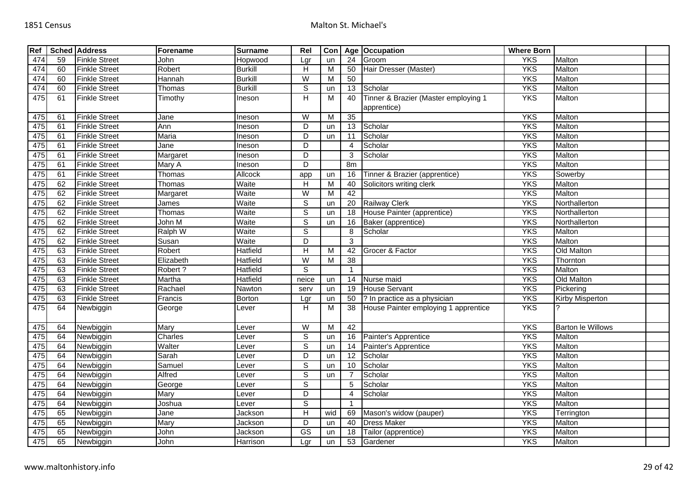| Ref |    | <b>Sched Address</b> | Forename     | <b>Surname</b> | Rel                     | Con |                 | Age   Occupation                     | <b>Where Born</b> |                          |  |
|-----|----|----------------------|--------------|----------------|-------------------------|-----|-----------------|--------------------------------------|-------------------|--------------------------|--|
| 474 | 59 | <b>Finkle Street</b> | John         | Hopwood        | Lgr                     | un  | $\overline{24}$ | Groom                                | <b>YKS</b>        | Malton                   |  |
| 474 | 60 | <b>Finkle Street</b> | Robert       | <b>Burkill</b> | Н                       | M   | 50              | Hair Dresser (Master)                | <b>YKS</b>        | Malton                   |  |
| 474 | 60 | <b>Finkle Street</b> | Hannah       | <b>Burkill</b> | $\overline{\mathsf{W}}$ | M   | $\overline{50}$ |                                      | <b>YKS</b>        | Malton                   |  |
| 474 | 60 | <b>Finkle Street</b> | Thomas       | <b>Burkill</b> | S                       | un  | 13              | Scholar                              | <b>YKS</b>        | Malton                   |  |
| 475 | 61 | <b>Finkle Street</b> | Timothy      | Ineson         | H                       | M   | 40              | Tinner & Brazier (Master employing 1 | <b>YKS</b>        | Malton                   |  |
|     |    |                      |              |                |                         |     |                 | apprentice)                          |                   |                          |  |
| 475 | 61 | <b>Finkle Street</b> | Jane         | Ineson         | $\overline{\mathsf{W}}$ | M   | $\overline{35}$ |                                      | <b>YKS</b>        | Malton                   |  |
| 475 | 61 | <b>Finkle Street</b> | Ann          | Ineson         | D                       | un  | 13              | Scholar                              | <b>YKS</b>        | Malton                   |  |
| 475 | 61 | <b>Finkle Street</b> | <b>Maria</b> | Ineson         | $\overline{D}$          | un  | 11              | Scholar                              | <b>YKS</b>        | Malton                   |  |
| 475 | 61 | <b>Finkle Street</b> | Jane         | Ineson         | $\overline{D}$          |     | 4               | Scholar                              | <b>YKS</b>        | Malton                   |  |
| 475 | 61 | <b>Finkle Street</b> | Margaret     | Ineson         | D                       |     | 3               | Scholar                              | <b>YKS</b>        | Malton                   |  |
| 475 | 61 | <b>Finkle Street</b> | Mary A       | Ineson         | $\overline{D}$          |     | 8m              |                                      | <b>YKS</b>        | Malton                   |  |
| 475 | 61 | <b>Finkle Street</b> | Thomas       | Allcock        | app                     | un  | 16              | Tinner & Brazier (apprentice)        | <b>YKS</b>        | Sowerby                  |  |
| 475 | 62 | <b>Finkle Street</b> | Thomas       | Waite          | $\overline{\mathsf{H}}$ | M   | 40              | Solicitors writing clerk             | <b>YKS</b>        | Malton                   |  |
| 475 | 62 | <b>Finkle Street</b> | Margaret     | Waite          | $\overline{\mathsf{W}}$ | M   | 42              |                                      | <b>YKS</b>        | Malton                   |  |
| 475 | 62 | <b>Finkle Street</b> | James        | Waite          | $\overline{s}$          | un  | $\overline{20}$ | <b>Railway Clerk</b>                 | <b>YKS</b>        | Northallerton            |  |
| 475 | 62 | <b>Finkle Street</b> | Thomas       | Waite          | $\overline{s}$          | un  | 18              | House Painter (apprentice)           | <b>YKS</b>        | Northallerton            |  |
| 475 | 62 | <b>Finkle Street</b> | John M       | Waite          | $\overline{s}$          | un  | 16              | Baker (apprentice)                   | <b>YKS</b>        | Northallerton            |  |
| 475 | 62 | <b>Finkle Street</b> | Ralph W      | Waite          | $\overline{s}$          |     | 8               | Scholar                              | <b>YKS</b>        | Malton                   |  |
| 475 | 62 | <b>Finkle Street</b> | Susan        | Waite          | D                       |     | 3               |                                      | <b>YKS</b>        | Malton                   |  |
| 475 | 63 | <b>Finkle Street</b> | Robert       | Hatfield       | H                       | M   | 42              | Grocer & Factor                      | <b>YKS</b>        | Old Malton               |  |
| 475 | 63 | <b>Finkle Street</b> | Elizabeth    | Hatfield       | W                       | M   | $\overline{38}$ |                                      | <b>YKS</b>        | Thornton                 |  |
| 475 | 63 | <b>Finkle Street</b> | Robert?      | Hatfield       | $\overline{s}$          |     | 1               |                                      | <b>YKS</b>        | Malton                   |  |
| 475 | 63 | <b>Finkle Street</b> | Martha       | Hatfield       | neice                   | un  | 14              | Nurse maid                           | <b>YKS</b>        | Old Malton               |  |
| 475 | 63 | <b>Finkle Street</b> | Rachael      | Nawton         | serv                    | un  | 19              | <b>House Servant</b>                 | <b>YKS</b>        | Pickering                |  |
| 475 | 63 | <b>Finkle Street</b> | Francis      | Borton         | Lgr                     | un  | 50              | ? In practice as a physician         | <b>YKS</b>        | Kirby Misperton          |  |
| 475 | 64 | Newbiggin            | George       | Lever          | H                       | M   | 38              | House Painter employing 1 apprentice | <b>YKS</b>        |                          |  |
|     |    |                      |              |                |                         |     |                 |                                      |                   |                          |  |
| 475 | 64 | Newbiggin            | Mary         | Lever          | W                       | M   | 42              |                                      | <b>YKS</b>        | <b>Barton le Willows</b> |  |
| 475 | 64 | Newbiggin            | Charles      | Lever          | $\overline{s}$          | un  | 16              | Painter's Apprentice                 | <b>YKS</b>        | <b>Malton</b>            |  |
| 475 | 64 | Newbiggin            | Walter       | _ever          | $\overline{s}$          | un  | 14              | Painter's Apprentice                 | <b>YKS</b>        | Malton                   |  |
| 475 | 64 | Newbiggin            | Sarah        | Lever          | $\overline{D}$          | un  | $\overline{12}$ | Scholar                              | <b>YKS</b>        | Malton                   |  |
| 475 | 64 | Newbiggin            | Samuel       | Lever          | $\overline{s}$          | un  | 10              | Scholar                              | <b>YKS</b>        | Malton                   |  |
| 475 | 64 | Newbiggin            | Alfred       | Lever          | $\overline{\mathsf{s}}$ | un  |                 | Scholar                              | <b>YKS</b>        | Malton                   |  |
| 475 | 64 | Newbiggin            | George       | Lever          | $\overline{\mathsf{s}}$ |     | 5               | Scholar                              | <b>YKS</b>        | Malton                   |  |
| 475 | 64 | Newbiggin            | Mary         | Lever          | $\overline{D}$          |     | 4               | Scholar                              | <b>YKS</b>        | Malton                   |  |
| 475 | 64 | Newbiggin            | Joshua       | Lever          | $\overline{\mathsf{s}}$ |     | 1               |                                      | <b>YKS</b>        | Malton                   |  |
| 475 | 65 | Newbiggin            | Jane         | Jackson        | $\mathsf{H}$            | wid | 69              | Mason's widow (pauper)               | <b>YKS</b>        | Terrington               |  |
| 475 | 65 | Newbiggin            | Mary         | Jackson        | D                       | un  | 40              | <b>Dress Maker</b>                   | <b>YKS</b>        | Malton                   |  |
| 475 | 65 | Newbiggin            | John         | Jackson        | $\overline{\text{GS}}$  | un  | 18              | Tailor (apprentice)                  | <b>YKS</b>        | Malton                   |  |
| 475 | 65 | Newbiggin            | John         | Harrison       | Lgr                     | un  | 53              | Gardener                             | <b>YKS</b>        | Malton                   |  |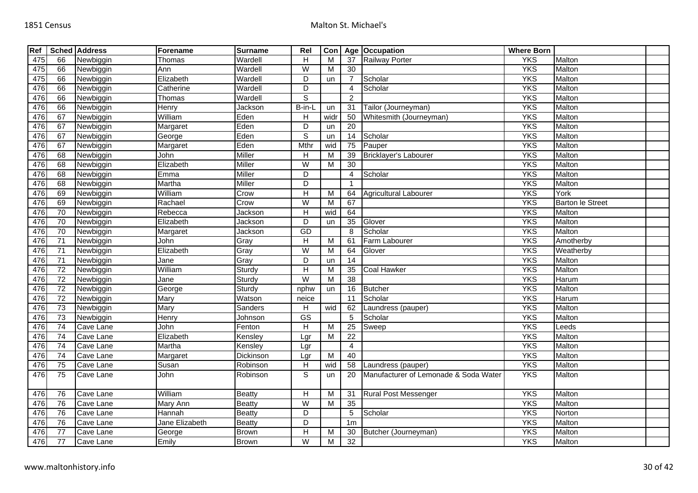| Ref |                 | <b>Sched Address</b> | Forename       | <b>Surname</b> | Rel                     | Con  |                 | Age Occupation                        | <b>Where Born</b> |                         |  |
|-----|-----------------|----------------------|----------------|----------------|-------------------------|------|-----------------|---------------------------------------|-------------------|-------------------------|--|
| 475 | 66              | Newbiggin            | Thomas         | Wardell        | H                       | M    | 37              | <b>Railway Porter</b>                 | <b>YKS</b>        | Malton                  |  |
| 475 | 66              | Newbiggin            | Ann            | Wardell        | $\overline{W}$          | M    | 30              |                                       | <b>YKS</b>        | Malton                  |  |
| 475 | 66              | Newbiggin            | Elizabeth      | Wardell        | $\overline{D}$          | un   |                 | Scholar                               | <b>YKS</b>        | Malton                  |  |
| 476 | 66              | Newbiggin            | Catherine      | Wardell        | $\overline{D}$          |      | $\overline{4}$  | Scholar                               | <b>YKS</b>        | Malton                  |  |
| 476 | 66              | Newbiggin            | Thomas         | Wardell        | $\overline{s}$          |      | $\overline{c}$  |                                       | <b>YKS</b>        | Malton                  |  |
| 476 | 66              | Newbiggin            | Henry          | Jackson        | B-in-L                  | un   | 31              | Tailor (Journeyman)                   | <b>YKS</b>        | Malton                  |  |
| 476 | 67              | Newbiggin            | William        | Eden           | H                       | widr | 50              | Whitesmith (Journeyman)               | <b>YKS</b>        | Malton                  |  |
| 476 | 67              | Newbiggin            | Margaret       | Eden           | D                       | un   | $\overline{20}$ |                                       | <b>YKS</b>        | Malton                  |  |
| 476 | 67              | Newbiggin            | George         | Eden           | ड                       | un   | $\overline{14}$ | Scholar                               | <b>YKS</b>        | Malton                  |  |
| 476 | 67              | Newbiggin            | Margaret       | Eden           | Mthr                    | wid  | 75              | Pauper                                | <b>YKS</b>        | Malton                  |  |
| 476 | 68              | Newbiggin            | John           | Miller         | H                       | M    | 39              | Bricklayer's Labourer                 | <b>YKS</b>        | Malton                  |  |
| 476 | 68              | Newbiggin            | Elizabeth      | Miller         | $\overline{W}$          | M    | $\overline{30}$ |                                       | <b>YKS</b>        | Malton                  |  |
| 476 | 68              | Newbiggin            | Emma           | <b>Miller</b>  | $\overline{D}$          |      | $\overline{4}$  | Scholar                               | <b>YKS</b>        | <b>Malton</b>           |  |
| 476 | 68              | Newbiggin            | Martha         | <b>Miller</b>  | $\overline{D}$          |      | $\mathbf{1}$    |                                       | <b>YKS</b>        | Malton                  |  |
| 476 | 69              | Newbiggin            | William        | Crow           | H                       | M    | 64              | <b>Agricultural Labourer</b>          | <b>YKS</b>        | York                    |  |
| 476 | 69              | Newbiggin            | Rachael        | Crow           | $\overline{W}$          | M    | 67              |                                       | <b>YKS</b>        | <b>Barton le Street</b> |  |
| 476 | 70              | Newbiggin            | Rebecca        | Jackson        | H                       | wid  | 64              |                                       | <b>YKS</b>        | Malton                  |  |
| 476 | 70              | Newbiggin            | Elizabeth      | Jackson        | D                       | un   | 35              | Glover                                | <b>YKS</b>        | Malton                  |  |
| 476 | 70              | Newbiggin            | Margaret       | Jackson        | GD                      |      | 8               | Scholar                               | <b>YKS</b>        | Malton                  |  |
| 476 | 71              | Newbiggin            | John           | Gray           | $\overline{\mathsf{H}}$ | M    | 61              | Farm Labourer                         | <b>YKS</b>        | Amotherby               |  |
| 476 | $\overline{71}$ | Newbiggin            | Elizabeth      | Gray           | $\overline{W}$          | M    | 64              | Glover                                | <b>YKS</b>        | Weatherby               |  |
| 476 | 71              | Newbiggin            | Jane           | Gray           | D                       | un   | 14              |                                       | <b>YKS</b>        | Malton                  |  |
| 476 | $\overline{72}$ | Newbiggin            | William        | Sturdy         | H                       | M    | 35              | Coal Hawker                           | <b>YKS</b>        | Malton                  |  |
| 476 | $\overline{72}$ | Newbiggin            | Jane           | Sturdv         | W                       | M    | 38              |                                       | <b>YKS</b>        | Harum                   |  |
| 476 | $\overline{72}$ | Newbiggin            | George         | Sturdy         | nphw                    | un   | 16              | <b>Butcher</b>                        | <b>YKS</b>        | Malton                  |  |
| 476 | $\overline{72}$ | Newbiggin            | Mary           | Watson         | neice                   |      | 11              | Scholar                               | <b>YKS</b>        | Harum                   |  |
| 476 | 73              | Newbiggin            | Mary           | Sanders        | H                       | wid  | 62              | Laundress (pauper)                    | <b>YKS</b>        | Malton                  |  |
| 476 | $\overline{73}$ | Newbiggin            | Henry          | Johnson        | $\overline{\text{GS}}$  |      | 5               | Scholar                               | <b>YKS</b>        | Malton                  |  |
| 476 | $\overline{74}$ | Cave Lane            | John           | Fenton         | H                       | M    | $\overline{25}$ | Sweep                                 | <b>YKS</b>        | Leeds                   |  |
| 476 | $\overline{74}$ | Cave Lane            | Elizabeth      | Kensley        | Lgr                     | M    | $\overline{22}$ |                                       | <b>YKS</b>        | Malton                  |  |
| 476 | 74              | Cave Lane            | Martha         | Kensley        | Lgr                     |      | $\overline{4}$  |                                       | <b>YKS</b>        | Malton                  |  |
| 476 | 74              | Cave Lane            | Margaret       | Dickinson      | Lgr                     | M    | 40              |                                       | <b>YKS</b>        | Malton                  |  |
| 476 | $\overline{75}$ | Cave Lane            | Susan          | Robinson       | H                       | wid  | 58              | Laundress (pauper)                    | <b>YKS</b>        | Malton                  |  |
| 476 | 75              | Cave Lane            | John           | Robinson       | $\mathbb S$             | un   | 20              | Manufacturer of Lemonade & Soda Water | <b>YKS</b>        | Malton                  |  |
| 476 | 76              | Cave Lane            | William        | <b>Beatty</b>  | $\overline{H}$          | M    | 31              | <b>Rural Post Messenger</b>           | <b>YKS</b>        | Malton                  |  |
| 476 | 76              | Cave Lane            | Mary Ann       | Beatty         | $\overline{W}$          | M    | 35              |                                       | <b>YKS</b>        | Malton                  |  |
| 476 | 76              | Cave Lane            | Hannah         | Beatty         | D                       |      | 5               | Scholar                               | <b>YKS</b>        | Norton                  |  |
| 476 | 76              | Cave Lane            | Jane Elizabeth | <b>Beatty</b>  | D                       |      | 1 <sub>m</sub>  |                                       | <b>YKS</b>        | Malton                  |  |
| 476 | $\overline{77}$ | Cave Lane            | George         | <b>Brown</b>   | $\overline{H}$          | M    | 30              | Butcher (Journeyman)                  | <b>YKS</b>        | Malton                  |  |
| 476 | 77              | Cave Lane            | Emily          | <b>Brown</b>   | W                       | M    | 32              |                                       | <b>YKS</b>        | Malton                  |  |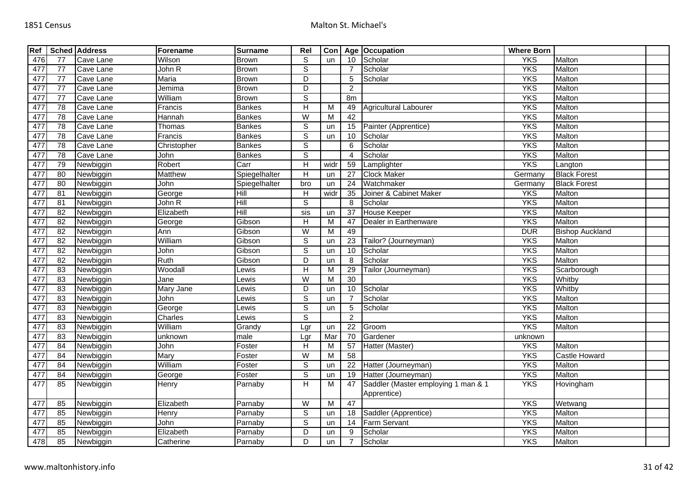| Ref |                 | <b>Sched Address</b> | Forename       | <b>Surname</b> | Rel                       | Con       |                        | Age Occupation                      | <b>Where Born</b> |                        |  |
|-----|-----------------|----------------------|----------------|----------------|---------------------------|-----------|------------------------|-------------------------------------|-------------------|------------------------|--|
| 476 | 77              | Cave Lane            | Wilson         | <b>Brown</b>   | S                         | <b>un</b> | 10                     | Scholar                             | <b>YKS</b>        | Malton                 |  |
| 477 | 77              | Cave Lane            | John R         | <b>Brown</b>   | $\overline{\mathsf{s}}$   |           |                        | Scholar                             | <b>YKS</b>        | Malton                 |  |
| 477 | 77              | Cave Lane            | Maria          | <b>Brown</b>   | $\overline{D}$            |           | 5                      | Scholar                             | <b>YKS</b>        | Malton                 |  |
| 477 | $\overline{77}$ | Cave Lane            | Jemima         | <b>Brown</b>   | $\overline{D}$            |           | $\overline{2}$         |                                     | <b>YKS</b>        | Malton                 |  |
| 477 | 77              | Cave Lane            | William        | <b>Brown</b>   | $\overline{s}$            |           | 8m                     |                                     | <b>YKS</b>        | Malton                 |  |
| 477 | $\overline{78}$ | Cave Lane            | Francis        | <b>Bankes</b>  | $\overline{H}$            | M         | 49                     | Agricultural Labourer               | <b>YKS</b>        | Malton                 |  |
| 477 | 78              | Cave Lane            | Hannah         | <b>Bankes</b>  | W                         | M         | $\overline{42}$        |                                     | <b>YKS</b>        | Malton                 |  |
| 477 | $\overline{78}$ | Cave Lane            | Thomas         | <b>Bankes</b>  | $\overline{s}$            | un        | 15                     | Painter (Apprentice)                | <b>YKS</b>        | Malton                 |  |
| 477 | 78              | Cave Lane            | Francis        | <b>Bankes</b>  | $\overline{\mathsf{s}}$   | un        | 10                     | Scholar                             | <b>YKS</b>        | Malton                 |  |
| 477 | $\overline{78}$ | Cave Lane            | Christopher    | <b>Bankes</b>  | $\overline{s}$            |           | 6                      | Scholar                             | <b>YKS</b>        | Malton                 |  |
| 477 | $\overline{78}$ | Cave Lane            | John           | <b>Bankes</b>  | $\overline{s}$            |           | $\boldsymbol{\Lambda}$ | Scholar                             | <b>YKS</b>        | Malton                 |  |
| 477 | 79              | Newbiggin            | Robert         | Carr           | $\overline{H}$            | widr      | 59                     | Lamplighter                         | <b>YKS</b>        | Langton                |  |
| 477 | 80              | Newbiggin            | <b>Matthew</b> | Spiegelhalter  | $\overline{H}$            | un        | $\overline{27}$        | <b>Clock Maker</b>                  | Germany           | <b>Black Forest</b>    |  |
| 477 | $\overline{80}$ | Newbiggin            | John           | Spiegelhalter  | bro                       | un        | 24                     | Watchmaker                          | Germany           | <b>Black Forest</b>    |  |
| 477 | 81              | Newbiggin            | George         | Hill           | $\boldsymbol{\mathsf{H}}$ | widr      | 35                     | Joiner & Cabinet Maker              | <b>YKS</b>        | Malton                 |  |
| 477 | 81              | Newbiggin            | John R         | Hill           | $\overline{s}$            |           | 8                      | Scholar                             | <b>YKS</b>        | Malton                 |  |
| 477 | 82              | Newbiggin            | Elizabeth      | Hill           | sis                       | un        | 37                     | <b>House Keeper</b>                 | <b>YKS</b>        | Malton                 |  |
| 477 | 82              | Newbiggin            | George         | Gibson         | H                         | M         | 47                     | Dealer in Earthenware               | <b>YKS</b>        | Malton                 |  |
| 477 | $\overline{82}$ | Newbiggin            | Ann            | Gibson         | $\overline{W}$            | M         | 49                     |                                     | <b>DUR</b>        | <b>Bishop Auckland</b> |  |
| 477 | $\overline{82}$ | Newbiggin            | William        | Gibson         | S                         | un        | 23                     | Tailor? (Journeyman)                | <b>YKS</b>        | Malton                 |  |
| 477 | $\overline{82}$ | Newbiggin            | John           | Gibson         | $\overline{s}$            | un        | 10                     | Scholar                             | <b>YKS</b>        | Malton                 |  |
| 477 | 82              | Newbiggin            | Ruth           | Gibson         | D                         | un        | 8                      | Scholar                             | <b>YKS</b>        | Malton                 |  |
| 477 | 83              | Newbiggin            | Woodall        | Lewis          | H                         | M         | 29                     | Tailor (Journeyman)                 | <b>YKS</b>        | Scarborough            |  |
| 477 | 83              | Newbiggin            | Jane           | _ewis          | W                         | M         | 30                     |                                     | <b>YKS</b>        | Whitby                 |  |
| 477 | 83              | Newbiggin            | Mary Jane      | ewis           | D                         | un        | 10                     | Scholar                             | <b>YKS</b>        | Whitby                 |  |
| 477 | 83              | Newbiggin            | John           | ewis           | S                         | un        |                        | Scholar                             | <b>YKS</b>        | Malton                 |  |
| 477 | 83              | Newbiggin            | George         | Lewis          | $\overline{s}$            | un        | 5                      | Scholar                             | <b>YKS</b>        | Malton                 |  |
| 477 | 83              | Newbiggin            | Charles        | Lewis          | $\overline{s}$            |           | 2                      |                                     | <b>YKS</b>        | Malton                 |  |
| 477 | 83              | Newbiggin            | William        | Grandy         | Lgr                       | un        | $\overline{22}$        | Groom                               | <b>YKS</b>        | Malton                 |  |
| 477 | 83              | Newbiggin            | unknown        | male           | Lgr                       | Mar       | $\overline{70}$        | Gardener                            | unknown           |                        |  |
| 477 | 84              | Newbiggin            | John           | Foster         | $\overline{H}$            | M         | $\overline{57}$        | Hatter (Master)                     | <b>YKS</b>        | Malton                 |  |
| 477 | 84              | Newbiggin            | Mary           | Foster         | W                         | M         | $\overline{58}$        |                                     | <b>YKS</b>        | Castle Howard          |  |
| 477 | 84              | Newbiggin            | William        | Foster         | $\overline{s}$            | un        | 22                     | Hatter (Journeyman)                 | <b>YKS</b>        | Malton                 |  |
| 477 | 84              | Newbiggin            | George         | Foster         | $\overline{s}$            | un        | 19                     | Hatter (Journeyman)                 | <b>YKS</b>        | Malton                 |  |
| 477 | 85              | Newbiggin            | Henry          | Parnaby        | $\overline{\mathsf{H}}$   | M         | 47                     | Saddler (Master employing 1 man & 1 | <b>YKS</b>        | Hovingham              |  |
|     |                 |                      |                |                |                           |           |                        | Apprentice)                         |                   |                        |  |
| 477 | 85              | Newbiggin            | Elizabeth      | Parnaby        | $\overline{\mathsf{W}}$   | M         | 47                     |                                     | <b>YKS</b>        | Wetwang                |  |
| 477 | 85              | Newbiggin            | Henry          | Parnaby        | $\mathsf S$               | un        | 18                     | Saddler (Apprentice)                | <b>YKS</b>        | Malton                 |  |
| 477 | 85              | Newbiggin            | John           | Parnaby        | $\overline{s}$            | un        | 14                     | <b>Farm Servant</b>                 | <b>YKS</b>        | Malton                 |  |
| 477 | 85              | Newbiggin            | Elizabeth      | Parnaby        | $\overline{D}$            | un        | 9                      | Scholar                             | <b>YKS</b>        | Malton                 |  |
| 478 | 85              | Newbiggin            | Catherine      | Parnaby        | D                         | un        |                        | Scholar                             | <b>YKS</b>        | Malton                 |  |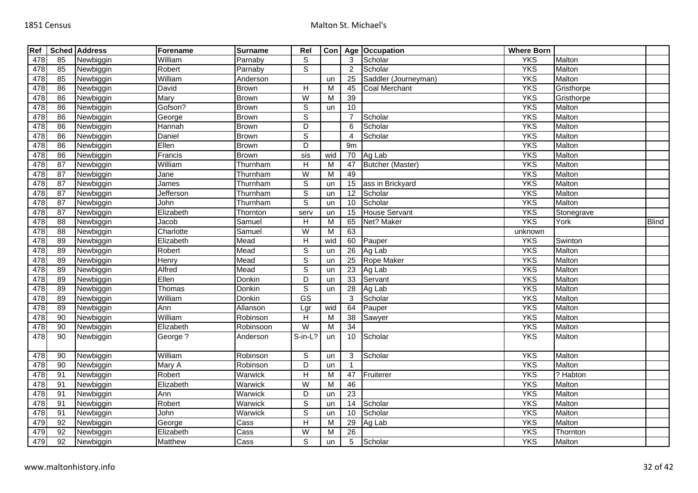| Ref |                 | <b>Sched Address</b> | Forename       | <b>Surname</b> | Rel                     | Con <sub>1</sub> |                 | Age Occupation          | <b>Where Born</b> |               |              |
|-----|-----------------|----------------------|----------------|----------------|-------------------------|------------------|-----------------|-------------------------|-------------------|---------------|--------------|
| 478 | 85              | Newbiggin            | William        | Parnaby        | S                       |                  | 3               | Scholar                 | <b>YKS</b>        | Malton        |              |
| 478 | 85              | Newbiggin            | Robert         | Parnaby        | $\overline{s}$          |                  | 2               | Scholar                 | <b>YKS</b>        | Malton        |              |
| 478 | 85              | Newbiggin            | William        | Anderson       |                         | un               | 25              | Saddler (Journeyman)    | <b>YKS</b>        | Malton        |              |
| 478 | 86              | Newbiggin            | David          | <b>Brown</b>   | H                       | M                | 45              | <b>Coal Merchant</b>    | <b>YKS</b>        | Gristhorpe    |              |
| 478 | 86              | Newbiggin            | Mary           | Brown          | W                       | М                | 39              |                         | <b>YKS</b>        | Gristhorpe    |              |
| 478 | 86              | Newbiggin            | Gofson?        | <b>Brown</b>   | $\overline{s}$          | un               | 10              |                         | <b>YKS</b>        | Malton        |              |
| 478 | 86              | Newbiggin            | George         | Brown          | $\mathbb S$             |                  | $\overline{7}$  | Scholar                 | <b>YKS</b>        | Malton        |              |
| 478 | 86              | Newbiggin            | Hannah         | <b>Brown</b>   | D                       |                  | 6               | Scholar                 | <b>YKS</b>        | Malton        |              |
| 478 | 86              | Newbiggin            | Daniel         | <b>Brown</b>   | S                       |                  | $\overline{4}$  | Scholar                 | <b>YKS</b>        | <b>Malton</b> |              |
| 478 | 86              | Newbiggin            | Ellen          | <b>Brown</b>   | D                       |                  | 9m              |                         | <b>YKS</b>        | Malton        |              |
| 478 | 86              | Newbiggin            | Francis        | <b>Brown</b>   | sis                     | wid              | 70              | Ag Lab                  | <b>YKS</b>        | Malton        |              |
| 478 | $\overline{87}$ | Newbiggin            | William        | Thurnham       | $\overline{H}$          | M                | 47              | <b>Butcher (Master)</b> | <b>YKS</b>        | Malton        |              |
| 478 | 87              | Newbiggin            | Jane           | Thurnham       | W                       | М                | 49              |                         | <b>YKS</b>        | Malton        |              |
| 478 | $\overline{87}$ | Newbiggin            | James          | Thurnham       | $\overline{s}$          | un               | 15              | ass in Brickyard        | <b>YKS</b>        | Malton        |              |
| 478 | 87              | Newbiggin            | Jefferson      | Thurnham       | $\overline{s}$          | un               | 12              | Scholar                 | <b>YKS</b>        | Malton        |              |
| 478 | $\overline{87}$ | Newbiggin            | John           | Thurnham       | $\overline{s}$          | un               | 10              | Scholar                 | <b>YKS</b>        | Malton        |              |
| 478 | 87              | Newbiggin            | Elizabeth      | Thornton       | serv                    | un               | 15              | <b>House Servant</b>    | <b>YKS</b>        | Stonegrave    |              |
| 478 | $\overline{88}$ | Newbiggin            | Jacob          | Samuel         | $\mathsf{H}$            | M                | 65              | Net? Maker              | <b>YKS</b>        | York          | <b>Blind</b> |
| 478 | $\overline{88}$ | Newbiggin            | Charlotte      | Samuel         | W                       | м                | 63              |                         | unknown           |               |              |
| 478 | 89              | Newbiggin            | Elizabeth      | Mead           | $\overline{H}$          | wid              | 60              | Pauper                  | <b>YKS</b>        | Swinton       |              |
| 478 | 89              | Newbiggin            | Robert         | Mead           | $\mathsf S$             | un               | 26              | Ag Lab                  | <b>YKS</b>        | Malton        |              |
| 478 | 89              | Newbiggin            | Henry          | Mead           | $\overline{s}$          | un               | 25              | Rope Maker              | <b>YKS</b>        | Malton        |              |
| 478 | 89              | Newbiggin            | Alfred         | Mead           | $\overline{s}$          | un               | 23              | Ag Lab                  | <b>YKS</b>        | Malton        |              |
| 478 | 89              | Newbiggin            | Ellen          | Donkin         | $\overline{D}$          | un               | 33              | Servant                 | <b>YKS</b>        | <b>Malton</b> |              |
| 478 | 89              | Newbiggin            | Thomas         | Donkin         | $\overline{s}$          | un               | 28              | Ag Lab                  | <b>YKS</b>        | Malton        |              |
| 478 | 89              | Newbiggin            | William        | Donkin         | GS                      |                  | 3               | Scholar                 | <b>YKS</b>        | Malton        |              |
| 478 | 89              | Newbiggin            | Ann            | Allanson       | Lgr                     | wid              | 64              | Pauper                  | <b>YKS</b>        | Malton        |              |
| 478 | 90              | Newbiggin            | William        | Robinson       | $\mathsf{H}$            | M                | 38              | Sawyer                  | <b>YKS</b>        | Malton        |              |
| 478 | 90              | Newbiggin            | Elizabeth      | Robinsoon      | $\overline{\mathsf{W}}$ | м                | 34              |                         | <b>YKS</b>        | Malton        |              |
| 478 | 90              | Newbiggin            | George?        | Anderson       | $S-in-L?$               | un               | 10              | Scholar                 | <b>YKS</b>        | Malton        |              |
| 478 | 90              | Newbiggin            | William        | Robinson       | $\overline{s}$          | un               | 3               | Scholar                 | <b>YKS</b>        | Malton        |              |
| 478 | 90              | Newbiggin            | Mary A         | Robinson       | D                       | un               | $\mathbf{1}$    |                         | <b>YKS</b>        | Malton        |              |
| 478 | 91              | Newbiggin            | Robert         | Warwick        | H                       | M                | 47              | Fruiterer               | <b>YKS</b>        | ? Habton      |              |
| 478 | 91              | Newbiggin            | Elizabeth      | Warwick        | W                       | м                | 46              |                         | <b>YKS</b>        | Malton        |              |
| 478 | 91              | Newbiggin            | Ann            | Warwick        | $\overline{D}$          | un               | 23              |                         | <b>YKS</b>        | Malton        |              |
| 478 | 91              | Newbiggin            | Robert         | Warwick        | $\mathsf S$             | un               | 14              | Scholar                 | <b>YKS</b>        | Malton        |              |
| 478 | 91              | Newbiggin            | John           | Warwick        | $\mathsf S$             | un               | 10              | Scholar                 | <b>YKS</b>        | Malton        |              |
| 479 | 92              | Newbiggin            | George         | Cass           | Н                       | М                | 29              | Ag Lab                  | <b>YKS</b>        | Malton        |              |
| 479 | 92              | Newbiggin            | Elizabeth      | Cass           | W                       | М                | $\overline{26}$ |                         | <b>YKS</b>        | Thornton      |              |
| 479 | 92              | Newbiggin            | <b>Matthew</b> | Cass           | S                       | un               | 5               | Scholar                 | <b>YKS</b>        | Malton        |              |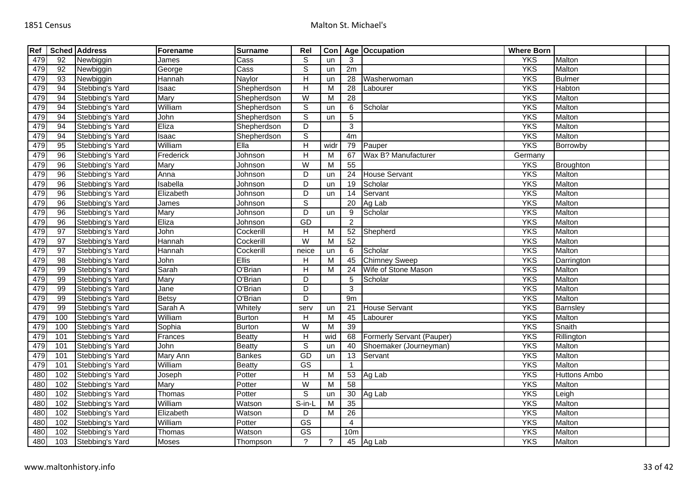| Ref |                 | <b>Sched Address</b> | Forename     | <b>Surname</b> | Rel                       | Con  |                 | Age Occupation            | <b>Where Born</b> |                     |  |
|-----|-----------------|----------------------|--------------|----------------|---------------------------|------|-----------------|---------------------------|-------------------|---------------------|--|
| 479 | $\overline{92}$ | Newbiggin            | James        | Cass           | S                         | un   | 3               |                           | <b>YKS</b>        | Malton              |  |
| 479 | 92              | Newbiggin            | George       | Cass           | $\overline{s}$            | un   | 2m              |                           | <b>YKS</b>        | Malton              |  |
| 479 | 93              | Newbiggin            | Hannah       | Naylor         | $\overline{H}$            | un   | $\overline{28}$ | Washerwoman               | <b>YKS</b>        | <b>Bulmer</b>       |  |
| 479 | 94              | Stebbing's Yard      | Isaac        | Shepherdson    | H                         | M    | 28              | Labourer                  | <b>YKS</b>        | Habton              |  |
| 479 | 94              | Stebbing's Yard      | Mary         | Shepherdson    | $\overline{W}$            | M    | $\overline{28}$ |                           | <b>YKS</b>        | Malton              |  |
| 479 | 94              | Stebbing's Yard      | William      | Shepherdson    | $\overline{s}$            | un   | 6               | Scholar                   | <b>YKS</b>        | Malton              |  |
| 479 | 94              | Stebbing's Yard      | John         | Shepherdson    | ${\tt S}$                 | un   | 5               |                           | <b>YKS</b>        | Malton              |  |
| 479 | 94              | Stebbing's Yard      | Eliza        | Shepherdson    | $\overline{D}$            |      | $\overline{3}$  |                           | <b>YKS</b>        | Malton              |  |
| 479 | 94              | Stebbing's Yard      | Isaac        | Shepherdson    | $\overline{s}$            |      | 4m              |                           | <b>YKS</b>        | Malton              |  |
| 479 | 95              | Stebbing's Yard      | William      | Ella           | $\overline{H}$            | widr | 79              | Pauper                    | <b>YKS</b>        | Borrowby            |  |
| 479 | $\overline{96}$ | Stebbing's Yard      | Frederick    | Johnson        | $\overline{H}$            | М    | 67              | Wax B? Manufacturer       | Germany           |                     |  |
| 479 | 96              | Stebbing's Yard      | <b>Mary</b>  | Johnson        | W                         | M    | 55              |                           | <b>YKS</b>        | Broughton           |  |
| 479 | 96              | Stebbing's Yard      | Anna         | Johnson        | D                         | un   | 24              | <b>House Servant</b>      | <b>YKS</b>        | Malton              |  |
| 479 | 96              | Stebbing's Yard      | Isabella     | Johnson        | D                         | un   | $\overline{19}$ | Scholar                   | <b>YKS</b>        | Malton              |  |
| 479 | 96              | Stebbing's Yard      | Elizabeth    | <b>Johnson</b> | D                         | un   | 14              | Servant                   | <b>YKS</b>        | Malton              |  |
| 479 | 96              | Stebbing's Yard      | James        | Johnson        | S                         |      | 20              | Ag Lab                    | <b>YKS</b>        | Malton              |  |
| 479 | 96              | Stebbing's Yard      | Mary         | Johnson        | D                         | un   | 9               | Scholar                   | <b>YKS</b>        | Malton              |  |
| 479 | $\overline{96}$ | Stebbing's Yard      | Eliza        | Johnson        | <b>GD</b>                 |      | $\overline{2}$  |                           | <b>YKS</b>        | Malton              |  |
| 479 | 97              | Stebbing's Yard      | John         | Cockerill      | H                         | M    | 52              | Shepherd                  | <b>YKS</b>        | Malton              |  |
| 479 | 97              | Stebbing's Yard      | Hannah       | Cockerill      | $\overline{W}$            | M    | 52              |                           | <b>YKS</b>        | Malton              |  |
| 479 | 97              | Stebbing's Yard      | Hannah       | Cockerill      | neice                     | un   | 6               | Scholar                   | <b>YKS</b>        | Malton              |  |
| 479 | $\overline{98}$ | Stebbing's Yard      | John         | <b>Ellis</b>   | Н                         | M    | 45              | <b>Chimney Sweep</b>      | <b>YKS</b>        | Darrington          |  |
| 479 | 99              | Stebbing's Yard      | Sarah        | O'Brian        | $\overline{H}$            | M    | $\overline{24}$ | Wife of Stone Mason       | <b>YKS</b>        | Malton              |  |
| 479 | 99              | Stebbing's Yard      | Mary         | O'Brian        | D                         |      | 5               | Scholar                   | <b>YKS</b>        | Malton              |  |
| 479 | 99              | Stebbing's Yard      | Jane         | O'Brian        | $\overline{D}$            |      | 3               |                           | <b>YKS</b>        | Malton              |  |
| 479 | 99              | Stebbing's Yard      | <b>Betsy</b> | O'Brian        | D                         |      | 9m              |                           | <b>YKS</b>        | Malton              |  |
| 479 | 99              | Stebbing's Yard      | Sarah A      | Whitely        | serv                      | un   | 21              | <b>House Servant</b>      | <b>YKS</b>        | Barnsley            |  |
| 479 | 100             | Stebbing's Yard      | William      | <b>Burton</b>  | H                         | M    | 45              | Labourer                  | <b>YKS</b>        | Malton              |  |
| 479 | 100             | Stebbing's Yard      | Sophia       | <b>Burton</b>  | W                         | M    | 39              |                           | <b>YKS</b>        | Snaith              |  |
| 479 | 101             | Stebbing's Yard      | Frances      | <b>Beatty</b>  | H                         | wid  | 68              | Formerly Servant (Pauper) | <b>YKS</b>        | Rillington          |  |
| 479 | 101             | Stebbing's Yard      | John         | <b>Beatty</b>  | S                         | un   | 40              | Shoemaker (Journeyman)    | <b>YKS</b>        | Malton              |  |
| 479 | 101             | Stebbing's Yard      | Mary Ann     | <b>Bankes</b>  | GD                        | un   | 13              | Servant                   | <b>YKS</b>        | Malton              |  |
| 479 | 101             | Stebbing's Yard      | William      | <b>Beatty</b>  | GS                        |      | -1              |                           | <b>YKS</b>        | Malton              |  |
| 480 | 102             | Stebbing's Yard      | Joseph       | Potter         | $\boldsymbol{\mathsf{H}}$ | M    | 53              | Ag Lab                    | <b>YKS</b>        | <b>Huttons Ambo</b> |  |
| 480 | 102             | Stebbing's Yard      | Mary         | Potter         | $\overline{W}$            | M    | 58              |                           | <b>YKS</b>        | Malton              |  |
| 480 | 102             | Stebbing's Yard      | Thomas       | Potter         | S                         | un   | 30              | Ag Lab                    | <b>YKS</b>        | Leigh               |  |
| 480 | 102             | Stebbing's Yard      | William      | Watson         | S-in-L                    | M    | 35              |                           | <b>YKS</b>        | Malton              |  |
| 480 | 102             | Stebbing's Yard      | Elizabeth    | Watson         | D                         | м    | $\overline{26}$ |                           | <b>YKS</b>        | Malton              |  |
| 480 | 102             | Stebbing's Yard      | William      | Potter         | $\overline{\text{GS}}$    |      | $\overline{4}$  |                           | <b>YKS</b>        | Malton              |  |
| 480 | 102             | Stebbing's Yard      | Thomas       | Watson         | GS                        |      | 10 <sub>m</sub> |                           | <b>YKS</b>        | Malton              |  |
| 480 | 103             | Stebbing's Yard      | Moses        | Thompson       | $\gamma$                  | ?    |                 | 45 Ag Lab                 | <b>YKS</b>        | Malton              |  |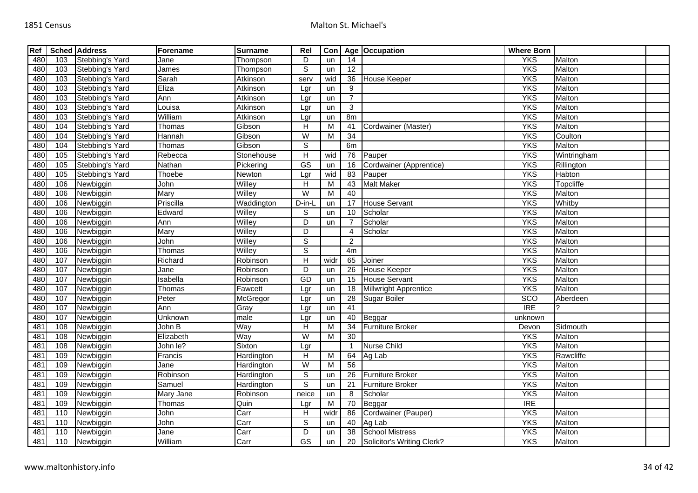| Ref |                   | <b>Sched Address</b> | Forename  | <b>Surname</b>           | Rel                       | Con            |                         | Age Occupation               | <b>Where Born</b> |               |  |
|-----|-------------------|----------------------|-----------|--------------------------|---------------------------|----------------|-------------------------|------------------------------|-------------------|---------------|--|
| 480 | 103               | Stebbing's Yard      | Jane      | Thompson                 | D                         | un             | $\overline{14}$         |                              | <b>YKS</b>        | Malton        |  |
| 480 | 103               | Stebbing's Yard      | James     | Thompson                 | $\mathbb S$               | un             | 12                      |                              | <b>YKS</b>        | Malton        |  |
| 480 | 103               | Stebbing's Yard      | Sarah     | Atkinson                 | serv                      | wid            | 36                      | <b>House Keeper</b>          | <b>YKS</b>        | <b>Malton</b> |  |
| 480 | 103               | Stebbing's Yard      | Eliza     | Atkinson                 | Lgr                       | un             | 9                       |                              | <b>YKS</b>        | Malton        |  |
| 480 | 103               | Stebbing's Yard      | Ann       | Atkinson                 | Lgr                       | un             | $\overline{7}$          |                              | <b>YKS</b>        | Malton        |  |
| 480 | 103               | Stebbing's Yard      | Louisa    | Atkinson                 | Lgr                       | un             | $\mathbf{3}$            |                              | <b>YKS</b>        | Malton        |  |
| 480 | 103               | Stebbing's Yard      | William   | Atkinson                 | Lgr                       | un             | 8m                      |                              | <b>YKS</b>        | Malton        |  |
| 480 | 104               | Stebbing's Yard      | Thomas    | Gibson                   | H                         | M              | 41                      | Cordwainer (Master)          | <b>YKS</b>        | <b>Malton</b> |  |
| 480 | 104               | Stebbing's Yard      | Hannah    | Gibson                   | W                         | M              | 34                      |                              | <b>YKS</b>        | Coulton       |  |
| 480 | 104               | Stebbing's Yard      | Thomas    | Gibson                   | $\overline{s}$            |                | 6m                      |                              | <b>YKS</b>        | Malton        |  |
| 480 | $\frac{105}{105}$ | Stebbing's Yard      | Rebecca   | Stonehouse               | $\overline{H}$            | wid            | 76                      | Pauper                       | <b>YKS</b>        | Wintringham   |  |
| 480 | 105               | Stebbing's Yard      | Nathan    | Pickering                | $\overline{\text{GS}}$    | <b>un</b>      | 16                      | Cordwainer (Apprentice)      | <b>YKS</b>        | Rillington    |  |
| 480 | 105               | Stebbing's Yard      | Thoebe    | Newton                   | Lgr                       | wid            | $\overline{83}$         | Pauper                       | <b>YKS</b>        | Habton        |  |
| 480 | 106               | Newbiggin            | John      | Willey                   | $\overline{H}$            | M              | 43                      | <b>Malt Maker</b>            | <b>YKS</b>        | Topcliffe     |  |
| 480 | 106               | Newbiggin            | Mary      | Willey                   | W                         | M              | 40                      |                              | <b>YKS</b>        | Malton        |  |
| 480 | 106               | Newbiggin            | Priscilla | Waddington               | D-in-L                    | un             | 17                      | <b>House Servant</b>         | <b>YKS</b>        | Whitby        |  |
| 480 | 106               | Newbiggin            | Edward    | Willey                   | $\mathbb S$               | un             | 10                      | Scholar                      | <b>YKS</b>        | Malton        |  |
| 480 | 106               | Newbiggin            | Ann       | Willey                   | $\overline{D}$            | un             | $\overline{7}$          | Scholar                      | <b>YKS</b>        | Malton        |  |
| 480 | 106               | Newbiggin            | Mary      | Willey                   | $\overline{D}$            |                | $\overline{4}$          | Scholar                      | <b>YKS</b>        | Malton        |  |
| 480 | 106               | Newbiggin            | John      | Willey                   | $\mathbb S$               |                | 2                       |                              | <b>YKS</b>        | Malton        |  |
| 480 | 106               | Newbiggin            | Thomas    | Willey                   | $\overline{s}$            |                | 4m                      |                              | <b>YKS</b>        | Malton        |  |
| 480 | 107               | Newbiggin            | Richard   | Robinson                 | H                         | widr           | 65                      | Joiner                       | <b>YKS</b>        | Malton        |  |
| 480 | 107               | Newbiggin            | Jane      | Robinson                 | D                         | un             | 26                      | <b>House Keeper</b>          | <b>YKS</b>        | Malton        |  |
| 480 | 107               | Newbiggin            | Isabella  | Robinson                 | GD                        | un             | 15                      | <b>House Servant</b>         | <b>YKS</b>        | Malton        |  |
| 480 | 107               | Newbiggin            | Thomas    | Fawcett                  | Lgr                       | un             | 18                      | <b>Millwright Apprentice</b> | <b>YKS</b>        | Malton        |  |
| 480 | 107               | Newbiggin            | Peter     | McGregor                 | Lgr                       | un             | 28                      | Sugar Boiler                 | <b>SCO</b>        | Aberdeen      |  |
| 480 | 107               | Newbiggin            | Ann       | Gray                     | Lgr                       | un             | $\overline{41}$         |                              | <b>IRE</b>        |               |  |
| 480 | 107               | Newbiggin            | Unknown   | male                     | Lgr                       | un             | 40                      | Beggar                       | unknown           |               |  |
| 481 | 108               | Newbiggin            | John B    | Way                      | $\boldsymbol{\mathsf{H}}$ | M              | 34                      | <b>Furniture Broker</b>      | Devon             | Sidmouth      |  |
| 481 | 108               | Newbiggin            | Elizabeth | Way                      | $\overline{W}$            | M              | 30                      |                              | <b>YKS</b>        | Malton        |  |
| 481 | 108               | Newbiggin            | John le?  | Sixton                   | Lgr                       |                | $\overline{\mathbf{1}}$ | <b>Nurse Child</b>           | <b>YKS</b>        | Malton        |  |
| 481 | 109               | Newbiggin            | Francis   | Hardington               | $\overline{H}$            | $\overline{M}$ | 64                      | Ag Lab                       | <b>YKS</b>        | Rawcliffe     |  |
| 481 | 109               | Newbiggin            | Jane      | Hardington               | W                         | M              | 56                      |                              | <b>YKS</b>        | Malton        |  |
| 481 | 109               | Newbiggin            | Robinson  | Hardington               | $\overline{s}$            | un             | 26                      | Furniture Broker             | <b>YKS</b>        | Malton        |  |
| 481 | 109               | Newbiggin            | Samuel    | Hardington               | $\overline{s}$            | un             | 21                      | <b>Furniture Broker</b>      | <b>YKS</b>        | Malton        |  |
| 481 | 109               | Newbiggin            | Mary Jane | Robinson                 | neice                     | un             | 8                       | Scholar                      | <b>YKS</b>        | Malton        |  |
| 481 | 109               | Newbiggin            | Thomas    | Quin                     | Lgr                       | M              | 70                      | Beggar                       | $\overline{IRE}$  |               |  |
| 481 | 110               | Newbiggin            | John      | Carr                     | H                         | widr           | 86                      | Cordwainer (Pauper)          | <b>YKS</b>        | Malton        |  |
| 481 | 110               | Newbiggin            | John      | Carr                     | $\mathbb S$               | un             | 40                      | Ag Lab                       | <b>YKS</b>        | Malton        |  |
| 481 | 110               | Newbiggin            | Jane      | $\overline{\text{Carr}}$ | D                         | un             | 38                      | <b>School Mistress</b>       | <b>YKS</b>        | Malton        |  |
| 481 | 110               | Newbiggin            | William   | Carr                     | GS                        | un             | 20                      | Solicitor's Writing Clerk?   | <b>YKS</b>        | Malton        |  |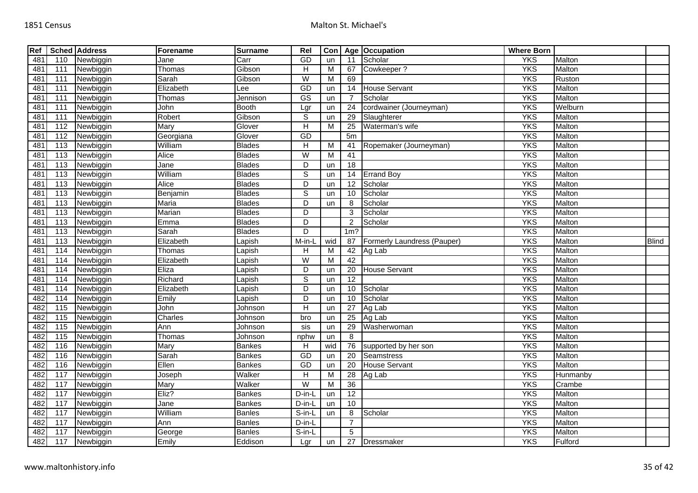| Ref             |                   | <b>Sched Address</b> | Forename    | <b>Surname</b> | Rel                    | Con       |                 | Age Occupation              | <b>Where Born</b> |          |              |
|-----------------|-------------------|----------------------|-------------|----------------|------------------------|-----------|-----------------|-----------------------------|-------------------|----------|--------------|
| 481             | 110               | Newbiggin            | Jane        | Carr           | GD                     | un        | 11              | Scholar                     | <b>YKS</b>        | Malton   |              |
| 481             | 111               | Newbiggin            | Thomas      | Gibson         | $\overline{H}$         | M         | 67              | Cowkeeper ?                 | <b>YKS</b>        | Malton   |              |
| 48 <sup>2</sup> | 111               | Newbiggin            | Sarah       | Gibson         | $\overline{W}$         | M         | 69              |                             | <b>YKS</b>        | Ruston   |              |
| 481             | 111               | Newbiggin            | Elizabeth   | Lee            | GD                     | un        | 14              | <b>House Servant</b>        | <b>YKS</b>        | Malton   |              |
| 481             | 111               | Newbiggin            | Thomas      | Jennison       | $\overline{\text{GS}}$ | un        | 7               | Scholar                     | <b>YKS</b>        | Malton   |              |
| 481             | 111               | Newbiggin            | John        | <b>Booth</b>   | Lgr                    | un        | 24              | cordwainer (Journeyman)     | <b>YKS</b>        | Welburn  |              |
| 481             | 111               | Newbiggin            | Robert      | Gibson         | $\mathbb S$            | un        | 29              | Slaughterer                 | <b>YKS</b>        | Malton   |              |
| 48 <sup>′</sup> | $\frac{11}{2}$    | Newbiggin            | Mary        | Glover         | $\overline{H}$         | м         | 25              | Waterman's wife             | <b>YKS</b>        | Malton   |              |
| 481             | 112               | Newbiggin            | Georgiana   | Glover         | GD                     |           | 5 <sub>m</sub>  |                             | <b>YKS</b>        | Malton   |              |
| 481             | $\overline{113}$  | Newbiggin            | William     | <b>Blades</b>  | $\overline{H}$         | M         | 41              | Ropemaker (Journeyman)      | <b>YKS</b>        | Malton   |              |
| 481             | 113               | Newbiggin            | Alice       | <b>Blades</b>  | W                      | M         | 41              |                             | <b>YKS</b>        | Malton   |              |
| 481             | 113               | Newbiggin            | Jane        | <b>Blades</b>  | D                      | un        | 18              |                             | <b>YKS</b>        | Malton   |              |
| 481             | 113               | Newbiggin            | William     | <b>Blades</b>  | $\overline{s}$         | un        | 14              | <b>Errand Boy</b>           | <b>YKS</b>        | Malton   |              |
| 48 <sup>2</sup> | 113               | Newbiggin            | Alice       | <b>Blades</b>  | D                      | un        | 12              | Scholar                     | <b>YKS</b>        | Malton   |              |
| 481             | $\overline{113}$  | Newbiggin            | Benjamin    | <b>Blades</b>  | $\overline{s}$         | un        | $\overline{10}$ | Scholar                     | <b>YKS</b>        | Malton   |              |
| 481             | 113               | Newbiggin            | Maria       | <b>Blades</b>  | $\overline{D}$         | un        | 8               | Scholar                     | <b>YKS</b>        | Malton   |              |
| 481             | 113               | Newbiggin            | Marian      | <b>Blades</b>  | D                      |           | 3               | Scholar                     | <b>YKS</b>        | Malton   |              |
| 481             | $\overline{113}$  | Newbiggin            | Emma        | <b>Blades</b>  | $\overline{D}$         |           | $\overline{2}$  | Scholar                     | <b>YKS</b>        | Malton   |              |
| 481             | $\overline{113}$  | Newbiggin            | Sarah       | <b>Blades</b>  | D                      |           | $1m$ ?          |                             | <b>YKS</b>        | Malton   |              |
| 481             | 113               | Newbiggin            | Elizabeth   | Lapish         | M-in-L                 | wid       | 87              | Formerly Laundress (Pauper) | <b>YKS</b>        | Malton   | <b>Blind</b> |
| 481             | 114               | Newbiggin            | Thomas      | Lapish         | H                      | м         | 42              | Ag Lab                      | <b>YKS</b>        | Malton   |              |
| 481             | 114               | Newbiggin            | Elizabeth   | Lapish         | W                      | M         | 42              |                             | <b>YKS</b>        | Malton   |              |
| 481             | 114               | Newbiggin            | Eliza       | Lapish         | D                      | un        | 20              | <b>House Servant</b>        | <b>YKS</b>        | Malton   |              |
| 481             | 114               | Newbiggin            | Richard     | Lapish         | $\mathbb S$            | un        | $\overline{12}$ |                             | <b>YKS</b>        | Malton   |              |
| 481             | 114               | Newbiggin            | Elizabeth   | Lapish         | $\overline{D}$         | un        | 10              | Scholar                     | <b>YKS</b>        | Malton   |              |
| 482             | 114               | Newbiggin            | Emily       | Lapish         | D                      | un        | 10              | Scholar                     | <b>YKS</b>        | Malton   |              |
| 482             | $\frac{115}{115}$ | Newbiggin            | John        | Johnson        | $\overline{H}$         | un        | 27              | Ag Lab                      | <b>YKS</b>        | Malton   |              |
| 482             | 115               | Newbiggin            | Charles     | Johnson        | bro                    | un        | 25              | Ag Lab                      | <b>YKS</b>        | Malton   |              |
| 482             | 115               | Newbiggin            | Ann         | Johnson        | sis                    | un        | 29              | Washerwoman                 | <b>YKS</b>        | Malton   |              |
| 482             | $\frac{115}{115}$ | Newbiggin            | Thomas      | Johnson        | nphw                   | un        | 8               |                             | <b>YKS</b>        | Malton   |              |
| 482             | 116               | Newbiggin            | <b>Mary</b> | <b>Bankes</b>  | H                      | wid       | 76              | supported by her son        | <b>YKS</b>        | Malton   |              |
| 482             | 116               | Newbiggin            | Sarah       | <b>Bankes</b>  | GD                     | un        | 20              | <b>Seamstress</b>           | <b>YKS</b>        | Malton   |              |
| 482             | 116               | Newbiggin            | Ellen       | Bankes         | GD                     | un        | 20              | <b>House Servant</b>        | <b>YKS</b>        | Malton   |              |
| 482             | 117               | Newbiggin            | Joseph      | Walker         | Н                      | М         | 28              | Ag Lab                      | <b>YKS</b>        | Hunmanby |              |
| 482             | $\frac{117}{117}$ | Newbiggin            | <b>Mary</b> | Walker         | W                      | м         | 36              |                             | <b>YKS</b>        | Crambe   |              |
| 482             | 117               | Newbiggin            | Eliz?       | <b>Bankes</b>  | D-in-L                 | un        | 12              |                             | <b>YKS</b>        | Malton   |              |
| 482             | $\frac{117}{117}$ | Newbiggin            | Jane        | Bankes         | D-in-L                 | un        | 10              |                             | <b>YKS</b>        | Malton   |              |
| 482             | 117               | Newbiggin            | William     | <b>Banles</b>  | S-in-L                 | un        | 8               | Scholar                     | <b>YKS</b>        | Malton   |              |
| 482             | 117               | Newbiggin            | Ann         | Banles         | D-in-L                 |           | $\overline{7}$  |                             | <b>YKS</b>        | Malton   |              |
| 482             | 117               | Newbiggin            | George      | <b>Banles</b>  | S-in-L                 |           | 5               |                             | <b>YKS</b>        | Malton   |              |
| 482             | $\frac{117}{117}$ | Newbiggin            | Emily       | Eddison        | Lgr                    | <b>un</b> |                 | 27 Dressmaker               | <b>YKS</b>        | Fulford  |              |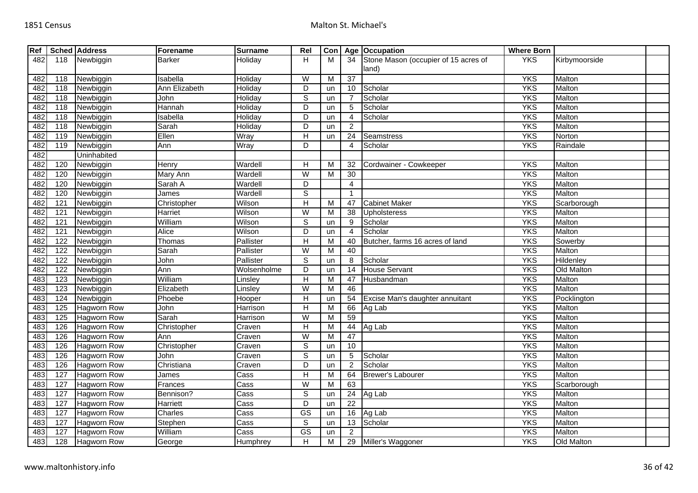| Ref |                | <b>Sched Address</b> | Forename        | <b>Surname</b>     | Rel                     | Con |                 | Age Occupation                       | <b>Where Born</b> |               |  |
|-----|----------------|----------------------|-----------------|--------------------|-------------------------|-----|-----------------|--------------------------------------|-------------------|---------------|--|
| 482 | 118            | Newbiggin            | <b>Barker</b>   | Holiday            | H                       | M   | 34              | Stone Mason (occupier of 15 acres of | <b>YKS</b>        | Kirbymoorside |  |
|     |                |                      |                 |                    |                         |     |                 | land)                                |                   |               |  |
| 482 | 118            | Newbiggin            | Isabella        | Holiday            | $\overline{\mathsf{W}}$ | M   | 37              |                                      | <b>YKS</b>        | Malton        |  |
| 482 | 118            | Newbiggin            | Ann Elizabeth   | Holiday            | D                       | un  | 10 <sup>1</sup> | Scholar                              | <b>YKS</b>        | Malton        |  |
| 482 | 118            | Newbiggin            | John            | Holiday            | $\mathsf S$             | un  |                 | Scholar                              | <b>YKS</b>        | Malton        |  |
| 482 | 118            | Newbiggin            | Hannah          | Holiday            | D                       | un  | 5               | Scholar                              | <b>YKS</b>        | Malton        |  |
| 482 | 118            | Newbiggin            | <b>Isabella</b> | Holiday            | D                       | un  | 4               | Scholar                              | <b>YKS</b>        | Malton        |  |
| 482 | 118            | Newbiggin            | Sarah           | Holiday            | D                       | un  | 2               |                                      | <b>YKS</b>        | Malton        |  |
| 482 | 119            | Newbiggin            | Ellen           | Wray               | $\mathsf{H}$            | un  | 24              | <b>Seamstress</b>                    | <b>YKS</b>        | Norton        |  |
| 482 | 119            | Newbiggin            | Ann             | Wray               | D                       |     | Δ               | Scholar                              | <b>YKS</b>        | Raindale      |  |
| 482 |                | Uninhabited          |                 |                    |                         |     |                 |                                      |                   |               |  |
| 482 | 120            | Newbiggin            | Henry           | Wardell            | H                       | М   | 32              | Cordwainer - Cowkeeper               | <b>YKS</b>        | Malton        |  |
| 482 | 120            | Newbiggin            | Mary Ann        | Wardell            | W                       | м   | 30              |                                      | <b>YKS</b>        | Malton        |  |
| 482 | 120            | Newbiggin            | Sarah A         | Wardell            | $\overline{D}$          |     | 4               |                                      | <b>YKS</b>        | Malton        |  |
| 482 | 120            | Newbiggin            | James           | Wardell            | $\overline{s}$          |     | $\overline{1}$  |                                      | <b>YKS</b>        | Malton        |  |
| 482 | 121            | Newbiggin            | Christopher     | Wilson             | $\overline{H}$          | M   | 47              | <b>Cabinet Maker</b>                 | <b>YKS</b>        | Scarborough   |  |
| 482 | 121            | Newbiggin            | Harriet         | Wilson             | $\overline{W}$          | M   | 38              | <b>Upholsteress</b>                  | <b>YKS</b>        | Malton        |  |
| 482 | 121            | Newbiggin            | William         | Wilson             | $\overline{s}$          | un  | 9               | Scholar                              | <b>YKS</b>        | Malton        |  |
| 482 | 121            | Newbiggin            | Alice           | Wilson             | D                       | un  | $\overline{4}$  | Scholar                              | <b>YKS</b>        | Malton        |  |
| 482 | 122            | Newbiggin            | Thomas          | Pallister          | H                       | M   | 40              | Butcher, farms 16 acres of land      | <b>YKS</b>        | Sowerby       |  |
| 482 | 122            | Newbiggin            | Sarah           | Pallister          | W                       | м   | 40              |                                      | <b>YKS</b>        | Malton        |  |
| 482 | 122            | Newbiggin            | John            | Pallister          | $\overline{s}$          | un  | 8               | Scholar                              | <b>YKS</b>        | Hildenley     |  |
| 482 | 122            | Newbiggin            | Ann             | Wolsenholme        | D                       | un  | 14              | <b>House Servant</b>                 | <b>YKS</b>        | Old Malton    |  |
| 483 | 123            | Newbiggin            | William         | Linsley            | $\overline{H}$          | M   | 47              | Husbandman                           | <b>YKS</b>        | Malton        |  |
| 483 | 123            | Newbiggin            | Elizabeth       | Linsley            | W                       | М   | 46              |                                      | <b>YKS</b>        | Malton        |  |
| 483 | 124            | Newbiggin            | Phoebe          | Hooper             | H                       | un  | 54              | Excise Man's daughter annuitant      | <b>YKS</b>        | Pocklington   |  |
| 483 | 125            | <b>Hagworn Row</b>   | John            | Harrison           | H                       | м   | 66              | Ag Lab                               | <b>YKS</b>        | Malton        |  |
| 483 | $\frac{1}{25}$ | <b>Hagworn Row</b>   | Sarah           | Harrison           | $\overline{\mathsf{W}}$ | M   | 59              |                                      | <b>YKS</b>        | Malton        |  |
| 483 | 126            | <b>Hagworn Row</b>   | Christopher     | Craven             | H                       | М   | 44              | Ag Lab                               | <b>YKS</b>        | Malton        |  |
| 483 | 126            | Hagworn Row          | Ann             | Craven             | $\overline{\mathsf{W}}$ | м   | 47              |                                      | <b>YKS</b>        | Malton        |  |
| 483 | 126            | Hagworn Row          | Christopher     | Craven             | $\overline{s}$          | un  | 10              |                                      | <b>YKS</b>        | Malton        |  |
| 483 | 126            | <b>Hagworn Row</b>   | John            | Craven             | $\overline{s}$          | un  | 5               | Scholar                              | <b>YKS</b>        | Malton        |  |
| 483 | 126            | <b>Hagworn Row</b>   | Christiana      | Craven             | D                       | un  | $\overline{2}$  | Scholar                              | <b>YKS</b>        | Malton        |  |
| 483 | 127            | <b>Hagworn Row</b>   | James           | Cass               | $\overline{H}$          | M   | 64              | <b>Brewer's Labourer</b>             | <b>YKS</b>        | Malton        |  |
| 483 | 127            | <b>Hagworn Row</b>   | Frances         | $\overline{C}$ ass | W                       | м   | 63              |                                      | <b>YKS</b>        | Scarborough   |  |
| 483 | 127            | <b>Hagworn Row</b>   | Bennison?       | Cass               | $\overline{s}$          | un  | 24              | Ag Lab                               | <b>YKS</b>        | Malton        |  |
| 483 | 127            | <b>Hagworn Row</b>   | Harriett        | Cass               | D                       | un  | 22              |                                      | <b>YKS</b>        | Malton        |  |
| 483 | 127            | <b>Hagworn Row</b>   | Charles         | Cass               | $\overline{\text{GS}}$  | un  | 16              | Ag Lab                               | <b>YKS</b>        | Malton        |  |
| 483 | 127            | Hagworn Row          | Stephen         | Cass               | $\mathsf S$             | un  | 13              | Scholar                              | <b>YKS</b>        | Malton        |  |
| 483 | 127            | <b>Hagworn Row</b>   | William         | Cass               | $\overline{\text{GS}}$  | un  | $\overline{c}$  |                                      | <b>YKS</b>        | Malton        |  |
| 483 | 128            | <b>Hagworn Row</b>   | George          | Humphrey           | Н                       | M   |                 | 29 Miller's Waggoner                 | <b>YKS</b>        | Old Malton    |  |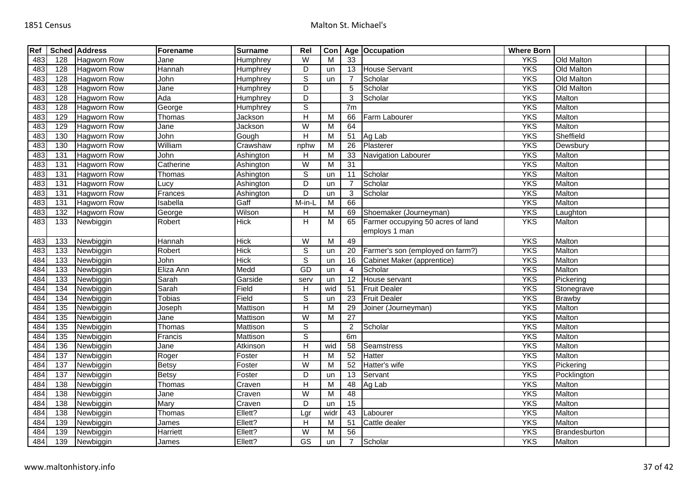| Ref |                  | <b>Sched Address</b> | Forename  | <b>Surname</b> | Rel                       | Con            |                 | Age Occupation                    | <b>Where Born</b> |                   |  |
|-----|------------------|----------------------|-----------|----------------|---------------------------|----------------|-----------------|-----------------------------------|-------------------|-------------------|--|
| 483 | 128              | <b>Hagworn Row</b>   | Jane      | Humphrey       | W                         | М              | 33              |                                   | <b>YKS</b>        | <b>Old Malton</b> |  |
| 483 | 128              | <b>Hagworn Row</b>   | Hannah    | Humphrey       | $\overline{D}$            | un             | 13              | <b>House Servant</b>              | <b>YKS</b>        | Old Malton        |  |
| 483 | 128              | <b>Hagworn Row</b>   | John      | Humphrey       | ${\mathbb S}$             | un             |                 | Scholar                           | <b>YKS</b>        | Old Malton        |  |
| 483 | 128              | <b>Hagworn Row</b>   | Jane      | Humphrey       | $\overline{D}$            |                | 5               | Scholar                           | <b>YKS</b>        | Old Malton        |  |
| 483 | 128              | <b>Hagworn Row</b>   | Ada       | Humphrey       | D                         |                | 3               | Scholar                           | <b>YKS</b>        | Malton            |  |
| 483 | 128              | <b>Hagworn Row</b>   | George    | Humphrey       | $\overline{s}$            |                | 7 <sub>m</sub>  |                                   | <b>YKS</b>        | Malton            |  |
| 483 | 129              | <b>Hagworn Row</b>   | Thomas    | Jackson        | $\boldsymbol{\mathsf{H}}$ | M              | 66              | Farm Labourer                     | <b>YKS</b>        | Malton            |  |
| 483 | 129              | <b>Hagworn Row</b>   | Jane      | Jackson        | $\overline{W}$            | M              | 64              |                                   | <b>YKS</b>        | Malton            |  |
| 483 | 130              | Hagworn Row          | John      | Gough          | $\overline{H}$            | M              | $\overline{51}$ | Ag Lab                            | <b>YKS</b>        | Sheffield         |  |
| 483 | 130              | <b>Hagworn Row</b>   | William   | Crawshaw       | nphw                      | M              | 26              | Plasterer                         | <b>YKS</b>        | Dewsbury          |  |
| 483 | 131              | <b>Hagworn Row</b>   | John      | Ashington      | H                         | M              | 33              | <b>Navigation Labourer</b>        | <b>YKS</b>        | Malton            |  |
| 483 | 131              | <b>Hagworn Row</b>   | Catherine | Ashington      | $\overline{\mathsf{W}}$   | M              | $\overline{31}$ |                                   | <b>YKS</b>        | Malton            |  |
| 483 | 131              | <b>Hagworn Row</b>   | Thomas    | Ashington      | S                         | un             | 11              | Scholar                           | <b>YKS</b>        | Malton            |  |
| 483 | 131              | <b>Hagworn Row</b>   | Lucy      | Ashington      | $\overline{D}$            | un             | 7               | Scholar                           | <b>YKS</b>        | Malton            |  |
| 483 | 131              | Hagworn Row          | Frances   | Ashington      | $\overline{D}$            | un             | 3               | Scholar                           | <b>YKS</b>        | Malton            |  |
| 483 | 131              | <b>Hagworn Row</b>   | Isabella  | Gaff           | M-in-L                    | M              | 66              |                                   | <b>YKS</b>        | Malton            |  |
| 483 | 132              | Hagworn Row          | George    | Wilson         | H                         | M              | 69              | Shoemaker (Journeyman)            | <b>YKS</b>        | Laughton          |  |
| 483 | $\overline{133}$ | Newbiggin            | Robert    | Hick           | H                         | M              | 65              | Farmer occupying 50 acres of land | <b>YKS</b>        | Malton            |  |
|     |                  |                      |           |                |                           |                |                 | employs 1 man                     |                   |                   |  |
| 483 | 133              | Newbiggin            | Hannah    | <b>Hick</b>    | W                         | M              | 49              |                                   | <b>YKS</b>        | Malton            |  |
| 483 | 133              | Newbiggin            | Robert    | <b>Hick</b>    | ${\mathbb S}$             | un             | 20              | Farmer's son (employed on farm?)  | <b>YKS</b>        | Malton            |  |
| 484 | $\overline{133}$ | Newbiggin            | John      | <b>Hick</b>    | $\overline{s}$            | un             | 16              | Cabinet Maker (apprentice)        | <b>YKS</b>        | Malton            |  |
| 484 | 133              | Newbiggin            | Eliza Ann | Medd           | GD                        | un             | 4               | Scholar                           | <b>YKS</b>        | Malton            |  |
| 484 | $\overline{133}$ | Newbiggin            | Sarah     | Garside        | serv                      | un             | 12              | House servant                     | <b>YKS</b>        | Pickering         |  |
| 484 | 134              | Newbiggin            | Sarah     | Field          | $\overline{H}$            | wid            | 51              | <b>Fruit Dealer</b>               | <b>YKS</b>        | Stonegrave        |  |
| 484 | $\overline{134}$ | Newbiggin            | Tobias    | Field          | $\overline{s}$            | un             | 23              | <b>Fruit Dealer</b>               | <b>YKS</b>        | <b>Brawby</b>     |  |
| 484 | 135              | Newbiggin            | Joseph    | Mattison       | H                         | M              | 29              | Joiner (Journeyman)               | <b>YKS</b>        | Malton            |  |
| 484 | $\overline{135}$ | Newbiggin            | Jane      | Mattison       | $\overline{\mathsf{W}}$   | $\overline{M}$ | $\overline{27}$ |                                   | <b>YKS</b>        | Malton            |  |
| 484 | 135              | Newbiggin            | Thomas    | Mattison       | ${\mathbb S}$             |                | $\overline{c}$  | Scholar                           | <b>YKS</b>        | Malton            |  |
| 484 | $\overline{135}$ | Newbiggin            | Francis   | Mattison       | $\overline{s}$            |                | 6m              |                                   | <b>YKS</b>        | Malton            |  |
| 484 | 136              | Newbiggin            | Jane      | Atkinson       | $\overline{H}$            | wid            | 58              | <b>Seamstress</b>                 | <b>YKS</b>        | Malton            |  |
| 484 | $\overline{137}$ | Newbiggin            | Roger     | Foster         | $\overline{H}$            | M              | 52              | <b>Hatter</b>                     | <b>YKS</b>        | Malton            |  |
| 484 | 137              | Newbiggin            | Betsy     | Foster         | $\overline{W}$            | M              | 52              | Hatter's wife                     | <b>YKS</b>        | Pickering         |  |
| 484 | $\overline{137}$ | Newbiggin            | Betsy     | Foster         | D                         | un             | 13              | Servant                           | <b>YKS</b>        | Pocklington       |  |
| 484 | $\frac{138}{ }$  | Newbiggin            | Thomas    | Craven         | H                         | M              | 48              | Ag Lab                            | <b>YKS</b>        | Malton            |  |
| 484 | 138              | Newbiggin            | Jane      | Craven         | $\overline{W}$            | $\overline{M}$ | 48              |                                   | <b>YKS</b>        | Malton            |  |
| 484 | 138              | Newbiggin            | Mary      | Craven         | D                         | un             | 15              |                                   | <b>YKS</b>        | Malton            |  |
| 484 | 138              | Newbiggin            | Thomas    | Ellett?        | Lgr                       | widr           | 43              | Labourer                          | <b>YKS</b>        | Malton            |  |
| 484 | 139              | Newbiggin            | James     | Ellett?        | H                         | M              | 51              | Cattle dealer                     | <b>YKS</b>        | Malton            |  |
| 484 | 139              | Newbiggin            | Harriett  | Ellett?        | W                         | М              | 56              |                                   | <b>YKS</b>        | Brandesburton     |  |
| 484 | 139              | Newbiggin            | James     | Ellett?        | $\overline{\text{GS}}$    | un             | $\overline{7}$  | Scholar                           | <b>YKS</b>        | Malton            |  |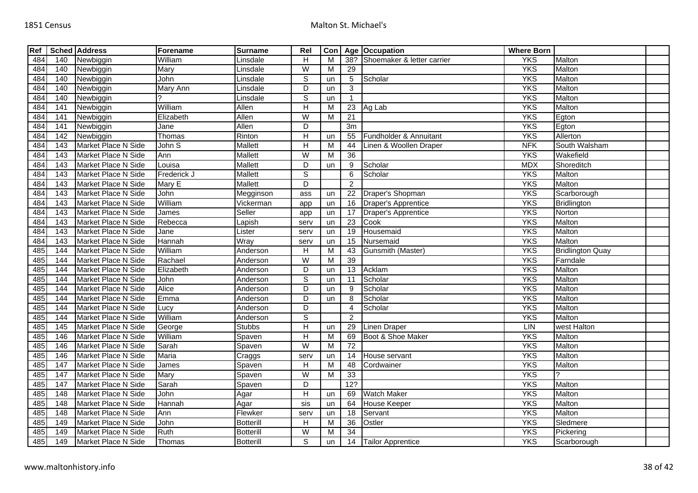| Ref |                  | <b>Sched Address</b>       | Forename     | <b>Surname</b>   | Rel                     | Con |                 | Age Occupation                 | <b>Where Born</b> |                         |  |
|-----|------------------|----------------------------|--------------|------------------|-------------------------|-----|-----------------|--------------------------------|-------------------|-------------------------|--|
| 484 | 140              | Newbiggin                  | William      | Linsdale         | H                       | M   |                 | 38? Shoemaker & letter carrier | <b>YKS</b>        | Malton                  |  |
| 484 | 140              | Newbiggin                  | Mary         | Linsdale         | W                       | M   | 29              |                                | <b>YKS</b>        | Malton                  |  |
| 484 | 140              | Newbiggin                  | John         | Linsdale         | $\overline{s}$          | un  | 5               | Scholar                        | <b>YKS</b>        | Malton                  |  |
| 484 | 140              | Newbiggin                  | Mary Ann     | Linsdale         | D                       | un  | 3               |                                | <b>YKS</b>        | Malton                  |  |
| 484 | 140              | Newbiggin                  |              | Linsdale         | $\overline{s}$          | un  | $\overline{1}$  |                                | <b>YKS</b>        | Malton                  |  |
| 484 | 141              | Newbiggin                  | William      | Allen            | $\overline{H}$          | M   | 23              | Ag Lab                         | <b>YKS</b>        | Malton                  |  |
| 484 | 141              | Newbiggin                  | Elizabeth    | Allen            | $\overline{W}$          | М   | 21              |                                | <b>YKS</b>        | Egton                   |  |
| 484 | 141              | Newbiggin                  | Jane         | Allen            | D                       |     | 3m              |                                | <b>YKS</b>        | Egton                   |  |
| 484 | 142              | Newbiggin                  | Thomas       | Rinton           | $\overline{H}$          | un  | 55              | Fundholder & Annuitant         | <b>YKS</b>        | Allerton                |  |
| 484 | 143              | Market Place N Side        | John S       | <b>Mallett</b>   | H                       | M   | 44              | Linen & Woollen Draper         | <b>NFK</b>        | South Walsham           |  |
| 484 | 143              | Market Place N Side        | Ann          | <b>Mallett</b>   | W                       | M   | $\overline{36}$ |                                | <b>YKS</b>        | Wakefield               |  |
| 484 | $\frac{143}{ }$  | Market Place N Side        | Louisa       | <b>Mallett</b>   | D                       | un  | 9               | Scholar                        | <b>MDX</b>        | Shoreditch              |  |
| 484 | 143              | Market Place N Side        | Frederick J  | Mallett          | $\overline{s}$          |     | 6               | Scholar                        | <b>YKS</b>        | Malton                  |  |
| 484 | 143              | <b>Market Place N Side</b> | Mary E       | <b>Mallett</b>   | D                       |     | $\overline{2}$  |                                | <b>YKS</b>        | Malton                  |  |
| 484 | 143              | Market Place N Side        | John         | Megginson        | ass                     | un  | 22              | Draper's Shopman               | <b>YKS</b>        | Scarborough             |  |
| 484 | 143              | Market Place N Side        | William      | Vickerman        | app                     | un  | 16              | <b>Draper's Apprentice</b>     | <b>YKS</b>        | <b>Bridlington</b>      |  |
| 484 | 143              | Market Place N Side        | <b>James</b> | Seller           | app                     | un  | 17              | Draper's Apprentice            | <b>YKS</b>        | Norton                  |  |
| 484 | 143              | Market Place N Side        | Rebecca      | apish            | serv                    | un  | 23              | Cook                           | <b>YKS</b>        | Malton                  |  |
| 484 | 143              | Market Place N Side        | Jane         | Lister           | serv                    | un  | 19              | Housemaid                      | <b>YKS</b>        | Malton                  |  |
| 484 | 143              | Market Place N Side        | Hannah       | Wray             | serv                    | un  | 15              | Nursemaid                      | <b>YKS</b>        | Malton                  |  |
| 485 | 144              | Market Place N Side        | William      | Anderson         | H                       | M   | 43              | Gunsmith (Master)              | <b>YKS</b>        | <b>Bridlington Quay</b> |  |
| 485 | 144              | Market Place N Side        | Rachael      | Anderson         | $\overline{W}$          | М   | 39              |                                | <b>YKS</b>        | Farndale                |  |
| 485 | 144              | Market Place N Side        | Elizabeth    | Anderson         | $\overline{D}$          | un  | $\overline{13}$ | Acklam                         | <b>YKS</b>        | Malton                  |  |
| 485 | 144              | Market Place N Side        | John         | Anderson         | $\mathbb S$             | un  | 11              | Scholar                        | <b>YKS</b>        | Malton                  |  |
| 485 | 144              | Market Place N Side        | Alice        | Anderson         | $\overline{D}$          | un  | 9               | Scholar                        | <b>YKS</b>        | Malton                  |  |
| 485 | 144              | Market Place N Side        | Emma         | Anderson         | D                       | un  | 8               | Scholar                        | <b>YKS</b>        | Malton                  |  |
| 485 | 144              | Market Place N Side        | Lucy         | Anderson         | D                       |     | 4               | Scholar                        | <b>YKS</b>        | Malton                  |  |
| 485 | 144              | Market Place N Side        | William      | Anderson         | $\mathbb S$             |     | 2               |                                | <b>YKS</b>        | Malton                  |  |
| 485 | 145              | Market Place N Side        | George       | <b>Stubbs</b>    | $\overline{H}$          | un  | 29              | <b>Linen Draper</b>            | LIN               | west Halton             |  |
| 485 | 146              | Market Place N Side        | William      | Spaven           | Н                       | M   | 69              | Boot & Shoe Maker              | <b>YKS</b>        | Malton                  |  |
| 485 | 146              | Market Place N Side        | Sarah        | Spaven           | $\overline{W}$          | M   | $\overline{72}$ |                                | <b>YKS</b>        | Malton                  |  |
| 485 | 146              | Market Place N Side        | Maria        | Craggs           | serv                    | un  | 14              | House servant                  | <b>YKS</b>        | Malton                  |  |
| 485 | 147              | Market Place N Side        | James        | Spaven           | H                       | M   | 48              | Cordwainer                     | <b>YKS</b>        | Malton                  |  |
| 485 | 147              | Market Place N Side        | Mary         | Spaven           | $\overline{\mathsf{W}}$ | M   | 33              |                                | <b>YKS</b>        | 2                       |  |
| 485 | 147              | Market Place N Side        | Sarah        | Spaven           | D                       |     | 12?             |                                | <b>YKS</b>        | Malton                  |  |
| 485 | $\overline{148}$ | Market Place N Side        | John         | Agar             | $\overline{\mathsf{H}}$ | un  | 69              | <b>Watch Maker</b>             | <b>YKS</b>        | Malton                  |  |
| 485 | 148              | Market Place N Side        | Hannah       | Agar             | sis                     | un  | 64              | House Keeper                   | <b>YKS</b>        | Malton                  |  |
| 485 | 148              | Market Place N Side        | Ann          | Flewker          | serv                    | un  | 18              | Servant                        | <b>YKS</b>        | Malton                  |  |
| 485 | 149              | Market Place N Side        | John         | Botterill        | H                       | M   | 36              | Ostler                         | <b>YKS</b>        | Sledmere                |  |
| 485 | 149              | Market Place N Side        | Ruth         | <b>Botterill</b> | W                       | M   | 34              |                                | <b>YKS</b>        | Pickering               |  |
| 485 | 149              | Market Place N Side        | Thomas       | <b>Botterill</b> | S                       | un  |                 | 14 Tailor Apprentice           | <b>YKS</b>        | Scarborough             |  |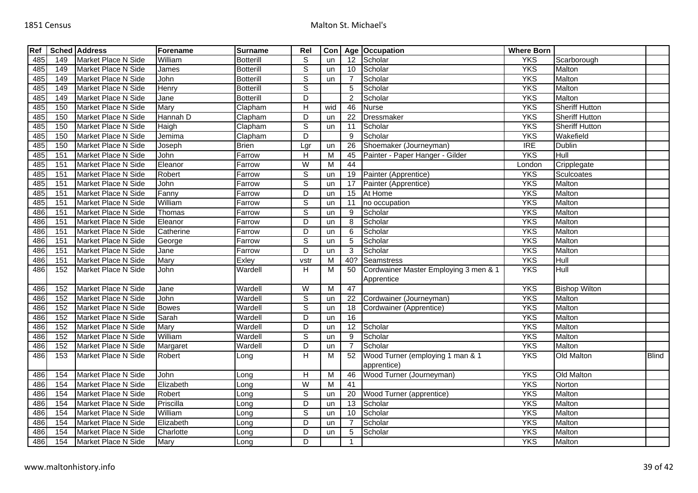| Ref |     | <b>Sched Address</b> | Forename     | <b>Surname</b>     | Rel                       | Con            |                 | Age Occupation                                      | <b>Where Born</b> |                       |              |
|-----|-----|----------------------|--------------|--------------------|---------------------------|----------------|-----------------|-----------------------------------------------------|-------------------|-----------------------|--------------|
| 485 | 149 | Market Place N Side  | William      | <b>Botterill</b>   | S                         | un             | 12              | Scholar                                             | <b>YKS</b>        | Scarborough           |              |
| 485 | 149 | Market Place N Side  | James        | <b>Botterill</b>   | $\overline{s}$            | un             | 10              | Scholar                                             | <b>YKS</b>        | Malton                |              |
| 485 | 149 | Market Place N Side  | John         | <b>Botterill</b>   | $\overline{s}$            | un             |                 | Scholar                                             | <b>YKS</b>        | Malton                |              |
| 485 | 149 | Market Place N Side  | Henry        | <b>Botterill</b>   | $\overline{s}$            |                | 5               | Scholar                                             | <b>YKS</b>        | Malton                |              |
| 485 | 149 | Market Place N Side  | Jane         | <b>Botterill</b>   | D                         |                | $\overline{2}$  | Scholar                                             | <b>YKS</b>        | Malton                |              |
| 485 | 150 | Market Place N Side  | Mary         | Clapham            | H                         | wid            | 46              | <b>Nurse</b>                                        | <b>YKS</b>        | <b>Sheriff Hutton</b> |              |
| 485 | 150 | Market Place N Side  | Hannah D     | Clapham            | D                         | un             | 22              | Dressmaker                                          | <b>YKS</b>        | <b>Sheriff Hutton</b> |              |
| 485 | 150 | Market Place N Side  | Haigh        | Clapham            | $\mathbb S$               | un             | 11              | Scholar                                             | <b>YKS</b>        | <b>Sheriff Hutton</b> |              |
| 485 | 150 | Market Place N Side  | Jemima       | Clapham            | $\overline{D}$            |                | 9               | Scholar                                             | <b>YKS</b>        | Wakefield             |              |
| 485 | 150 | Market Place N Side  | Joseph       | <b>Brien</b>       | Lgr                       | un             | 26              | Shoemaker (Journeyman)                              | $\overline{IRE}$  | Dublin                |              |
| 485 | 151 | Market Place N Side  | John         | Farrow             | $\boldsymbol{\mathsf{H}}$ | $\overline{M}$ | 45              | Painter - Paper Hanger - Gilder                     | <b>YKS</b>        | Hull                  |              |
| 485 | 151 | Market Place N Side  | Eleanor      | Farrow             | W                         | М              | 44              |                                                     | London            | Cripplegate           |              |
| 485 | 151 | Market Place N Side  | Robert       | Farrow             | $\overline{s}$            | un             | 19              | Painter (Apprentice)                                | <b>YKS</b>        | Sculcoates            |              |
| 485 | 151 | Market Place N Side  | John         | Farrow             | $\mathbb S$               | un             | 17              | Painter (Apprentice)                                | <b>YKS</b>        | Malton                |              |
| 485 | 151 | Market Place N Side  | Fanny        | Farrow             | $\overline{D}$            | un             | 15              | At Home                                             | <b>YKS</b>        | Malton                |              |
| 485 | 151 | Market Place N Side  | William      | Farrow             | $\overline{s}$            | un             | 11              | no occupation                                       | <b>YKS</b>        | Malton                |              |
| 486 | 151 | Market Place N Side  | Thomas       | Farrow             | $\overline{s}$            | un             | 9               | Scholar                                             | <b>YKS</b>        | Malton                |              |
| 486 | 151 | Market Place N Side  | Eleanor      | <sup>=</sup> arrow | $\overline{D}$            | un             | 8               | Scholar                                             | <b>YKS</b>        | Malton                |              |
| 486 | 151 | Market Place N Side  | Catherine    | Farrow             | D                         | un             | 6               | Scholar                                             | <b>YKS</b>        | Malton                |              |
| 486 | 151 | Market Place N Side  | George       | <sup>=</sup> arrow | $\overline{s}$            | un             | 5               | Scholar                                             | <b>YKS</b>        | Malton                |              |
| 486 | 151 | Market Place N Side  | Jane         | Farrow             | D                         | un             | 3               | Scholar                                             | <b>YKS</b>        | Malton                |              |
| 486 | 151 | Market Place N Side  | Mary         | Exley              | vstr                      | M              | 40?             | Seamstress                                          | <b>YKS</b>        | Hull                  |              |
| 486 | 152 | Market Place N Side  | John         | Wardell            | Н                         | M              | 50              | Cordwainer Master Employing 3 men & 1<br>Apprentice | <b>YKS</b>        | Hull                  |              |
| 486 | 152 | Market Place N Side  | Jane         | Wardell            | W                         | $\overline{M}$ | 47              |                                                     | <b>YKS</b>        | <b>Bishop Wilton</b>  |              |
| 486 | 152 | Market Place N Side  | John         | Wardell            | $\overline{s}$            | un             | 22              | Cordwainer (Journeyman)                             | <b>YKS</b>        | Malton                |              |
| 486 | 152 | Market Place N Side  | <b>Bowes</b> | Wardell            | $\overline{s}$            | un             | 18              | Cordwainer (Apprentice)                             | <b>YKS</b>        | Malton                |              |
| 486 | 152 | Market Place N Side  | Sarah        | Wardell            | $\overline{D}$            | un             | 16              |                                                     | <b>YKS</b>        | Malton                |              |
| 486 | 152 | Market Place N Side  | Mary         | Wardell            | D                         | un             | 12              | Scholar                                             | <b>YKS</b>        | Malton                |              |
| 486 | 152 | Market Place N Side  | William      | Wardell            | $\overline{s}$            | un             | 9               | Scholar                                             | <b>YKS</b>        | Malton                |              |
| 486 | 152 | Market Place N Side  | Margaret     | Wardell            | D                         | un             | $\overline{7}$  | Scholar                                             | <b>YKS</b>        | Malton                |              |
| 486 | 153 | Market Place N Side  | Robert       | Long               | Н                         | M              | 52              | Wood Turner (employing 1 man & 1<br>apprentice)     | <b>YKS</b>        | Old Malton            | <b>Blind</b> |
| 486 | 154 | Market Place N Side  | John         | Long               | H                         | M              | 46              | Wood Turner (Journeyman)                            | <b>YKS</b>        | Old Malton            |              |
| 486 | 154 | Market Place N Side  | Elizabeth    | Long               | $\overline{W}$            | M              | $\overline{41}$ |                                                     | <b>YKS</b>        | Norton                |              |
| 486 | 154 | Market Place N Side  | Robert       | Long               | $\overline{s}$            | un             | 20              | Wood Turner (apprentice)                            | <b>YKS</b>        | Malton                |              |
| 486 | 154 | Market Place N Side  | Priscilla    | Long               | $\overline{D}$            | un             | 13              | Scholar                                             | <b>YKS</b>        | Malton                |              |
| 486 | 154 | Market Place N Side  | William      | Long               | $\overline{s}$            | un             | 10              | Scholar                                             | <b>YKS</b>        | Malton                |              |
| 486 | 154 | Market Place N Side  | Elizabeth    | Long               | D                         | un             | 7               | Scholar                                             | <b>YKS</b>        | Malton                |              |
| 486 | 154 | Market Place N Side  | Charlotte    | Long               | D                         | un             | $\sqrt{5}$      | Scholar                                             | <b>YKS</b>        | Malton                |              |
| 486 | 154 | Market Place N Side  | Mary         | Long               | D                         |                | -1              |                                                     | <b>YKS</b>        | Malton                |              |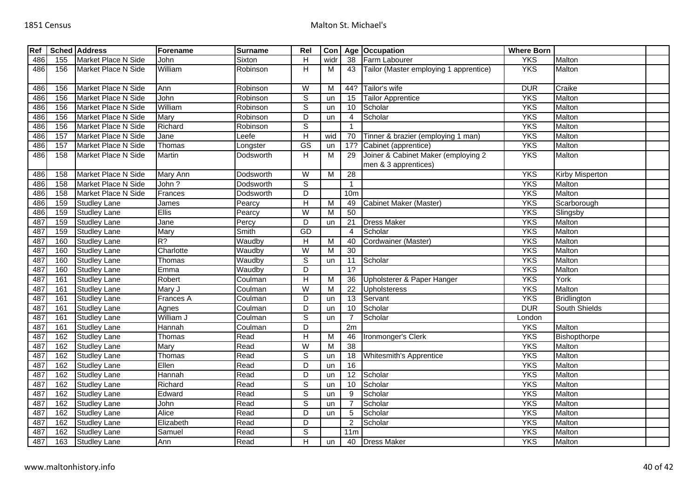| Ref |     | <b>Sched Address</b> | Forename         | <b>Surname</b> | Rel                     | Con            |                  | Age   Occupation                                            | <b>Where Born</b> |                    |  |
|-----|-----|----------------------|------------------|----------------|-------------------------|----------------|------------------|-------------------------------------------------------------|-------------------|--------------------|--|
| 486 | 155 | Market Place N Side  | John             | Sixton         | H                       | widr           | 38               | Farm Labourer                                               | <b>YKS</b>        | Malton             |  |
| 486 | 156 | Market Place N Side  | William          | Robinson       | Η                       | M              | 43               | Tailor (Master employing 1 apprentice)                      | <b>YKS</b>        | Malton             |  |
| 486 | 156 | Market Place N Side  | Ann              | Robinson       | $\overline{\mathsf{W}}$ | м              | 44?              | Tailor's wife                                               | <b>DUR</b>        | Craike             |  |
| 486 | 156 | Market Place N Side  | John             | Robinson       | $\overline{s}$          | un             | 15               | <b>Tailor Apprentice</b>                                    | <b>YKS</b>        | Malton             |  |
| 486 | 156 | Market Place N Side  | William          | Robinson       | $\overline{s}$          | un             | $\overline{10}$  | Scholar                                                     | <b>YKS</b>        | Malton             |  |
| 486 | 156 | Market Place N Side  | Mary             | Robinson       | $\overline{D}$          | un             | $\overline{4}$   | Scholar                                                     | <b>YKS</b>        | Malton             |  |
| 486 | 156 | Market Place N Side  | Richard          | Robinson       | $\overline{s}$          |                | $\mathbf{1}$     |                                                             | <b>YKS</b>        | Malton             |  |
| 486 | 157 | Market Place N Side  | Jane             | _eefe          | $\overline{H}$          | wid            | 70               | Tinner & brazier (employing 1 man)                          | <b>YKS</b>        | Malton             |  |
| 486 | 157 | Market Place N Side  | Thomas           | _ongster       | $\overline{\text{GS}}$  | un             | 17?              | Cabinet (apprentice)                                        | <b>YKS</b>        | Malton             |  |
| 486 | 158 | Market Place N Side  | Martin           | Dodsworth      | H                       | M              | 29               | Joiner & Cabinet Maker (employing 2<br>men & 3 apprentices) | <b>YKS</b>        | Malton             |  |
| 486 | 158 | Market Place N Side  | Mary Ann         | Dodsworth      | W                       | M              | 28               |                                                             | <b>YKS</b>        | Kirby Misperton    |  |
| 486 | 158 | Market Place N Side  | John?            | Dodsworth      | $\overline{s}$          |                | $\overline{1}$   |                                                             | <b>YKS</b>        | Malton             |  |
| 486 | 158 | Market Place N Side  | Frances          | Dodsworth      | $\overline{D}$          |                | 10 <sub>m</sub>  |                                                             | <b>YKS</b>        | Malton             |  |
| 486 | 159 | <b>Studley Lane</b>  | James            | Pearcy         | $\overline{H}$          | M              | 49               | Cabinet Maker (Master)                                      | <b>YKS</b>        | Scarborough        |  |
| 486 | 159 | <b>Studley Lane</b>  | Ellis            | Pearcy         | W                       | м              | 50               |                                                             | <b>YKS</b>        | Slingsby           |  |
| 487 | 159 | <b>Studley Lane</b>  | Jane             | Percy          | $\overline{D}$          | un             | 21               | <b>Dress Maker</b>                                          | <b>YKS</b>        | Malton             |  |
| 487 | 159 | <b>Studley Lane</b>  | Mary             | Smith          | GD                      |                | $\overline{4}$   | Scholar                                                     | <b>YKS</b>        | Malton             |  |
| 487 | 160 | <b>Studley Lane</b>  | $R$ ?            | Waudby         | $\overline{H}$          | M              | 40               | Cordwainer (Master)                                         | <b>YKS</b>        | Malton             |  |
| 487 | 160 | <b>Studley Lane</b>  | Charlotte        | Waudby         | $\overline{\mathsf{W}}$ | M              | 30               |                                                             | <b>YKS</b>        | Malton             |  |
| 487 | 160 | <b>Studley Lane</b>  | Thomas           | Waudby         | $\overline{s}$          | un             | 11               | Scholar                                                     | <b>YKS</b>        | Malton             |  |
| 487 | 160 | <b>Studley Lane</b>  | Emma             | Waudby         | $\overline{D}$          |                | $\overline{1}$ ? |                                                             | <b>YKS</b>        | Malton             |  |
| 487 | 161 | <b>Studley Lane</b>  | Robert           | Coulman        | $\overline{H}$          | $\overline{M}$ | 36               | Upholsterer & Paper Hanger                                  | <b>YKS</b>        | York               |  |
| 487 | 161 | <b>Studley Lane</b>  | Mary J           | Coulman        | W                       | М              | 22               | Upholsteress                                                | <b>YKS</b>        | Malton             |  |
| 487 | 161 | <b>Studley Lane</b>  | <b>Frances A</b> | Coulman        | D                       | un             | 13               | Servant                                                     | <b>YKS</b>        | <b>Bridlington</b> |  |
| 487 | 161 | <b>Studley Lane</b>  | Agnes            | Coulman        | D                       | un             | 10               | Scholar                                                     | <b>DUR</b>        | South Shields      |  |
| 487 | 161 | <b>Studley Lane</b>  | William J        | Coulman        | $\overline{s}$          | un             | $\overline{7}$   | Scholar                                                     | London            |                    |  |
| 487 | 161 | <b>Studley Lane</b>  | Hannah           | Coulman        | D                       |                | 2m               |                                                             | <b>YKS</b>        | Malton             |  |
| 487 | 162 | <b>Studley Lane</b>  | Thomas           | Read           | $\overline{H}$          | M              | 46               | Ironmonger's Clerk                                          | <b>YKS</b>        | Bishopthorpe       |  |
| 487 | 162 | <b>Studley Lane</b>  | Mary             | Read           | W                       | M              | $\overline{38}$  |                                                             | <b>YKS</b>        | Malton             |  |
| 487 | 162 | <b>Studley Lane</b>  | Thomas           | Read           | $\overline{s}$          | un             | 18               | <b>Whitesmith's Apprentice</b>                              | <b>YKS</b>        | Malton             |  |
| 487 | 162 | Studley Lane         | Ellen            | Read           | D                       | un             | 16               |                                                             | <b>YKS</b>        | Malton             |  |
| 487 | 162 | <b>Studley Lane</b>  | Hannah           | Read           | $\overline{D}$          | un             | $\overline{12}$  | Scholar                                                     | <b>YKS</b>        | Malton             |  |
| 487 | 162 | <b>Studley Lane</b>  | Richard          | Read           | $\overline{s}$          | un             | 10               | Scholar                                                     | <b>YKS</b>        | Malton             |  |
| 487 | 162 | <b>Studley Lane</b>  | Edward           | Read           | $\overline{\mathsf{s}}$ | un             | 9                | Scholar                                                     | <b>YKS</b>        | Malton             |  |
| 487 | 162 | <b>Studley Lane</b>  | John             | Read           | $\overline{s}$          | un             |                  | Scholar                                                     | <b>YKS</b>        | Malton             |  |
| 487 | 162 | <b>Studley Lane</b>  | Alice            | Read           | $\overline{D}$          | un             | 5                | Scholar                                                     | <b>YKS</b>        | Malton             |  |
| 487 | 162 | <b>Studley Lane</b>  | Elizabeth        | Read           | $\overline{D}$          |                | $\overline{2}$   | Scholar                                                     | <b>YKS</b>        | Malton             |  |
| 487 | 162 | <b>Studley Lane</b>  | Samuel           | Read           | $\overline{s}$          |                | 11 <sub>m</sub>  |                                                             | <b>YKS</b>        | Malton             |  |
| 487 | 163 | <b>Studley Lane</b>  | Ann              | Read           | Н                       | <b>un</b>      |                  | 40 Dress Maker                                              | <b>YKS</b>        | Malton             |  |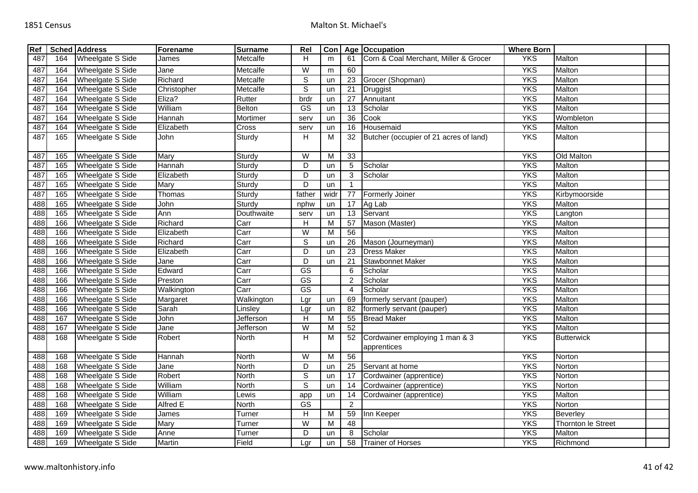| Ref |     | <b>Sched Address</b>    | Forename                    | <b>Surname</b> | Rel                     | Con            |                 | Age   Occupation                              | <b>Where Born</b> |                    |  |
|-----|-----|-------------------------|-----------------------------|----------------|-------------------------|----------------|-----------------|-----------------------------------------------|-------------------|--------------------|--|
| 487 | 164 | Wheelgate S Side        | James                       | Metcalfe       | H                       | m              | 61              | Corn & Coal Merchant, Miller & Grocer         | <b>YKS</b>        | Malton             |  |
| 487 | 164 | <b>Wheelgate S Side</b> | Jane                        | Metcalfe       | $\overline{W}$          | m              | 60              |                                               | <b>YKS</b>        | Malton             |  |
| 487 | 164 | <b>Wheelgate S Side</b> | Richard                     | Metcalfe       | $\overline{s}$          | un             | 23              | Grocer (Shopman)                              | <b>YKS</b>        | Malton             |  |
| 487 | 164 | <b>Wheelgate S Side</b> | Christopher                 | Metcalfe       | $\overline{s}$          | un             | $\overline{21}$ | Druggist                                      | <b>YKS</b>        | Malton             |  |
| 487 | 164 | <b>Wheelgate S Side</b> | Eliza?                      | Rutter         | brdr                    | un             | $\overline{27}$ | Annuitant                                     | <b>YKS</b>        | Malton             |  |
| 487 | 164 | Wheelgate S Side        | William                     | Belton         | $\overline{\text{GS}}$  | un             | 13              | Scholar                                       | <b>YKS</b>        | Malton             |  |
| 487 | 164 | <b>Wheelgate S Side</b> | Hannah                      | Mortimer       | serv                    | un             | $\overline{36}$ | Cook                                          | <b>YKS</b>        | Wombleton          |  |
| 487 | 164 | Wheelgate S Side        | Elizabeth                   | Cross          | serv                    | un             | 16              | Housemaid                                     | <b>YKS</b>        | Malton             |  |
| 487 | 165 | <b>Wheelgate S Side</b> | John                        | Sturdy         | H                       | м              | 32              | Butcher (occupier of 21 acres of land)        | <b>YKS</b>        | Malton             |  |
| 487 | 165 | Wheelgate S Side        | Mary                        | Sturdy         | W                       | М              | 33              |                                               | <b>YKS</b>        | Old Malton         |  |
| 487 | 165 | <b>Wheelgate S Side</b> | Hannah                      | Sturdy         | $\overline{D}$          | un             | $\overline{5}$  | Scholar                                       | <b>YKS</b>        | Malton             |  |
| 487 | 165 | <b>Wheelgate S Side</b> | Elizabeth                   | Sturdy         | $\overline{D}$          | un             | 3               | Scholar                                       | <b>YKS</b>        | Malton             |  |
| 487 | 165 | Wheelgate S Side        | Mary                        | Sturdy         | D                       | un             | -1              |                                               | <b>YKS</b>        | Malton             |  |
| 487 | 165 | <b>Wheelgate S Side</b> | Thomas                      | Sturdy         | father                  | widr           | 77              | <b>Formerly Joiner</b>                        | <b>YKS</b>        | Kirbymoorside      |  |
| 488 | 165 | <b>Wheelgate S Side</b> | John                        | Sturdy         | nphw                    | un             | $\overline{17}$ | Ag Lab                                        | <b>YKS</b>        | Malton             |  |
| 488 | 165 | Wheelgate S Side        | Ann                         | Douthwaite     | serv                    | un             | 13              | Servant                                       | <b>YKS</b>        | Langton            |  |
| 488 | 166 | Wheelgate S Side        | Richard                     | Carr           | $\overline{H}$          | M              | 57              | Mason (Master)                                | <b>YKS</b>        | Malton             |  |
| 488 | 166 | <b>Wheelgate S Side</b> | Elizabeth                   | Carr           | W                       | M              | 56              |                                               | <b>YKS</b>        | Malton             |  |
| 488 | 166 | <b>Wheelgate S Side</b> | Richard                     | Carr           | $\overline{s}$          | un             | $\overline{26}$ | Mason (Journeyman)                            | <b>YKS</b>        | Malton             |  |
| 488 | 166 | <b>Wheelgate S Side</b> | Elizabeth                   | Carr           | D                       | un             | 23              | <b>Dress Maker</b>                            | <b>YKS</b>        | Malton             |  |
| 488 | 166 | Wheelgate S Side        | Jane                        | Carr           | D                       | un             | 21              | Stawbonnet Maker                              | <b>YKS</b>        | Malton             |  |
| 488 | 166 | <b>Wheelgate S Side</b> | Edward                      | Carr           | $\overline{\text{GS}}$  |                | $6\phantom{1}6$ | Scholar                                       | <b>YKS</b>        | Malton             |  |
| 488 | 166 | <b>Wheelgate S Side</b> | Preston                     | Carr           | GS                      |                | $\overline{2}$  | Scholar                                       | <b>YKS</b>        | Malton             |  |
| 488 | 166 | <b>Wheelgate S Side</b> | Walkington                  | Carr           | $\overline{\text{GS}}$  |                | $\overline{4}$  | Scholar                                       | <b>YKS</b>        | Malton             |  |
| 488 | 166 | <b>Wheelgate S Side</b> | Margaret                    | Walkington     | Lgr                     | un             | 69              | formerly servant (pauper)                     | <b>YKS</b>        | Malton             |  |
| 488 | 166 | Wheelgate S Side        | Sarah                       | Linsley        | Lgr                     | un             | 82              | formerly servant (pauper)                     | <b>YKS</b>        | Malton             |  |
| 488 | 167 | <b>Wheelgate S Side</b> | John                        | Jefferson      | $\overline{H}$          | M              | 55              | <b>Bread Maker</b>                            | <b>YKS</b>        | Malton             |  |
| 488 | 167 | Wheelgate S Side        | Jane                        | Jefferson      | W                       | M              | 52              |                                               | <b>YKS</b>        | Malton             |  |
| 488 | 168 | Wheelgate S Side        | Robert                      | North          | H                       | M              | 52              | Cordwainer employing 1 man & 3<br>apprentices | <b>YKS</b>        | <b>Butterwick</b>  |  |
| 488 | 168 | <b>Wheelgate S Side</b> | Hannah                      | North          | $\overline{W}$          | $\overline{M}$ | 56              |                                               | <b>YKS</b>        | Norton             |  |
| 488 | 168 | Wheelgate S Side        | Jane                        | North          | D                       | un             | 25              | Servant at home                               | <b>YKS</b>        | Norton             |  |
| 488 | 168 | <b>Wheelgate S Side</b> | Robert                      | North          | $\overline{s}$          | un             | 17              | Cordwainer (apprentice)                       | <b>YKS</b>        | Norton             |  |
| 488 | 168 | <b>Wheelgate S Side</b> | William                     | <b>North</b>   | $\overline{s}$          | un             | 14              | Cordwainer (apprentice)                       | <b>YKS</b>        | Norton             |  |
| 488 | 168 | <b>Wheelgate S Side</b> | William                     | Lewis          | app                     | un             | 14              | Cordwainer (apprentice)                       | <b>YKS</b>        | Malton             |  |
| 488 | 168 | Wheelgate S Side        | Alfred E                    | North          | $\overline{\text{GS}}$  |                | $\overline{c}$  |                                               | <b>YKS</b>        | Norton             |  |
| 488 | 169 | Wheelgate S Side        | James                       | Turner         | H                       | M              | 59              | Inn Keeper                                    | <b>YKS</b>        | Beverley           |  |
| 488 | 169 | Wheelgate S Side        | $\overline{\mathsf{M}}$ ary | Turner         | $\overline{\mathsf{W}}$ | M              | 48              |                                               | <b>YKS</b>        | Thornton le Street |  |
| 488 | 169 | Wheelgate S Side        | Anne                        | Turner         | D                       | un             | 8               | Scholar                                       | <b>YKS</b>        | Malton             |  |
| 488 | 169 | Wheelgate S Side        | Martin                      | Field          | Lgr                     | un             | 58              | <b>Trainer of Horses</b>                      | <b>YKS</b>        | Richmond           |  |